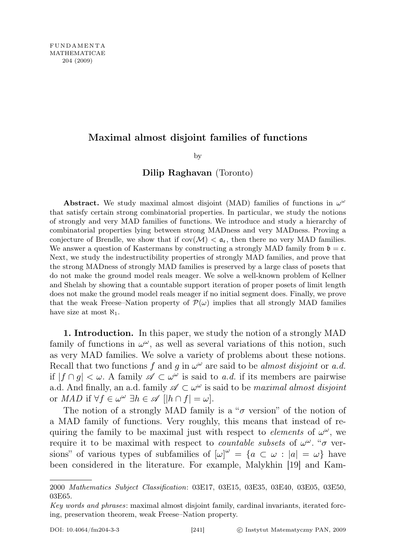# Maximal almost disjoint families of functions

by

# Dilip Raghavan (Toronto)

Abstract. We study maximal almost disjoint (MAD) families of functions in  $\omega^{\omega}$ that satisfy certain strong combinatorial properties. In particular, we study the notions of strongly and very MAD families of functions. We introduce and study a hierarchy of combinatorial properties lying between strong MADness and very MADness. Proving a conjecture of Brendle, we show that if  $cov(\mathcal{M}) < a_{\epsilon}$ , then there no very MAD families. We answer a question of Kastermans by constructing a strongly MAD family from  $\mathfrak{b} = \mathfrak{c}$ . Next, we study the indestructibility properties of strongly MAD families, and prove that the strong MADness of strongly MAD families is preserved by a large class of posets that do not make the ground model reals meager. We solve a well-known problem of Kellner and Shelah by showing that a countable support iteration of proper posets of limit length does not make the ground model reals meager if no initial segment does. Finally, we prove that the weak Freese–Nation property of  $\mathcal{P}(\omega)$  implies that all strongly MAD families have size at most  $\aleph_1$ .

1. Introduction. In this paper, we study the notion of a strongly MAD family of functions in  $\omega^{\omega}$ , as well as several variations of this notion, such as very MAD families. We solve a variety of problems about these notions. Recall that two functions f and g in  $\omega^{\omega}$  are said to be almost disjoint or a.d. if  $|f \cap g| < \omega$ . A family  $\mathscr{A} \subset \omega^{\omega}$  is said to a.d. if its members are pairwise a.d. And finally, an a.d. family  $\mathscr{A} \subset \omega^{\omega}$  is said to be *maximal almost disjoint* or  $MAD$  if  $\forall f \in \omega^{\omega} \exists h \in \mathscr{A}$   $[|h \cap f| = \omega].$ 

The notion of a strongly MAD family is a " $\sigma$  version" of the notion of a MAD family of functions. Very roughly, this means that instead of requiring the family to be maximal just with respect to *elements* of  $\omega^{\omega}$ , we require it to be maximal with respect to *countable subsets* of  $\omega^{\omega}$ . " $\sigma$  versions" of various types of subfamilies of  $[\omega]^{\omega} = \{a \subset \omega : |a| = \omega\}$  have been considered in the literature. For example, Malykhin [19] and Kam-

<sup>2000</sup> Mathematics Subject Classification: 03E17, 03E15, 03E35, 03E40, 03E05, 03E50, 03E65.

Key words and phrases: maximal almost disjoint family, cardinal invariants, iterated forcing, preservation theorem, weak Freese–Nation property.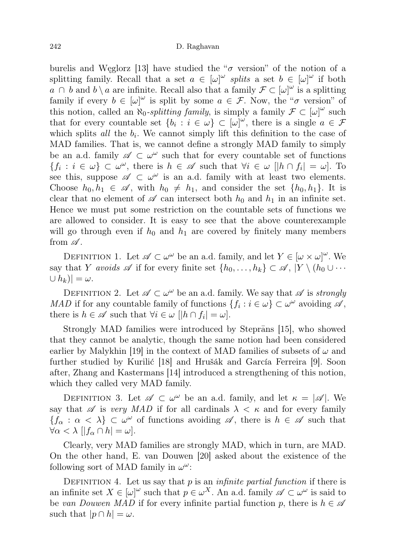burelis and Węglorz [13] have studied the " $\sigma$  version" of the notion of a splitting family. Recall that a set  $a \in [\omega]^\omega$  splits a set  $b \in [\omega]^\omega$  if both  $a \cap b$  and  $b \setminus a$  are infinite. Recall also that a family  $\mathcal{F} \subset [\omega]^\omega$  is a splitting family if every  $b \in [\omega]^{\omega}$  is split by some  $a \in \mathcal{F}$ . Now, the " $\sigma$  version" of this notion, called an  $\aleph_0$ -splitting family, is simply a family  $\mathcal{F} \subset [\omega]^\omega$  such that for every countable set  $\{b_i : i \in \omega\} \subset [\omega]^{\omega}$ , there is a single  $a \in \mathcal{F}$ which splits  $all$  the  $b_i$ . We cannot simply lift this definition to the case of MAD families. That is, we cannot define a strongly MAD family to simply be an a.d. family  $\mathscr{A} \subset \omega^{\omega}$  such that for every countable set of functions  ${f_i : i \in \omega} \subset \omega^\omega$ , there is  $h \in \mathscr{A}$  such that  $\forall i \in \omega \; |h \cap f_i| = \omega$ . To see this, suppose  $\mathscr{A} \subset \omega^{\omega}$  is an a.d. family with at least two elements. Choose  $h_0, h_1 \in \mathscr{A}$ , with  $h_0 \neq h_1$ , and consider the set  $\{h_0, h_1\}$ . It is clear that no element of  $\mathscr A$  can intersect both  $h_0$  and  $h_1$  in an infinite set. Hence we must put some restriction on the countable sets of functions we are allowed to consider. It is easy to see that the above counterexample will go through even if  $h_0$  and  $h_1$  are covered by finitely many members from  $\mathscr A$ .

DEFINITION 1. Let  $\mathscr{A} \subset \omega^\omega$  be an a.d. family, and let  $Y \in [\omega \times \omega]^\omega$ . We say that Y avoids  $\mathscr A$  if for every finite set  $\{h_0, \ldots, h_k\} \subset \mathscr A$ ,  $|Y \setminus (h_0 \cup \cdots)$  $\cup h_k$ ) =  $\omega$ .

DEFINITION 2. Let  $\mathscr{A} \subset \omega^\omega$  be an a.d. family. We say that  $\mathscr{A}$  is *strongly* MAD if for any countable family of functions  $\{f_i : i \in \omega\} \subset \omega^\omega$  avoiding  $\mathscr{A}$ , there is  $h \in \mathscr{A}$  such that  $\forall i \in \omega \; [|h \cap f_i| = \omega].$ 

Strongly MAD families were introduced by Steprans [15], who showed that they cannot be analytic, though the same notion had been considered earlier by Malykhin [19] in the context of MAD families of subsets of  $\omega$  and further studied by Kurilić [18] and Hrušák and García Ferreira [9]. Soon after, Zhang and Kastermans [14] introduced a strengthening of this notion, which they called very MAD family.

DEFINITION 3. Let  $\mathscr{A} \subset \omega^\omega$  be an a.d. family, and let  $\kappa = |\mathscr{A}|$ . We say that  $\mathscr A$  is very MAD if for all cardinals  $\lambda < \kappa$  and for every family  ${f_{\alpha} : \alpha < \lambda} \subset \omega^{\omega}$  of functions avoiding  $\mathscr{A}$ , there is  $h \in \mathscr{A}$  such that  $\forall \alpha < \lambda \left[ |f_{\alpha} \cap h| = \omega \right].$ 

Clearly, very MAD families are strongly MAD, which in turn, are MAD. On the other hand, E. van Douwen [20] asked about the existence of the following sort of MAD family in  $\omega^{\omega}$ :

DEFINITION 4. Let us say that  $p$  is an *infinite partial function* if there is an infinite set  $X \in [\omega]^\omega$  such that  $p \in \omega^X$ . An a.d. family  $\mathscr{A} \subset \omega^\omega$  is said to be van Douwen MAD if for every infinite partial function p, there is  $h \in \mathscr{A}$ such that  $|p \cap h| = \omega$ .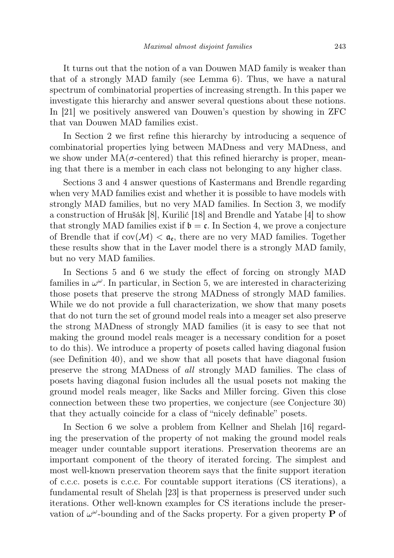It turns out that the notion of a van Douwen MAD family is weaker than that of a strongly MAD family (see Lemma 6). Thus, we have a natural spectrum of combinatorial properties of increasing strength. In this paper we investigate this hierarchy and answer several questions about these notions. In [21] we positively answered van Douwen's question by showing in ZFC that van Douwen MAD families exist.

In Section 2 we first refine this hierarchy by introducing a sequence of combinatorial properties lying between MADness and very MADness, and we show under  $MA(\sigma$ -centered) that this refined hierarchy is proper, meaning that there is a member in each class not belonging to any higher class.

Sections 3 and 4 answer questions of Kastermans and Brendle regarding when very MAD families exist and whether it is possible to have models with strongly MAD families, but no very MAD families. In Section 3, we modify a construction of Hrušák [8], Kurilić [18] and Brendle and Yatabe [4] to show that strongly MAD families exist if  $\mathfrak{b} = \mathfrak{c}$ . In Section 4, we prove a conjecture of Brendle that if  $cov(\mathcal{M}) < \mathfrak{a}_{\mathfrak{e}}$ , there are no very MAD families. Together these results show that in the Laver model there is a strongly MAD family, but no very MAD families.

In Sections 5 and 6 we study the effect of forcing on strongly MAD families in  $\omega^{\omega}$ . In particular, in Section 5, we are interested in characterizing those posets that preserve the strong MADness of strongly MAD families. While we do not provide a full characterization, we show that many posets that do not turn the set of ground model reals into a meager set also preserve the strong MADness of strongly MAD families (it is easy to see that not making the ground model reals meager is a necessary condition for a poset to do this). We introduce a property of posets called having diagonal fusion (see Definition 40), and we show that all posets that have diagonal fusion preserve the strong MADness of all strongly MAD families. The class of posets having diagonal fusion includes all the usual posets not making the ground model reals meager, like Sacks and Miller forcing. Given this close connection between these two properties, we conjecture (see Conjecture 30) that they actually coincide for a class of "nicely definable" posets.

In Section 6 we solve a problem from Kellner and Shelah [16] regarding the preservation of the property of not making the ground model reals meager under countable support iterations. Preservation theorems are an important component of the theory of iterated forcing. The simplest and most well-known preservation theorem says that the finite support iteration of c.c.c. posets is c.c.c. For countable support iterations (CS iterations), a fundamental result of Shelah [23] is that properness is preserved under such iterations. Other well-known examples for CS iterations include the preservation of  $\omega^{\omega}$ -bounding and of the Sacks property. For a given property **P** of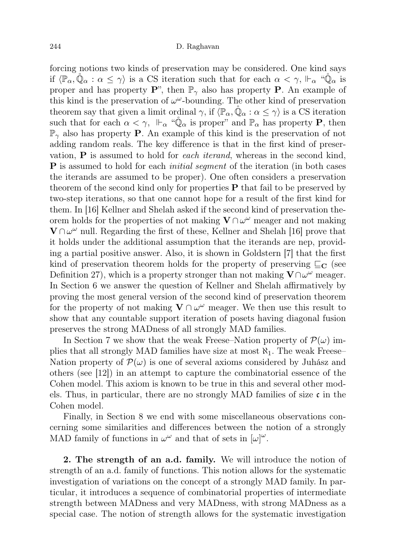forcing notions two kinds of preservation may be considered. One kind says if  $\langle \mathbb{P}_{\alpha}, \check{\mathbb{Q}}_{\alpha} : \alpha \leq \gamma \rangle$  is a CS iteration such that for each  $\alpha < \gamma$ ,  $\Vdash_{\alpha} \text{``}\check{\mathbb{Q}}_{\alpha}$  is proper and has property  $\mathbf{P}$ ", then  $\mathbb{P}_{\gamma}$  also has property **P**. An example of this kind is the preservation of  $\omega^{\omega}$ -bounding. The other kind of preservation theorem say that given a limit ordinal  $\gamma$ , if  $\langle \mathbb{P}_{\alpha}, \check{\mathbb{Q}}_{\alpha} : \alpha \leq \gamma \rangle$  is a CS iteration such that for each  $\alpha < \gamma$ ,  $\Vdash_{\alpha}$  " $\mathbb{Q}_{\alpha}$  is proper" and  $\mathbb{P}_{\alpha}$  has property **P**, then  $\mathbb{P}_{\gamma}$  also has property **P**. An example of this kind is the preservation of not adding random reals. The key difference is that in the first kind of preservation,  $P$  is assumed to hold for *each iterand*, whereas in the second kind, **P** is assumed to hold for each *initial segment* of the iteration (in both cases the iterands are assumed to be proper). One often considers a preservation theorem of the second kind only for properties  $P$  that fail to be preserved by two-step iterations, so that one cannot hope for a result of the first kind for them. In [16] Kellner and Shelah asked if the second kind of preservation theorem holds for the properties of not making  $V \cap \omega^{\omega}$  meager and not making  $\mathbf{V} \cap \omega^{\omega}$  null. Regarding the first of these, Kellner and Shelah [16] prove that it holds under the additional assumption that the iterands are nep, providing a partial positive answer. Also, it is shown in Goldstern [7] that the first kind of preservation theorem holds for the property of preserving  $\sqsubseteq_{\mathbf{C}}$  (see Definition 27), which is a property stronger than not making  $\mathbf{V} \cap \omega^{\omega}$  meager. In Section 6 we answer the question of Kellner and Shelah affirmatively by proving the most general version of the second kind of preservation theorem for the property of not making  $V \cap \omega^{\omega}$  meager. We then use this result to show that any countable support iteration of posets having diagonal fusion preserves the strong MADness of all strongly MAD families.

In Section 7 we show that the weak Freese–Nation property of  $\mathcal{P}(\omega)$  implies that all strongly MAD families have size at most  $\aleph_1$ . The weak Freese– Nation property of  $\mathcal{P}(\omega)$  is one of several axioms considered by Juhász and others (see [12]) in an attempt to capture the combinatorial essence of the Cohen model. This axiom is known to be true in this and several other models. Thus, in particular, there are no strongly MAD families of size  $\mathfrak{c}$  in the Cohen model.

Finally, in Section 8 we end with some miscellaneous observations concerning some similarities and differences between the notion of a strongly MAD family of functions in  $\omega^{\omega}$  and that of sets in  $[\omega]^{\omega}$ .

2. The strength of an a.d. family. We will introduce the notion of strength of an a.d. family of functions. This notion allows for the systematic investigation of variations on the concept of a strongly MAD family. In particular, it introduces a sequence of combinatorial properties of intermediate strength between MADness and very MADness, with strong MADness as a special case. The notion of strength allows for the systematic investigation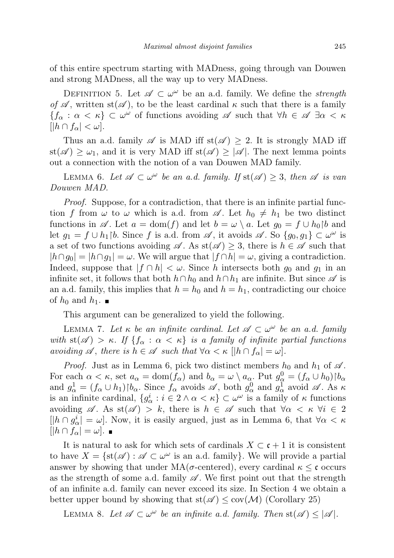of this entire spectrum starting with MADness, going through van Douwen and strong MADness, all the way up to very MADness.

DEFINITION 5. Let  $\mathscr{A} \subset \omega^\omega$  be an a.d. family. We define the *strength* of  $\mathscr A$ , written st( $\mathscr A$ ), to be the least cardinal  $\kappa$  such that there is a family  ${f_\alpha : \alpha < \kappa} \subset \omega^\omega$  of functions avoiding  $\mathscr A$  such that  $\forall h \in \mathscr A \exists \alpha < \kappa$  $[|h \cap f_\alpha| < \omega].$ 

Thus an a.d. family  $\mathscr A$  is MAD iff st( $\mathscr A$ )  $\geq$  2. It is strongly MAD iff  $st(\mathscr{A}) \geq \omega_1$ , and it is very MAD iff  $st(\mathscr{A}) \geq |\mathscr{A}|$ . The next lemma points out a connection with the notion of a van Douwen MAD family.

LEMMA 6. Let  $\mathscr{A} \subset \omega^\omega$  be an a.d. family. If  $st(\mathscr{A}) \geq 3$ , then  $\mathscr{A}$  is van Douwen MAD.

Proof. Suppose, for a contradiction, that there is an infinite partial function f from  $\omega$  to  $\omega$  which is a.d. from  $\mathscr A$ . Let  $h_0 \neq h_1$  be two distinct functions in  $\mathscr A$ . Let  $a = \text{dom}(f)$  and let  $b = \omega \setminus a$ . Let  $g_0 = f \cup h_0$  and let  $g_1 = f \cup h_1$  |b. Since f is a.d. from  $\mathscr{A}$ , it avoids  $\mathscr{A}$ . So  $\{g_0, g_1\} \subset \omega^{\omega}$  is a set of two functions avoiding  $\mathscr{A}$ . As  $st(\mathscr{A}) \geq 3$ , there is  $h \in \mathscr{A}$  such that  $|h \cap g_0| = |h \cap g_1| = \omega$ . We will argue that  $|f \cap h| = \omega$ , giving a contradiction. Indeed, suppose that  $|f \cap h| < \omega$ . Since h intersects both  $g_0$  and  $g_1$  in an infinite set, it follows that both  $h \cap h_0$  and  $h \cap h_1$  are infinite. But since  $\mathscr A$  is an a.d. family, this implies that  $h = h_0$  and  $h = h_1$ , contradicting our choice of  $h_0$  and  $h_1$ .

This argument can be generalized to yield the following.

LEMMA 7. Let  $\kappa$  be an infinite cardinal. Let  $\mathscr{A} \subset \omega^{\omega}$  be an a.d. family with  $st(\mathscr{A}) > \kappa$ . If  $\{f_{\alpha} : \alpha < \kappa\}$  is a family of infinite partial functions avoiding  $\mathscr A$ , there is  $h \in \mathscr A$  such that  $\forall \alpha < \kappa \, | |h \cap f_\alpha| = \omega$ .

*Proof.* Just as in Lemma 6, pick two distinct members  $h_0$  and  $h_1$  of  $\mathscr A$ . For each  $\alpha < \kappa$ , set  $a_{\alpha} = \text{dom}(f_{\alpha})$  and  $b_{\alpha} = \omega \setminus a_{\alpha}$ . Put  $g_{\alpha}^0 = (f_{\alpha} \cup h_0) \upharpoonright b_{\alpha}$ and  $g_{\alpha}^1 = (f_{\alpha} \cup h_1) \upharpoonright b_{\alpha}$ . Since  $f_{\alpha}$  avoids  $\mathscr{A}$ , both  $g_{\alpha}^0$  and  $g_{\alpha}^1$  avoid  $\mathscr{A}$ . As  $\kappa$ is an infinite cardinal,  $\{g_{\alpha}^i : i \in 2 \land \alpha < \kappa\} \subset \omega^{\omega}$  is a family of  $\kappa$  functions avoiding  $\mathscr A$ . As st( $\mathscr A$ ) > k, there is  $h \in \mathscr A$  such that  $\forall \alpha < \kappa$   $\forall i \in \mathbb Z$  $[|h \cap g_{\alpha}^{i}| = \omega]$ . Now, it is easily argued, just as in Lemma 6, that  $\forall \alpha < \kappa$  $[|h \cap f_\alpha| = \omega]$ .  $\blacksquare$ 

It is natural to ask for which sets of cardinals  $X \subset \mathfrak{c} + 1$  it is consistent to have  $X = \{st(\mathscr{A}) : \mathscr{A} \subset \omega^\omega \text{ is an a.d. family}\}\.$  We will provide a partial answer by showing that under  $MA(\sigma$ -centered), every cardinal  $\kappa \leq \mathfrak{c}$  occurs as the strength of some a.d. family  $\mathscr A$ . We first point out that the strength of an infinite a.d. family can never exceed its size. In Section 4 we obtain a better upper bound by showing that  $st(\mathscr{A}) \leq cov(\mathcal{M})$  (Corollary 25)

LEMMA 8. Let  $\mathscr{A} \subset \omega^\omega$  be an infinite a.d. family. Then  $\text{st}(\mathscr{A}) \leq |\mathscr{A}|$ .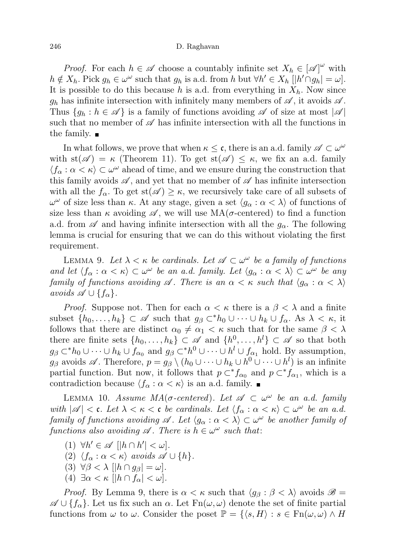### 246 D. Raghavan

*Proof.* For each  $h \in \mathscr{A}$  choose a countably infinite set  $X_h \in [\mathscr{A}]^{\omega}$  with  $h \notin X_h$ . Pick  $g_h \in \omega^\omega$  such that  $g_h$  is a.d. from h but  $\forall h' \in X_h$   $[|h' \cap g_h| = \omega]$ . It is possible to do this because h is a.d. from everything in  $X_h$ . Now since  $g_h$  has infinite intersection with infinitely many members of  $\mathscr A$ , it avoids  $\mathscr A$ . Thus  $\{g_h : h \in \mathscr{A}\}\$ is a family of functions avoiding  $\mathscr{A}$  of size at most  $|\mathscr{A}|$ such that no member of  $\mathscr A$  has infinite intersection with all the functions in the family.

In what follows, we prove that when  $\kappa \leq \mathfrak{c}$ , there is an a.d. family  $\mathscr{A} \subset \omega^{\omega}$ with  $st(\mathscr{A}) = \kappa$  (Theorem 11). To get  $st(\mathscr{A}) \leq \kappa$ , we fix an a.d. family  $\langle f_\alpha : \alpha < \kappa \rangle \subset \omega^\omega$  ahead of time, and we ensure during the construction that this family avoids  $\mathscr{A}$ , and yet that no member of  $\mathscr{A}$  has infinite intersection with all the  $f_{\alpha}$ . To get  $st(\mathscr{A}) \geq \kappa$ , we recursively take care of all subsets of  $ω<sup>ω</sup>$  of size less than κ. At any stage, given a set  $\langle g_α : α < \lambda \rangle$  of functions of size less than  $\kappa$  avoiding  $\mathscr A$ , we will use  $MA(\sigma$ -centered) to find a function a.d. from  $\mathscr A$  and having infinite intersection with all the  $g_\alpha$ . The following lemma is crucial for ensuring that we can do this without violating the first requirement.

LEMMA 9. Let  $\lambda < \kappa$  be cardinals. Let  $\mathscr{A} \subset \omega^{\omega}$  be a family of functions and let  $\langle f_\alpha : \alpha < \kappa \rangle \subset \omega^\omega$  be an a.d. family. Let  $\langle g_\alpha : \alpha < \lambda \rangle \subset \omega^\omega$  be any family of functions avoiding  $\mathscr A$ . There is an  $\alpha < \kappa$  such that  $\langle g_\alpha : \alpha < \lambda \rangle$ avoids  $\mathscr{A} \cup \{f_{\alpha}\}.$ 

*Proof.* Suppose not. Then for each  $\alpha < \kappa$  there is a  $\beta < \lambda$  and a finite subset  $\{h_0, \ldots, h_k\} \subset \mathscr{A}$  such that  $g_\beta \subset^* h_0 \cup \cdots \cup h_k \cup f_\alpha$ . As  $\lambda < \kappa$ , it follows that there are distinct  $\alpha_0 \neq \alpha_1 < \kappa$  such that for the same  $\beta < \lambda$ there are finite sets  $\{h_0, \ldots, h_k\} \subset \mathscr{A}$  and  $\{h^0, \ldots, h^l\} \subset \mathscr{A}$  so that both  $g_{\beta} \subset^* h_0 \cup \cdots \cup h_k \cup f_{\alpha_0}$  and  $g_{\beta} \subset^* h^0 \cup \cdots \cup h^l \cup f_{\alpha_1}$  hold. By assumption,  $g_{\beta}$  avoids  $\mathscr{A}$ . Therefore,  $p = g_{\beta} \setminus (h_0 \cup \cdots \cup h_k \cup h^0 \cup \cdots \cup h^l)$  is an infinite partial function. But now, it follows that  $p \subset^* f_{\alpha_0}$  and  $p \subset^* f_{\alpha_1}$ , which is a contradiction because  $\langle f_\alpha : \alpha < \kappa \rangle$  is an a.d. family.

LEMMA 10. Assume  $MA(\sigma\text{-centered})$ . Let  $\mathscr{A} \subset \omega^{\omega}$  be an a.d. family with  $|\mathscr{A}| < \mathfrak{c}$ . Let  $\lambda < \kappa < \mathfrak{c}$  be cardinals. Let  $\langle f_\alpha : \alpha < \kappa \rangle \subset \omega^\omega$  be an a.d. family of functions avoiding  $\mathscr A$ . Let  $\langle g_\alpha : \alpha < \lambda \rangle \subset \omega^\omega$  be another family of functions also avoiding  $\mathscr A$ . There is  $h \in \omega^\omega$  such that:

- (1)  $\forall h' \in \mathscr{A} \left[ |h \cap h'| < \omega \right].$
- (2)  $\langle f_\alpha : \alpha < \kappa \rangle$  avoids  $\mathscr{A} \cup \{h\}.$
- (3)  $\forall \beta < \lambda \ [\vert h \cap g_{\beta} \vert = \omega].$
- (4)  $\exists \alpha < \kappa \ [|h \cap f_\alpha| < \omega].$

*Proof.* By Lemma 9, there is  $\alpha < \kappa$  such that  $\langle g_{\beta} : \beta < \lambda \rangle$  avoids  $\mathscr{B} =$  $\mathscr{A} \cup \{f_{\alpha}\}\.$  Let us fix such an  $\alpha$ . Let  $Fn(\omega, \omega)$  denote the set of finite partial functions from  $\omega$  to  $\omega$ . Consider the poset  $\mathbb{P} = \{\langle s, H \rangle : s \in \mathrm{Fn}(\omega, \omega) \wedge H\}$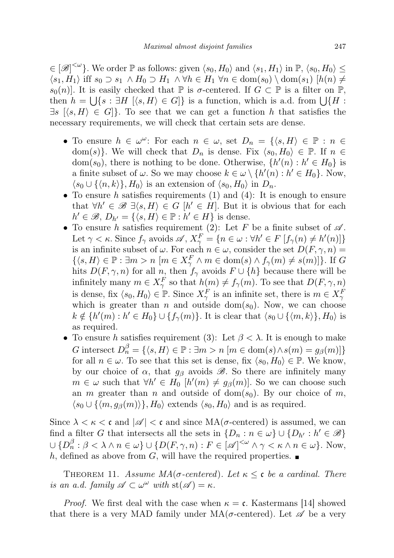$\in [\mathscr{B}]^{\leq \omega}$ . We order  $\mathbb P$  as follows: given  $\langle s_0, H_0 \rangle$  and  $\langle s_1, H_1 \rangle$  in  $\mathbb P, \langle s_0, H_0 \rangle \leq$  $\langle s_1, H_1 \rangle$  iff  $s_0 \supset s_1 \wedge H_0 \supset H_1 \wedge \forall h \in H_1 \forall n \in \text{dom}(s_0) \setminus \text{dom}(s_1)$   $|h(n) \neq$  $s_0(n)$ . It is easily checked that  $\mathbb P$  is  $\sigma$ -centered. If  $G \subset \mathbb P$  is a filter on  $\mathbb P$ , then  $h = \bigcup \{ s : \exists H \mid \langle s, H \rangle \in G \}$  is a function, which is a.d. from  $\bigcup \{ H :$  $\exists s \; [\langle s, H \rangle \in G]$ . To see that we can get a function h that satisfies the necessary requirements, we will check that certain sets are dense.

- To ensure  $h \in \omega^{\omega}$ : For each  $n \in \omega$ , set  $D_n = \{ \langle s, H \rangle \in \mathbb{P} : n \in \mathbb{R} \}$ dom(s). We will check that  $D_n$  is dense. Fix  $\langle s_0, H_0 \rangle \in \mathbb{P}$ . If  $n \in$ dom(s<sub>0</sub>), there is nothing to be done. Otherwise,  $\{h'(n) : h' \in H_0\}$  is a finite subset of  $\omega$ . So we may choose  $k \in \omega \setminus \{h'(n) : h' \in H_0\}$ . Now,  $\langle s_0 \cup {\langle n, k \rangle}, H_0 \rangle$  is an extension of  $\langle s_0, H_0 \rangle$  in  $D_n$ .
- To ensure h satisfies requirements  $(1)$  and  $(4)$ : It is enough to ensure that  $\forall h' \in \mathscr{B} \exists \langle s, H \rangle \in G \; [h' \in H]$ . But it is obvious that for each  $h' \in \mathcal{B}, D_{h'} = \{ \langle s, H \rangle \in \mathbb{P} : h' \in H \}$  is dense.
- To ensure h satisfies requirement (2): Let F be a finite subset of  $\mathscr A$ . Let  $\gamma < \kappa$ . Since  $f_{\gamma}$  avoids  $\mathscr{A}, X_{\gamma}^{F} = \{n \in \omega : \forall h' \in F \: [f_{\gamma}(n) \neq h'(n)]\}$ is an infinite subset of  $\omega$ . For each  $n \in \omega$ , consider the set  $D(F, \gamma, n) =$  $\{\langle s, H\rangle \in \mathbb{P} : \exists m > n \ [m \in X_\gamma^F \land m \in \text{dom}(s) \land f_\gamma(m) \neq s(m)]\}.$  If G hits  $D(F, \gamma, n)$  for all n, then  $f_{\gamma}$  avoids  $F \cup \{h\}$  because there will be infinitely many  $m \in X_{\gamma}^F$  so that  $h(m) \neq f_{\gamma}(m)$ . To see that  $D(F, \gamma, n)$ is dense, fix  $\langle s_0, H_0 \rangle \in \mathbb{P}$ . Since  $X_\gamma^F$  is an infinite set, there is  $m \in X_\gamma^F$ which is greater than n and outside dom( $s_0$ ). Now, we can choose  $k \notin \{h'(m) : h' \in H_0\} \cup \{f_\gamma(m)\}.$  It is clear that  $\langle s_0 \cup \{\langle m, k \rangle\}, H_0 \rangle$  is as required.
- To ensure h satisfies requirement (3): Let  $\beta < \lambda$ . It is enough to make G intersect  $D_n^{\beta} = \{ \langle s, H \rangle \in \mathbb{P} : \exists m > n \ [m \in \text{dom}(s) \land s(m) = g_{\beta}(m)] \}$ for all  $n \in \omega$ . To see that this set is dense, fix  $\langle s_0, H_0 \rangle \in \mathbb{P}$ . We know, by our choice of  $\alpha$ , that  $g_{\beta}$  avoids  $\mathscr{B}$ . So there are infinitely many  $m \in \omega$  such that  $\forall h' \in H_0$   $[h'(m) \neq g_\beta(m)]$ . So we can choose such an m greater than n and outside of dom( $s_0$ ). By our choice of m,  $\langle s_0 \cup \{\langle m, g_\beta(m)\rangle\}, H_0\rangle$  extends  $\langle s_0, H_0\rangle$  and is as required.

Since  $\lambda < \kappa < c$  and  $|\mathscr{A}| < c$  and since  $MA(\sigma$ -centered) is assumed, we can find a filter G that intersects all the sets in  $\{D_n : n \in \omega\} \cup \{D_{h'} : h' \in \mathcal{B}\}\$  $\cup \{D_n^{\beta}: \beta < \lambda \wedge n \in \omega\} \cup \{D(F, \gamma, n): F \in [\mathscr{A}]^{<\omega} \wedge \gamma < \kappa \wedge n \in \omega\}.$  Now, h, defined as above from G, will have the required properties.

THEOREM 11. Assume  $MA(\sigma\text{-centered})$ . Let  $\kappa \leq \mathfrak{c}$  be a cardinal. There is an a.d. family  $\mathscr{A} \subset \omega^\omega$  with  $\text{st}(\mathscr{A}) = \kappa$ .

*Proof.* We first deal with the case when  $\kappa = \mathfrak{c}$ . Kastermans [14] showed that there is a very MAD family under  $MA(\sigma$ -centered). Let  $\mathscr A$  be a very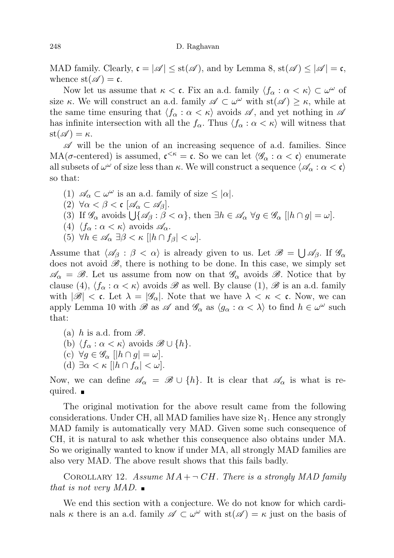MAD family. Clearly,  $\mathfrak{c} = |\mathscr{A}| \leq \text{st}(\mathscr{A})$ , and by Lemma 8,  $\text{st}(\mathscr{A}) \leq |\mathscr{A}| = \mathfrak{c}$ , whence  $\text{st}(\mathscr{A}) = \mathfrak{c}$ .

Now let us assume that  $\kappa < \mathfrak{c}$ . Fix an a.d. family  $\langle f_{\alpha} : \alpha < \kappa \rangle \subset \omega^{\omega}$  of size  $\kappa$ . We will construct an a.d. family  $\mathscr{A} \subset \omega^{\omega}$  with  $st(\mathscr{A}) \geq \kappa$ , while at the same time ensuring that  $\langle f_\alpha : \alpha < \kappa \rangle$  avoids  $\mathscr A$ , and yet nothing in  $\mathscr A$ has infinite intersection with all the  $f_{\alpha}$ . Thus  $\langle f_{\alpha} : \alpha < \kappa \rangle$  will witness that  $\operatorname{st}(\mathscr{A}) = \kappa.$ 

 $\mathscr A$  will be the union of an increasing sequence of a.d. families. Since MA( $\sigma$ -centered) is assumed,  $\mathfrak{c}^{\lt}\kappa = \mathfrak{c}$ . So we can let  $\langle \mathscr{G}_{\alpha} : \alpha < \mathfrak{c} \rangle$  enumerate all subsets of  $\omega^{\omega}$  of size less than  $\kappa$ . We will construct a sequence  $\langle \mathscr{A}_{\alpha} : \alpha < \mathfrak{c} \rangle$ so that:

(1)  $\mathscr{A}_{\alpha} \subset \omega^{\omega}$  is an a.d. family of size  $\leq |\alpha|$ . (2)  $\forall \alpha < \beta < c \ [\mathscr{A}_{\alpha} \subset \mathscr{A}_{\beta}].$ (3) If  $\mathscr{G}_{\alpha}$  avoids  $\bigcup \{\mathscr{A}_{\beta} : \beta < \alpha\},\$  then  $\exists h \in \mathscr{A}_{\alpha} \ \forall g \in \mathscr{G}_{\alpha} \ [|h \cap g| = \omega].$ (4)  $\langle f_\alpha : \alpha < \kappa \rangle$  avoids  $\mathscr{A}_\alpha$ . (5)  $\forall h \in \mathscr{A}_{\alpha} \exists \beta < \kappa \ [\vert h \cap f_{\beta} \vert < \omega].$ 

Assume that  $\langle \mathscr{A}_{\beta} : \beta < \alpha \rangle$  is already given to us. Let  $\mathscr{B} = \bigcup \mathscr{A}_{\beta}$ . If  $\mathscr{G}_{\alpha}$ does not avoid  $\mathscr{B}$ , there is nothing to be done. In this case, we simply set  $\mathscr{A}_{\alpha} = \mathscr{B}$ . Let us assume from now on that  $\mathscr{G}_{\alpha}$  avoids  $\mathscr{B}$ . Notice that by clause (4),  $\langle f_\alpha : \alpha < \kappa \rangle$  avoids  $\mathscr B$  as well. By clause (1),  $\mathscr B$  is an a.d. family with  $|\mathscr{B}| < \mathfrak{c}$ . Let  $\lambda = |\mathscr{G}_{\alpha}|$ . Note that we have  $\lambda < \kappa < \mathfrak{c}$ . Now, we can apply Lemma 10 with  $\mathscr{B}$  as  $\mathscr{A}$  and  $\mathscr{G}_{\alpha}$  as  $\langle g_{\alpha} : \alpha < \lambda \rangle$  to find  $h \in \omega^{\omega}$  such that:

- (a) h is a.d. from  $\mathscr{B}$ .
- (b)  $\langle f_\alpha : \alpha < \kappa \rangle$  avoids  $\mathscr{B} \cup \{h\}.$
- (c)  $\forall g \in \mathscr{G}_{\alpha}$   $||h \cap g| = \omega$ .
- (d)  $\exists \alpha < \kappa \ [ |h \cap f_\alpha| < \omega ].$

Now, we can define  $\mathscr{A}_{\alpha} = \mathscr{B} \cup \{h\}$ . It is clear that  $\mathscr{A}_{\alpha}$  is what is required.

The original motivation for the above result came from the following considerations. Under CH, all MAD families have size  $\aleph_1$ . Hence any strongly MAD family is automatically very MAD. Given some such consequence of CH, it is natural to ask whether this consequence also obtains under MA. So we originally wanted to know if under MA, all strongly MAD families are also very MAD. The above result shows that this fails badly.

COROLLARY 12. Assume  $MA + \neg CH$ . There is a strongly MAD family that is not very MAD.

We end this section with a conjecture. We do not know for which cardinals  $\kappa$  there is an a.d. family  $\mathscr{A} \subset \omega^{\omega}$  with  $st(\mathscr{A}) = \kappa$  just on the basis of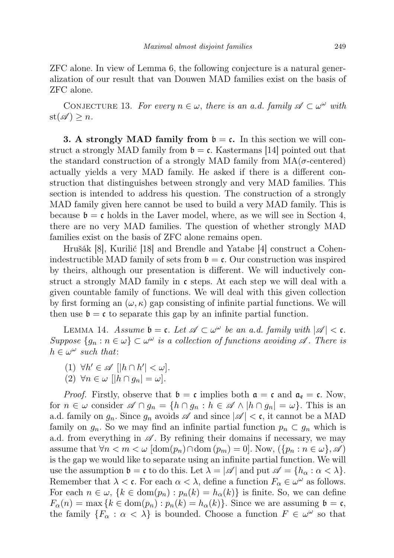ZFC alone. In view of Lemma 6, the following conjecture is a natural generalization of our result that van Douwen MAD families exist on the basis of ZFC alone.

CONJECTURE 13. For every  $n \in \omega$ , there is an a.d. family  $\mathscr{A} \subset \omega^{\omega}$  with  $st(\mathscr{A}) \geq n$ .

**3. A strongly MAD family from**  $\mathfrak{b} = \mathfrak{c}$ **.** In this section we will construct a strongly MAD family from  $\mathfrak{b} = \mathfrak{c}$ . Kastermans [14] pointed out that the standard construction of a strongly MAD family from  $MA(\sigma$ -centered) actually yields a very MAD family. He asked if there is a different construction that distinguishes between strongly and very MAD families. This section is intended to address his question. The construction of a strongly MAD family given here cannot be used to build a very MAD family. This is because  $\mathfrak{b} = \mathfrak{c}$  holds in the Laver model, where, as we will see in Section 4, there are no very MAD families. The question of whether strongly MAD families exist on the basis of ZFC alone remains open.

Hrušák [8], Kurilić [18] and Brendle and Yatabe [4] construct a Cohenindestructible MAD family of sets from  $\mathfrak{b} = \mathfrak{c}$ . Our construction was inspired by theirs, although our presentation is different. We will inductively construct a strongly MAD family in c steps. At each step we will deal with a given countable family of functions. We will deal with this given collection by first forming an  $(\omega, \kappa)$  gap consisting of infinite partial functions. We will then use  $\mathfrak{b} = \mathfrak{c}$  to separate this gap by an infinite partial function.

LEMMA 14. Assume  $\mathfrak{b} = \mathfrak{c}$ . Let  $\mathscr{A} \subset \omega^\omega$  be an a.d. family with  $|\mathscr{A}| < \mathfrak{c}$ . Suppose  $\{g_n : n \in \omega\} \subset \omega^\omega$  is a collection of functions avoiding  $\mathscr A$ . There is  $h \in \omega^{\omega}$  such that:

- (1)  $\forall h' \in \mathscr{A} \left[ |h \cap h'| < \omega \right].$
- (2)  $\forall n \in \omega$   $\vert \vert h \cap q_n \vert = \omega \vert$ .

*Proof.* Firstly, observe that  $\mathfrak{b} = \mathfrak{c}$  implies both  $\mathfrak{a} = \mathfrak{c}$  and  $\mathfrak{a}_{\mathfrak{e}} = \mathfrak{c}$ . Now, for  $n \in \omega$  consider  $\mathscr{A} \cap g_n = \{h \cap g_n : h \in \mathscr{A} \land |h \cap g_n| = \omega\}.$  This is an a.d. family on  $g_n$ . Since  $g_n$  avoids  $\mathscr A$  and since  $|\mathscr A| < \mathfrak c$ , it cannot be a MAD family on  $g_n$ . So we may find an infinite partial function  $p_n \,\subset g_n$  which is a.d. from everything in  $\mathscr A$ . By refining their domains if necessary, we may assume that  $\forall n < m < \omega \ [\text{dom}(p_n) \cap \text{dom}(p_m) = 0].$  Now,  $(\{p_n : n \in \omega\}, \mathscr{A})$ is the gap we would like to separate using an infinite partial function. We will use the assumption  $\mathfrak{b} = \mathfrak{c}$  to do this. Let  $\lambda = |\mathscr{A}|$  and put  $\mathscr{A} = \{h_{\alpha} : \alpha < \lambda\}.$ Remember that  $\lambda < \mathfrak{c}$ . For each  $\alpha < \lambda$ , define a function  $F_{\alpha} \in \omega^{\omega}$  as follows. For each  $n \in \omega$ ,  $\{k \in \text{dom}(p_n) : p_n(k) = h_\alpha(k)\}\$ is finite. So, we can define  $F_{\alpha}(n) = \max \{k \in \text{dom}(p_n) : p_n(k) = h_{\alpha}(k)\}.$  Since we are assuming  $\mathfrak{b} = \mathfrak{c},$ the family  $\{F_\alpha : \alpha < \lambda\}$  is bounded. Choose a function  $F \in \omega^\omega$  so that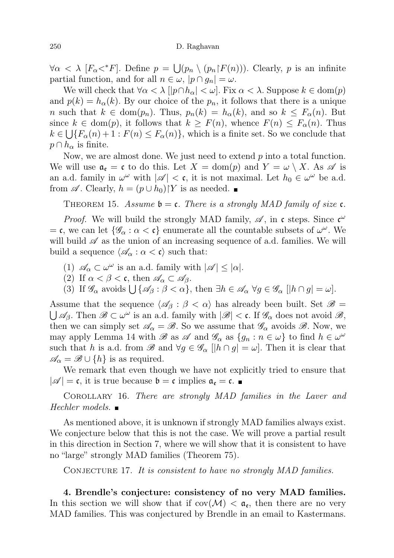$\forall \alpha \langle \lambda | [F_{\alpha} \langle F \rangle]$ . Define  $p = \bigcup (p_n \setminus (p_n | F(n)))$ . Clearly, p is an infinite partial function, and for all  $n \in \omega$ ,  $|p \cap g_n| = \omega$ .

We will check that  $\forall \alpha < \lambda \ [\ |p \cap h_{\alpha}| < \omega].$  Fix  $\alpha < \lambda$ . Suppose  $k \in \text{dom}(p)$ and  $p(k) = h_{\alpha}(k)$ . By our choice of the  $p_n$ , it follows that there is a unique n such that  $k \in \text{dom}(p_n)$ . Thus,  $p_n(k) = h_\alpha(k)$ , and so  $k \leq F_\alpha(n)$ . But since  $k \in \text{dom}(p)$ , it follows that  $k \geq F(n)$ , whence  $F(n) \leq F_{\alpha}(n)$ . Thus  $k \in \bigcup \{F_\alpha(n) + 1 : F(n) \leq F_\alpha(n)\}\$ , which is a finite set. So we conclude that  $p \cap h_{\alpha}$  is finite.

Now, we are almost done. We just need to extend  $p$  into a total function. We will use  $\mathfrak{a}_{\mathfrak{e}} = \mathfrak{c}$  to do this. Let  $X = \text{dom}(p)$  and  $Y = \omega \setminus X$ . As  $\mathscr A$  is an a.d. family in  $\omega^{\omega}$  with  $|\mathscr{A}| < \mathfrak{c}$ , it is not maximal. Let  $h_0 \in \omega^{\omega}$  be a.d. from  $\mathscr A$ . Clearly,  $h = (p \cup h_0)$  Y is as needed.

THEOREM 15. Assume  $\mathfrak{b} = \mathfrak{c}$ . There is a strongly MAD family of size  $\mathfrak{c}$ .

*Proof.* We will build the strongly MAD family,  $\mathscr{A}$ , in c steps. Since  $\mathfrak{c}^{\omega}$ = c, we can let  $\{\mathscr{G}_{\alpha} : \alpha < c\}$  enumerate all the countable subsets of  $\omega^{\omega}$ . We will build  $\mathscr A$  as the union of an increasing sequence of a.d. families. We will build a sequence  $\langle \mathscr{A}_{\alpha} : \alpha < \mathfrak{c} \rangle$  such that:

- (1)  $\mathscr{A}_{\alpha} \subset \omega^{\omega}$  is an a.d. family with  $|\mathscr{A}| \leq |\alpha|$ .
- (2) If  $\alpha < \beta < \mathfrak{c}$ , then  $\mathscr{A}_{\alpha} \subset \mathscr{A}_{\beta}$ .
- (3) If  $\mathscr{G}_{\alpha}$  avoids  $\bigcup \{\mathscr{A}_{\beta} : \beta < \alpha\}$ , then  $\exists h \in \mathscr{A}_{\alpha} \ \forall g \in \mathscr{G}_{\alpha}$   $\big[ |h \cap g| = \omega \big]$ .

Assume that the sequence  $\langle \mathscr{A}_{\beta} : \beta < \alpha \rangle$  has already been built. Set  $\mathscr{B} =$  $\bigcup \mathscr{A}_{\beta}$ . Then  $\mathscr{B} \subset \omega^{\omega}$  is an a.d. family with  $|\mathscr{B}| < \mathfrak{c}$ . If  $\mathscr{G}_{\alpha}$  does not avoid  $\mathscr{B},$ then we can simply set  $\mathscr{A}_{\alpha} = \mathscr{B}$ . So we assume that  $\mathscr{G}_{\alpha}$  avoids  $\mathscr{B}$ . Now, we may apply Lemma 14 with  $\mathscr B$  as  $\mathscr A$  and  $\mathscr G_\alpha$  as  $\{g_n : n \in \omega\}$  to find  $h \in \omega^\omega$ such that h is a.d. from  $\mathscr{B}$  and  $\forall g \in \mathscr{G}_{\alpha}$  [ $|h \cap g| = \omega$ ]. Then it is clear that  $\mathscr{A}_{\alpha} = \mathscr{B} \cup \{h\}$  is as required.

We remark that even though we have not explicitly tried to ensure that  $|\mathscr{A}| = \mathfrak{c}$ , it is true because  $\mathfrak{b} = \mathfrak{c}$  implies  $\mathfrak{a}_{\mathfrak{e}} = \mathfrak{c}$ .

Corollary 16. There are strongly MAD families in the Laver and  $Hechler$  models.  $\blacksquare$ 

As mentioned above, it is unknown if strongly MAD families always exist. We conjecture below that this is not the case. We will prove a partial result in this direction in Section 7, where we will show that it is consistent to have no "large" strongly MAD families (Theorem 75).

CONJECTURE 17. It is consistent to have no strongly MAD families.

4. Brendle's conjecture: consistency of no very MAD families. In this section we will show that if  $cov(\mathcal{M}) < \mathfrak{a}_{\epsilon}$ , then there are no very MAD families. This was conjectured by Brendle in an email to Kastermans.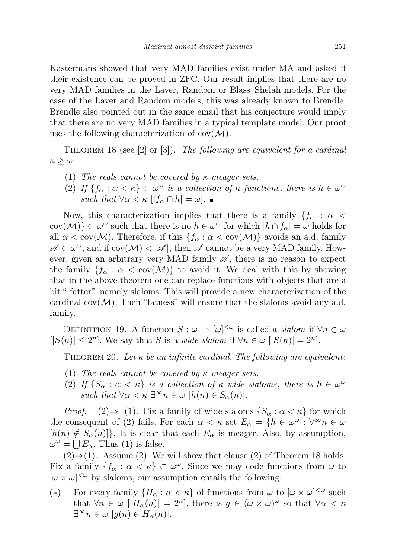Kastermans showed that very MAD families exist under MA and asked if their existence can be proved in ZFC. Our result implies that there are no very MAD families in the Laver, Random or Blass–Shelah models. For the case of the Laver and Random models, this was already known to Brendle. Brendle also pointed out in the same email that his conjecture would imply that there are no very MAD families in a typical template model. Our proof uses the following characterization of  $cov(\mathcal{M})$ .

THEOREM 18 (see [2] or [3]). The following are equivalent for a cardinal  $\kappa \geq \omega$ :

- (1) The reals cannot be covered by  $\kappa$  meager sets.
- (2) If  $\{f_{\alpha} : \alpha < \kappa\} \subset \omega^{\omega}$  is a collection of  $\kappa$  functions, there is  $h \in \omega^{\omega}$ such that  $\forall \alpha < \kappa$   $||f_{\alpha} \cap h| = \omega$ .

Now, this characterization implies that there is a family  ${f_\alpha : \alpha <$  $\text{cov}(\mathcal{M})\}\subset\omega^\omega$  such that there is no  $h\in\omega^\omega$  for which  $|h\cap f_\alpha|=\omega$  holds for all  $\alpha < \text{cov}(\mathcal{M})$ . Therefore, if this  $\{f_{\alpha} : \alpha < \text{cov}(\mathcal{M})\}$  avoids an a.d. family  $\mathscr{A} \subset \omega^{\omega}$ , and if  $cov(\mathcal{M}) < |\mathscr{A}|$ , then  $\mathscr{A}$  cannot be a very MAD family. However, given an arbitrary very MAD family  $\mathscr{A}$ , there is no reason to expect the family  $\{f_\alpha : \alpha < \text{cov}(\mathcal{M})\}$  to avoid it. We deal with this by showing that in the above theorem one can replace functions with objects that are a bit " fatter", namely slaloms. This will provide a new characterization of the cardinal  $cov(\mathcal{M})$ . Their "fatness" will ensure that the slaloms avoid any a.d. family.

DEFINITION 19. A function  $S : \omega \to [\omega]^{<\omega}$  is called a *slalom* if  $\forall n \in \omega$  $||S(n)| \leq 2^n$ . We say that S is a *wide slalom* if  $\forall n \in \omega$   $||S(n)| = 2^n$ .

THEOREM 20. Let  $\kappa$  be an infinite cardinal. The following are equivalent:

- (1) The reals cannot be covered by  $\kappa$  meager sets.
- (2) If  $\{S_\alpha : \alpha < \kappa\}$  is a collection of  $\kappa$  wide slaloms, there is  $h \in \omega^\omega$ such that  $\forall \alpha < \kappa \exists^{\infty} n \in \omega$   $[h(n) \in S_{\alpha}(n)].$

*Proof.*  $\neg$ (2) $\Rightarrow$  $\neg$ (1). Fix a family of wide slaloms  $\{S_\alpha : \alpha < \kappa\}$  for which the consequent of (2) fails. For each  $\alpha < \kappa$  set  $E_{\alpha} = \{h \in \omega^{\omega} : \forall^{\infty} n \in \omega\}$  $[h(n) \notin S_\alpha(n)]\}$ . It is clear that each  $E_\alpha$  is meager. Also, by assumption,  $\omega^{\omega} = \bigcup E_{\alpha}$ . Thus (1) is false.

 $(2) \Rightarrow (1)$ . Assume (2). We will show that clause (2) of Theorem 18 holds. Fix a family  $\{f_\alpha : \alpha < \kappa\} \subset \omega^\omega$ . Since we may code functions from  $\omega$  to  $[\omega \times \omega]^{<\omega}$  by slaloms, our assumption entails the following:

(\*) For every family  $\{H_\alpha : \alpha < \kappa\}$  of functions from  $\omega$  to  $[\omega \times \omega]^{< \omega}$  such that  $\forall n \in \omega \; [H_{\alpha}(n)] = 2^{n}$ , there is  $g \in (\omega \times \omega)^{\omega}$  so that  $\forall \alpha < \kappa$  $\exists^{\infty} n \in \omega \ [g(n) \in H_{\alpha}(n)].$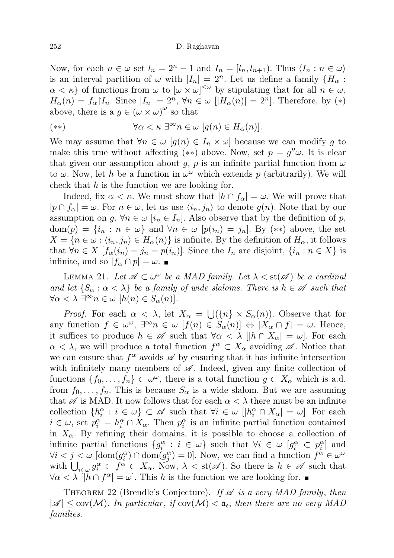#### 252 D. Raghavan

Now, for each  $n \in \omega$  set  $l_n = 2^n - 1$  and  $I_n = [l_n, l_{n+1})$ . Thus  $\langle I_n : n \in \omega \rangle$ is an interval partition of  $\omega$  with  $|I_n| = 2^n$ . Let us define a family  $\{H_\alpha :$  $\alpha < \kappa$  of functions from  $\omega$  to  $[\omega \times \omega]^{<\omega}$  by stipulating that for all  $n \in \omega$ ,  $H_{\alpha}(n) = f_{\alpha} | I_n$ . Since  $|I_n| = 2^n$ ,  $\forall n \in \omega$   $[|H_{\alpha}(n)| = 2^n]$ . Therefore, by  $(*)$ above, there is a  $g \in (\omega \times \omega)^\omega$  so that

$$
(**) \qquad \forall \alpha < \kappa \; \exists^{\infty} n \in \omega \; [g(n) \in H_{\alpha}(n)].
$$

We may assume that  $\forall n \in \omega \ [g(n) \in I_n \times \omega]$  because we can modify g to make this true without affecting (\*\*) above. Now, set  $p = g''\omega$ . It is clear that given our assumption about g, p is an infinite partial function from  $\omega$ to  $\omega$ . Now, let h be a function in  $\omega^{\omega}$  which extends p (arbitrarily). We will check that  $h$  is the function we are looking for.

Indeed, fix  $\alpha < \kappa$ . We must show that  $|h \cap f_{\alpha}| = \omega$ . We will prove that  $|p \cap f_\alpha| = \omega$ . For  $n \in \omega$ , let us use  $\langle i_n, j_n \rangle$  to denote  $g(n)$ . Note that by our assumption on g,  $\forall n \in \omega$  [i<sub>n</sub>  $\in I_n$ ]. Also observe that by the definition of p,  $dom(p) = \{i_n : n \in \omega\}$  and  $\forall n \in \omega$   $[p(i_n) = j_n]$ . By  $(**)$  above, the set  $X = \{n \in \omega : \langle i_n, j_n \rangle \in H_\alpha(n)\}\$ is infinite. By the definition of  $H_\alpha$ , it follows that  $\forall n \in X$  [ $f_{\alpha}(i_n) = j_n = p(i_n)$ ]. Since the  $I_n$  are disjoint,  $\{i_n : n \in X\}$  is infinite, and so  $|f_\alpha \cap p| = \omega$ .

LEMMA 21. Let  $\mathscr{A} \subset \omega^\omega$  be a MAD family. Let  $\lambda < \text{st}(\mathscr{A})$  be a cardinal and let  $\{S_\alpha : \alpha < \lambda\}$  be a family of wide slaloms. There is  $h \in \mathscr{A}$  such that  $\forall \alpha < \lambda \exists^{\infty} n \in \omega \ [h(n) \in S_{\alpha}(n)].$ 

*Proof.* For each  $\alpha < \lambda$ , let  $X_{\alpha} = \bigcup (\{n\} \times S_{\alpha}(n))$ . Observe that for any function  $f \in \omega^{\omega}$ ,  $\exists^{\infty} n \in \omega$   $[f(n) \in S_{\alpha}(n)] \Leftrightarrow |X_{\alpha} \cap f| = \omega$ . Hence, it suffices to produce  $h \in \mathscr{A}$  such that  $\forall \alpha < \lambda \, |[h \cap X_{\alpha}] = \omega$ . For each  $\alpha < \lambda$ , we will produce a total function  $f^{\alpha} \subset X_{\alpha}$  avoiding  $\mathscr{A}$ . Notice that we can ensure that  $f^{\alpha}$  avoids  $\mathscr A$  by ensuring that it has infinite intersection with infinitely many members of  $\mathscr A$ . Indeed, given any finite collection of functions  $\{f_0, \ldots, f_n\} \subset \omega^\omega$ , there is a total function  $g \subset X_\alpha$  which is a.d. from  $f_0, \ldots, f_n$ . This is because  $S_\alpha$  is a wide slalom. But we are assuming that  $\mathscr A$  is MAD. It now follows that for each  $\alpha < \lambda$  there must be an infinite collection  $\{h_i^{\alpha}: i \in \omega\} \subset \mathscr{A}$  such that  $\forall i \in \omega \; |[h_i^{\alpha} \cap X_{\alpha}] = \omega]$ . For each  $i \in \omega$ , set  $p_i^{\alpha} = h_i^{\alpha} \cap X_{\alpha}$ . Then  $p_i^{\alpha}$  is an infinite partial function contained in  $X_{\alpha}$ . By refining their domains, it is possible to choose a collection of infinite partial functions  $\{g_i^{\alpha} : i \in \omega\}$  such that  $\forall i \in \omega$   $[g_i^{\alpha} \subset p_i^{\alpha}]$  and  $\forall i < j < \omega \; [\text{dom}(g_i^{\alpha}) \cap \text{dom}(g_j^{\alpha}) = 0].$  Now, we can find a function  $f^{\alpha} \in \omega^{\omega}$ with  $\bigcup_{i\in\omega}g_i^{\alpha}\subset f^{\alpha}\subset X_{\alpha}$ . Now,  $\lambda < \text{st}(\mathscr{A})$ . So there is  $h \in \mathscr{A}$  such that  $\forall \alpha < \lambda \mid \vec{h} \cap f^{\alpha} \mid \alpha$ . This h is the function we are looking for.

THEOREM 22 (Brendle's Conjecture). If  $\mathscr A$  is a very MAD family, then  $|\mathscr{A}| \leq \text{cov}(\mathcal{M})$ . In particular, if  $\text{cov}(\mathcal{M}) < \mathfrak{a}_{\epsilon}$ , then there are no very MAD families.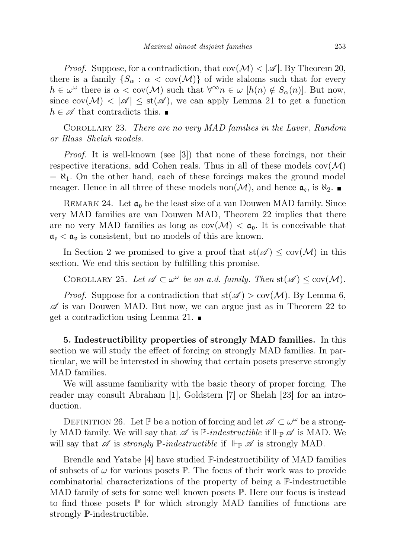*Proof.* Suppose, for a contradiction, that  $cov(\mathcal{M}) < |\mathcal{A}|$ . By Theorem 20, there is a family  $\{S_\alpha : \alpha < \text{cov}(\mathcal{M})\}$  of wide slaloms such that for every  $h \in \omega^{\omega}$  there is  $\alpha < \text{cov}(\mathcal{M})$  such that  $\forall^{\infty} n \in \omega$   $[h(n) \notin S_{\alpha}(n)]$ . But now, since  $\text{cov}(\mathcal{M}) < |\mathcal{A}| \leq \text{st}(\mathcal{A})$ , we can apply Lemma 21 to get a function  $h \in \mathscr{A}$  that contradicts this.  $\blacksquare$ 

Corollary 23. There are no very MAD families in the Laver , Random or Blass–Shelah models.

Proof. It is well-known (see [3]) that none of these forcings, nor their respective iterations, add Cohen reals. Thus in all of these models  $cov(\mathcal{M})$  $= \aleph_1$ . On the other hand, each of these forcings makes the ground model meager. Hence in all three of these models non $(\mathcal{M})$ , and hence  $\mathfrak{a}_{\mathfrak{e}}$ , is  $\aleph_2$ .

REMARK 24. Let  $\mathfrak{a}_{\mathfrak{v}}$  be the least size of a van Douwen MAD family. Since very MAD families are van Douwen MAD, Theorem 22 implies that there are no very MAD families as long as  $cov(\mathcal{M}) < \mathfrak{a}_{\mathfrak{v}}$ . It is conceivable that  $\mathfrak{a}_{\varepsilon} < \mathfrak{a}_{\varepsilon}$  is consistent, but no models of this are known.

In Section 2 we promised to give a proof that  $st(\mathscr{A}) \leq cov(\mathcal{M})$  in this section. We end this section by fulfilling this promise.

COROLLARY 25. Let  $\mathscr{A} \subset \omega^\omega$  be an a.d. family. Then  $st(\mathscr{A}) \leq cov(\mathcal{M})$ .

*Proof.* Suppose for a contradiction that  $st(\mathscr{A}) > cov(\mathcal{M})$ . By Lemma 6,  $\mathscr A$  is van Douwen MAD. But now, we can argue just as in Theorem 22 to get a contradiction using Lemma 21.

5. Indestructibility properties of strongly MAD families. In this section we will study the effect of forcing on strongly MAD families. In particular, we will be interested in showing that certain posets preserve strongly MAD families.

We will assume familiarity with the basic theory of proper forcing. The reader may consult Abraham [1], Goldstern [7] or Shelah [23] for an introduction.

DEFINITION 26. Let  $\mathbb P$  be a notion of forcing and let  $\mathscr A \subset \omega^\omega$  be a strongly MAD family. We will say that  $\mathscr A$  is  $\mathbb P$ -indestructible if  $\Vdash_{\mathbb P}\mathscr A$  is MAD. We will say that  $\mathscr A$  is strongly  $\mathbb P$ -indestructible if  $\Vdash_{\mathbb P} \mathscr A$  is strongly MAD.

Brendle and Yatabe [4] have studied P-indestructibility of MAD families of subsets of  $\omega$  for various posets P. The focus of their work was to provide combinatorial characterizations of the property of being a P-indestructible MAD family of sets for some well known posets  $\mathbb P$ . Here our focus is instead to find those posets  $\mathbb P$  for which strongly MAD families of functions are strongly P-indestructible.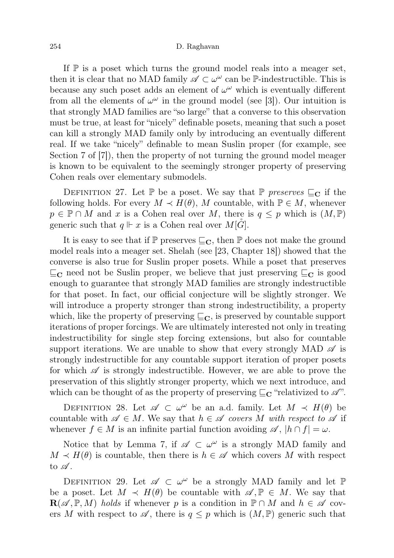If  $\mathbb P$  is a poset which turns the ground model reals into a meager set, then it is clear that no MAD family  $\mathscr{A} \subset \omega^\omega$  can be P-indestructible. This is because any such poset adds an element of  $\omega^{\omega}$  which is eventually different from all the elements of  $\omega^{\omega}$  in the ground model (see [3]). Our intuition is that strongly MAD families are "so large" that a converse to this observation must be true, at least for "nicely" definable posets, meaning that such a poset can kill a strongly MAD family only by introducing an eventually different real. If we take "nicely" definable to mean Suslin proper (for example, see Section 7 of [7]), then the property of not turning the ground model meager is known to be equivalent to the seemingly stronger property of preserving Cohen reals over elementary submodels.

DEFINITION 27. Let  $\mathbb P$  be a poset. We say that  $\mathbb P$  preserves  $\subseteq_{\mathbb C}$  if the following holds. For every  $M \prec H(\theta)$ , M countable, with  $\mathbb{P} \in M$ , whenever  $p \in \mathbb{P} \cap M$  and x is a Cohen real over M, there is  $q \leq p$  which is  $(M, \mathbb{P})$ generic such that  $q \Vdash x$  is a Cohen real over  $M[G]$ .

It is easy to see that if  $\mathbb P$  preserves  $\mathbb E_{\mathbf C}$ , then  $\mathbb P$  does not make the ground model reals into a meager set. Shelah (see [23, Chapter 18]) showed that the converse is also true for Suslin proper posets. While a poset that preserves  $\sqsubseteq_{\mathbf{C}}$  need not be Suslin proper, we believe that just preserving  $\sqsubseteq_{\mathbf{C}}$  is good enough to guarantee that strongly MAD families are strongly indestructible for that poset. In fact, our official conjecture will be slightly stronger. We will introduce a property stronger than strong indestructibility, a property which, like the property of preserving  $\subseteq_C$ , is preserved by countable support iterations of proper forcings. We are ultimately interested not only in treating indestructibility for single step forcing extensions, but also for countable support iterations. We are unable to show that every strongly MAD  $\mathscr A$  is strongly indestructible for any countable support iteration of proper posets for which  $\mathscr A$  is strongly indestructible. However, we are able to prove the preservation of this slightly stronger property, which we next introduce, and which can be thought of as the property of preserving  $\sqsubseteq_{\mathbf{C}}$  "relativized to  $\mathscr{A}$ ".

DEFINITION 28. Let  $\mathscr{A} \subset \omega^\omega$  be an a.d. family. Let  $M \prec H(\theta)$  be countable with  $\mathscr{A} \in M$ . We say that  $h \in \mathscr{A}$  covers M with respect to  $\mathscr{A}$  if whenever  $f \in M$  is an infinite partial function avoiding  $\mathscr{A}, |h \cap f| = \omega$ .

Notice that by Lemma 7, if  $\mathscr{A} \subset \omega^{\omega}$  is a strongly MAD family and  $M \prec H(\theta)$  is countable, then there is  $h \in \mathscr{A}$  which covers M with respect to  $\mathscr A$ .

DEFINITION 29. Let  $\mathscr{A} \subset \omega^{\omega}$  be a strongly MAD family and let  $\mathbb{P}$ be a poset. Let  $M \prec H(\theta)$  be countable with  $\mathscr{A}, \mathbb{P} \in M$ . We say that  $\mathbf{R}(\mathscr{A}, \mathbb{P}, M)$  holds if whenever p is a condition in  $\mathbb{P} \cap M$  and  $h \in \mathscr{A}$  covers M with respect to  $\mathscr A$ , there is  $q \leq p$  which is  $(M, \mathbb{P})$  generic such that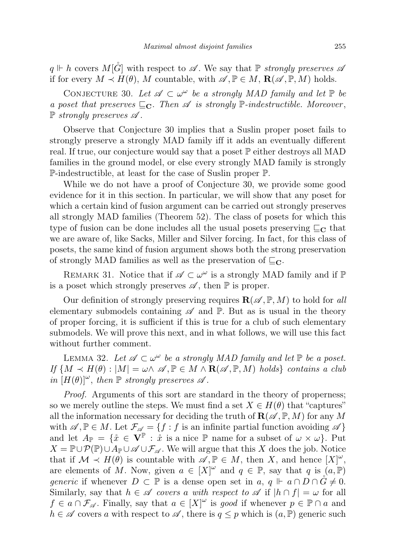$q \Vdash h$  covers  $M[\tilde{G}]$  with respect to  $\mathscr A$ . We say that  $\mathbb P$  strongly preserves  $\mathscr A$ if for every  $M \prec H(\theta)$ , M countable, with  $\mathscr{A}, \mathbb{P} \in M$ ,  $\mathbf{R}(\mathscr{A}, \mathbb{P}, M)$  holds.

CONJECTURE 30. Let  $\mathscr{A} \subset \omega^{\omega}$  be a strongly MAD family and let  $\mathbb{P}$  be a poset that preserves  $\sqsubseteq_{\mathbf{C}}$ . Then  $\mathscr A$  is strongly  $\mathbb P$ -indestructible. Moreover,  $\mathbb P$  strongly preserves  $\mathscr A$ .

Observe that Conjecture 30 implies that a Suslin proper poset fails to strongly preserve a strongly MAD family iff it adds an eventually different real. If true, our conjecture would say that a poset  $\mathbb P$  either destroys all MAD families in the ground model, or else every strongly MAD family is strongly P-indestructible, at least for the case of Suslin proper P.

While we do not have a proof of Conjecture 30, we provide some good evidence for it in this section. In particular, we will show that any poset for which a certain kind of fusion argument can be carried out strongly preserves all strongly MAD families (Theorem 52). The class of posets for which this type of fusion can be done includes all the usual posets preserving  $\subseteq_{\mathbb{C}}$  that we are aware of, like Sacks, Miller and Silver forcing. In fact, for this class of posets, the same kind of fusion argument shows both the strong preservation of strongly MAD families as well as the preservation of  $\sqsubseteq_{\mathbb{C}}$ .

REMARK 31. Notice that if  $\mathscr{A} \subset \omega^{\omega}$  is a strongly MAD family and if  $\mathbb{P}$ is a poset which strongly preserves  $\mathscr A$ , then  $\mathbb P$  is proper.

Our definition of strongly preserving requires  $\mathbf{R}(\mathscr{A}, \mathbb{P}, M)$  to hold for all elementary submodels containing  $\mathscr A$  and  $\mathbb P$ . But as is usual in the theory of proper forcing, it is sufficient if this is true for a club of such elementary submodels. We will prove this next, and in what follows, we will use this fact without further comment.

LEMMA 32. Let  $\mathscr{A} \subset \omega^\omega$  be a strongly MAD family and let  $\mathbb P$  be a poset. If  $\{M \prec H(\theta) : |M| = \omega \wedge \mathscr{A}, \mathbb{P} \in M \wedge \mathbf{R}(\mathscr{A}, \mathbb{P}, M) \text{ holds} \}$  contains a club in  $[H(\theta)]^{\omega}$ , then  $\mathbb P$  strongly preserves  $\mathscr A$ .

Proof. Arguments of this sort are standard in the theory of properness; so we merely outline the steps. We must find a set  $X \in H(\theta)$  that "captures" all the information necessary for deciding the truth of  $\mathbf{R}(\mathscr{A}, \mathbb{P}, M)$  for any M with  $\mathscr{A}, \mathbb{P} \in M$ . Let  $\mathcal{F}_{\mathscr{A}} = \{f : f \text{ is an infinite partial function avoiding } \mathscr{A}\}\$ and let  $A_{\mathbb{P}} = \{\mathring{x} \in \overline{\mathbf{V}}^{\mathbb{P}} : \mathring{x} \text{ is a nice } \mathbb{P} \text{ name for a subset of } \omega \times \omega\}.$  Put  $X = \mathbb{P} \cup \mathcal{P}(\mathbb{P}) \cup A_{\mathbb{P}} \cup \mathscr{A} \cup \mathcal{F}_{\mathscr{A}}$ . We will argue that this X does the job. Notice that if  $\mathcal{M} \prec H(\theta)$  is countable with  $\mathscr{A}, \mathbb{P} \in M$ , then X, and hence  $[X]^{\omega}$ , are elements of M. Now, given  $a \in [X]^{\omega}$  and  $q \in \mathbb{P}$ , say that q is  $(a, \mathbb{P})$ generic if whenever  $D \subset \mathbb{P}$  is a dense open set in a,  $q \Vdash a \cap D \cap G \neq 0$ . Similarly, say that  $h \in \mathscr{A}$  covers a with respect to  $\mathscr{A}$  if  $|h \cap f| = \omega$  for all  $f \in a \cap \mathcal{F}_{\mathscr{A}}$ . Finally, say that  $a \in [X]^{\omega}$  is good if whenever  $p \in \mathbb{P} \cap a$  and  $h \in \mathscr{A}$  covers a with respect to  $\mathscr{A}$ , there is  $q \leq p$  which is  $(a, \mathbb{P})$  generic such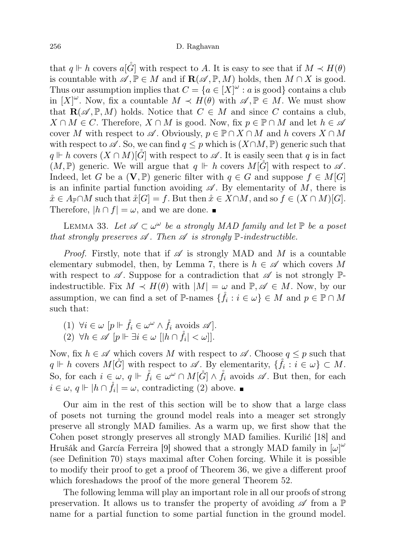that  $q \Vdash h$  covers  $a[\tilde{G}]$  with respect to A. It is easy to see that if  $M \prec H(\theta)$ is countable with  $\mathscr{A}, \mathbb{P} \in M$  and if  $\mathbf{R}(\mathscr{A}, \mathbb{P}, M)$  holds, then  $M \cap X$  is good. Thus our assumption implies that  $C = \{a \in [X]^\omega : a \text{ is good}\}$  contains a club in  $[X]^\omega$ . Now, fix a countable  $M \prec H(\theta)$  with  $\mathscr{A}, \mathbb{P} \in M$ . We must show that  $\mathbf{R}(\mathscr{A}, \mathbb{P}, M)$  holds. Notice that  $C \in M$  and since C contains a club,  $X \cap M \in C$ . Therefore,  $X \cap M$  is good. Now, fix  $p \in \mathbb{P} \cap M$  and let  $h \in \mathscr{A}$ cover M with respect to  $\mathscr A$ . Obviously,  $p \in \mathbb P \cap X \cap M$  and h covers  $X \cap M$ with respect to  $\mathscr A$ . So, we can find  $q \leq p$  which is  $(X \cap M, \mathbb P)$  generic such that  $q \Vdash h$  covers  $(X \cap M)[\tilde{G}]$  with respect to  $\mathscr A$ . It is easily seen that q is in fact  $(M, \mathbb{P})$  generic. We will argue that  $q \Vdash h$  covers  $M[G]$  with respect to  $\mathscr{A}$ . Indeed, let G be a  $(V, \mathbb{P})$  generic filter with  $q \in G$  and suppose  $f \in M[G]$ is an infinite partial function avoiding  $\mathscr A$ . By elementarity of M, there is  $\mathring{x} \in A_{\mathbb{P}} \cap M$  such that  $\mathring{x}[G] = f$ . But then  $\mathring{x} \in X \cap M$ , and so  $f \in (X \cap M)[G]$ . Therefore,  $|h \cap f| = \omega$ , and we are done.

LEMMA 33. Let  $\mathscr{A} \subset \omega^\omega$  be a strongly MAD family and let  $\mathbb{P}$  be a poset that strongly preserves  $\mathscr A$ . Then  $\mathscr A$  is strongly  $\mathbb P$ -indestructible.

*Proof.* Firstly, note that if  $\mathscr A$  is strongly MAD and M is a countable elementary submodel, then, by Lemma 7, there is  $h \in \mathscr{A}$  which covers M with respect to  $\mathscr A$ . Suppose for a contradiction that  $\mathscr A$  is not strongly  $\mathbb P$ indestructible. Fix  $M \prec H(\theta)$  with  $|M| = \omega$  and  $\mathbb{P}, \mathscr{A} \in M$ . Now, by our assumption, we can find a set of  $\mathbb{P}\text{-names } \{\mathring{f}_i : i \in \omega\} \in M$  and  $p \in \mathbb{P} \cap M$ such that:

- (1)  $\forall i \in \omega \ [p \Vdash \mathring{f}_i \in \omega^\omega \wedge \mathring{f}_i \text{ avoids } \mathscr{A}].$
- (2)  $\forall h \in \mathscr{A}$   $[p \Vdash \exists i \in \omega \; [|h \cap \mathring{f}_i| < \omega]$ .

Now, fix  $h \in \mathscr{A}$  which covers M with respect to  $\mathscr{A}$ . Choose  $q \leq p$  such that  $q \Vdash h$  covers  $M[\mathring{G}]$  with respect to  $\mathscr{A}$ . By elementarity,  $\{\mathring{f}_i : i \in \omega\} \subset M$ . So, for each  $i \in \omega$ ,  $q \Vdash \mathring{f}_i \in \omega^\omega \cap M[\mathring{G}] \wedge \mathring{f}_i$  avoids  $\mathscr{A}$ . But then, for each  $i \in \omega, q \Vdash |h \cap \mathring{f}_i| = \omega$ , contradicting (2) above.

Our aim in the rest of this section will be to show that a large class of posets not turning the ground model reals into a meager set strongly preserve all strongly MAD families. As a warm up, we first show that the Cohen poset strongly preserves all strongly MAD families. Kurilić [18] and Hrušák and García Ferreira [9] showed that a strongly MAD family in  $[\omega]^\omega$ (see Definition 70) stays maximal after Cohen forcing. While it is possible to modify their proof to get a proof of Theorem 36, we give a different proof which foreshadows the proof of the more general Theorem 52.

The following lemma will play an important role in all our proofs of strong preservation. It allows us to transfer the property of avoiding  $\mathscr A$  from a  $\mathbb P$ name for a partial function to some partial function in the ground model.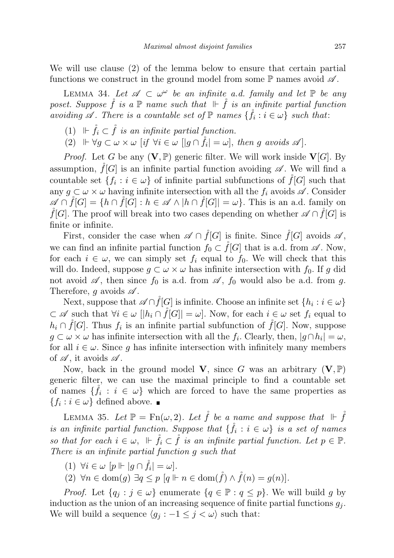We will use clause (2) of the lemma below to ensure that certain partial functions we construct in the ground model from some  $\mathbb P$  names avoid  $\mathscr A$ .

LEMMA 34. Let  $\mathscr{A} \subset \omega^\omega$  be an infinite a.d. family and let  $\mathbb P$  be any poset. Suppose  $\check{f}$  is a  $\mathbb P$  name such that  $\Vdash \check{f}$  is an infinite partial function avoiding  $\mathscr A$ . There is a countable set of  $\mathbb P$  names  $\{\mathring{f}_i : i \in \omega\}$  such that:

- (1)  $\mathbb{F} \dot{f}_i \subset \dot{f}$  is an infinite partial function.
- (2)  $\Vdash \forall g \subset \omega \times \omega \quad [if \ \forall i \in \omega \ [|g \cap \mathring{f}_i| = \omega], then \ g \ avoids \ \mathscr{A}].$

*Proof.* Let G be any  $(V, \mathbb{P})$  generic filter. We will work inside  $V[G]$ . By assumption,  $f[G]$  is an infinite partial function avoiding  $\mathscr A$ . We will find a countable set  $\{f_i : i \in \omega\}$  of infinite partial subfunctions of  $\mathring{f}[G]$  such that any  $q \subset \omega \times \omega$  having infinite intersection with all the  $f_i$  avoids  $\mathscr{A}$ . Consider  $\mathscr{A} \cap \check{f}[G] = \{h \cap \check{f}[G] : h \in \mathscr{A} \land |h \cap \check{f}[G]| = \omega\}.$  This is an a.d. family on  $\check{f}[G]$ . The proof will break into two cases depending on whether  $\mathscr{A} \cap \check{f}[G]$  is finite or infinite.

First, consider the case when  $\mathscr{A} \cap \mathring{f}[G]$  is finite. Since  $\mathring{f}[G]$  avoids  $\mathscr{A}$ , we can find an infinite partial function  $f_0 \subset f[G]$  that is a.d. from  $\mathscr A$ . Now, for each  $i \in \omega$ , we can simply set  $f_i$  equal to  $f_0$ . We will check that this will do. Indeed, suppose  $g \subset \omega \times \omega$  has infinite intersection with  $f_0$ . If g did not avoid  $\mathscr A$ , then since  $f_0$  is a.d. from  $\mathscr A$ ,  $f_0$  would also be a.d. from g. Therefore, g avoids  $\mathscr A$ .

Next, suppose that  $\mathscr{A} \cap \mathring{f}[G]$  is infinite. Choose an infinite set  $\{h_i : i \in \omega\}$  $\subset \mathscr{A}$  such that  $\forall i \in \omega \; |[h_i \cap \check{f}[G]] = \omega$ . Now, for each  $i \in \omega$  set  $f_i$  equal to  $h_i \cap \mathring{f}[G]$ . Thus  $f_i$  is an infinite partial subfunction of  $\mathring{f}[G]$ . Now, suppose  $g \subset \omega \times \omega$  has infinite intersection with all the  $f_i$ . Clearly, then,  $|g \cap h_i| = \omega$ , for all  $i \in \omega$ . Since g has infinite intersection with infinitely many members of  $\mathscr A$ , it avoids  $\mathscr A$ .

Now, back in the ground model V, since G was an arbitrary  $(V, P)$ generic filter, we can use the maximal principle to find a countable set of names  $\{\mathring{f}_i : i \in \omega\}$  which are forced to have the same properties as  ${f_i : i \in \omega}$  defined above.

LEMMA 35. Let  $\mathbb{P} = \text{Fn}(\omega, 2)$ . Let  $\tilde{f}$  be a name and suppose that  $\mathbb{H} \times \tilde{f}$ is an infinite partial function. Suppose that  $\{\mathring{f}_i : i \in \omega\}$  is a set of names so that for each  $i \in \omega$ ,  $\Vdash \mathring{f}_i \subset \mathring{f}$  is an infinite partial function. Let  $p \in \mathbb{P}$ . There is an infinite partial function g such that

- (1)  $\forall i \in \omega \; [p \Vdash | g \cap \mathring{f}_i| = \omega].$
- (2)  $\forall n \in \text{dom}(q) \exists q \leq p \ [q \Vdash n \in \text{dom}(\mathring{f}) \land \mathring{f}(n) = q(n)].$

*Proof.* Let  $\{q_i : j \in \omega\}$  enumerate  $\{q \in \mathbb{P} : q \leq p\}$ . We will build g by induction as the union of an increasing sequence of finite partial functions  $g_i$ . We will build a sequence  $\langle g_i : -1 \leq j < \omega \rangle$  such that: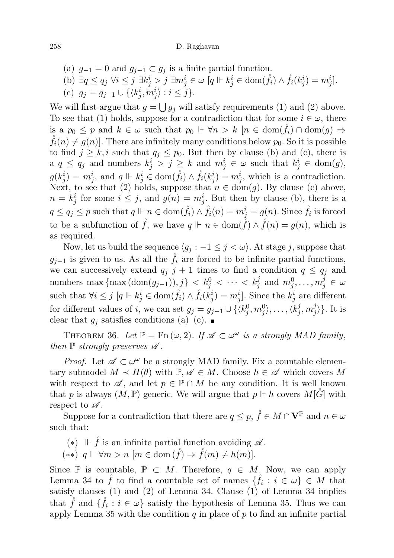- (a)  $g_{-1} = 0$  and  $g_{j-1} \subset g_j$  is a finite partial function.
- (b)  $\exists q \le q_j \ \forall i \le j \ \exists k_j^i > j \ \exists m_j^i \in \omega \ [q \Vdash k_j^i \in \text{dom}(\mathring{f}_i) \wedge \mathring{f}_i(k_j^i) = m_j^i].$
- (c)  $g_j = g_{j-1} \cup \{ \langle k_j^i, m_j^i \rangle : i \leq j \}.$

We will first argue that  $g = \bigcup g_j$  will satisfy requirements (1) and (2) above. To see that (1) holds, suppose for a contradiction that for some  $i \in \omega$ , there is a  $p_0 \leq p$  and  $k \in \omega$  such that  $p_0 \Vdash \forall n > k$   $[n \in \text{dom}(f_i) \cap \text{dom}(g) \Rightarrow$  $\widetilde{f}_i(n) \neq g(n)$ . There are infinitely many conditions below  $p_0$ . So it is possible to find  $j \geq k, i$  such that  $q_i \leq p_0$ . But then by clause (b) and (c), there is a  $q \leq q_j$  and numbers  $k_j^i > j \geq k$  and  $m_j^i \in \omega$  such that  $k_j^i \in \text{dom}(g)$ ,  $g(k_j^i) = m_j^i$ , and  $q \Vdash k_j^i \in \text{dom}(\mathring{f}_i) \wedge \mathring{f}_i(k_j^i) = m_j^i$ , which is a contradiction. Next, to see that (2) holds, suppose that  $n \in \text{dom}(g)$ . By clause (c) above,  $n = k_j^i$  for some  $i \leq j$ , and  $g(n) = m_j^i$ . But then by clause (b), there is a  $q \le q_j \le p$  such that  $q \Vdash n \in \text{dom}(\mathring{f}_i) \land \mathring{f}_i(n) = m_j^i = g(n)$ . Since  $\mathring{f}_i$  is forced to be a subfunction of  $\hat{f}$ , we have  $q \Vdash n \in \text{dom}(\hat{f}) \wedge \hat{f}(n) = q(n)$ , which is as required.

Now, let us build the sequence  $\langle g_i : -1 \leq j < \omega \rangle$ . At stage j, suppose that  $g_{j-1}$  is given to us. As all the  $\check{f}_i$  are forced to be infinite partial functions, we can successively extend  $q_j$  j + 1 times to find a condition  $q \leq q_j$  and numbers max {max  $(\text{dom}(g_{j-1})), j\} < k_j^0 < \cdots < k_j^j$  and  $m_j^0, \ldots, m_j^j \in \omega$ such that  $\forall i \leq j$   $[q \Vdash k_j^i \in \text{dom}(\mathring{f}_i) \land \mathring{f}_i(k_j^i) = m_j^i]$ . Since the  $k_j^i$  are different for different values of i, we can set  $g_j = g_{j-1} \cup \{ \langle k_j^0, m_j^0 \rangle, \dots, \langle k_j^0 \rangle \}$  $j, m_j^j$  $\{j\}\right\}$ . It is clear that  $g_j$  satisfies conditions (a)–(c).

THEOREM 36. Let  $\mathbb{P} = \text{Fn}(\omega, 2)$ . If  $\mathscr{A} \subset \omega^{\omega}$  is a strongly MAD family, then  $\mathbb P$  strongly preserves  $\mathscr A$ .

*Proof.* Let  $\mathscr{A} \subset \omega^{\omega}$  be a strongly MAD family. Fix a countable elementary submodel  $M \prec H(\theta)$  with  $\mathbb{P}, \mathscr{A} \in M$ . Choose  $h \in \mathscr{A}$  which covers M with respect to  $\mathscr{A}$ , and let  $p \in \mathbb{P} \cap M$  be any condition. It is well known that p is always  $(M, \mathbb{P})$  generic. We will argue that  $p \Vdash h$  covers  $M[G]$  with respect to  $\mathscr A$ .

Suppose for a contradiction that there are  $q\leq p, \, \mathring{f}\in M\cap \mathbf{V}^{\mathbb{P}}$  and  $n\in\omega$ such that:

- $(*)$  ⊩  $\dot{f}$  is an infinite partial function avoiding  $\mathscr A$ .
- $(**)$  q  $\Vdash \forall m > n$   $[m \in \text{dom}(\mathring{f}) \Rightarrow \mathring{f}(m) \neq h(m)].$

Since P is countable,  $P \subset M$ . Therefore,  $q \in M$ . Now, we can apply Lemma 34 to  $\mathring{f}$  to find a countable set of names  $\{\mathring{f}_i : i \in \omega\} \in M$  that satisfy clauses (1) and (2) of Lemma 34. Clause (1) of Lemma 34 implies that  $\hat{f}$  and  $\{\hat{f}_i : i \in \omega\}$  satisfy the hypothesis of Lemma 35. Thus we can apply Lemma 35 with the condition  $q$  in place of  $p$  to find an infinite partial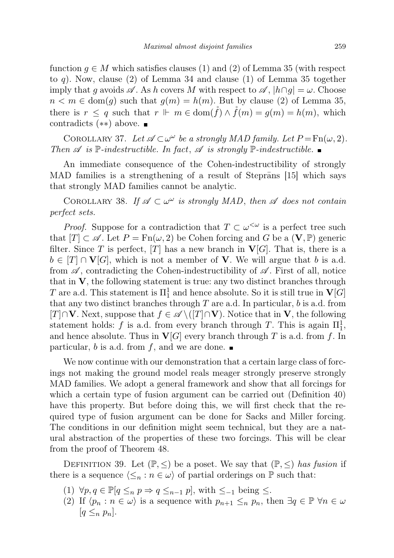function  $g \in M$  which satisfies clauses (1) and (2) of Lemma 35 (with respect to q). Now, clause (2) of Lemma 34 and clause (1) of Lemma 35 together imply that g avoids  $\mathscr A$ . As h covers M with respect to  $\mathscr A$ ,  $|h \cap g| = \omega$ . Choose  $n < m \in \text{dom}(q)$  such that  $q(m) = h(m)$ . But by clause (2) of Lemma 35, there is  $r \leq q$  such that  $r \Vdash m \in \text{dom}(\hat{f}) \wedge \hat{f}(m) = g(m) = h(m)$ , which contradicts (∗∗) above.

COROLLARY 37. Let  $\mathscr{A} \subset \omega^\omega$  be a strongly MAD family. Let  $P = \text{Fn}(\omega, 2)$ . Then  $\mathscr A$  is  $\mathbb P$ -indestructible. In fact,  $\mathscr A$  is strongly  $\mathbb P$ -indestructible.

An immediate consequence of the Cohen-indestructibility of strongly MAD families is a strengthening of a result of Steprans  $[15]$  which says that strongly MAD families cannot be analytic.

COROLLARY 38. If  $\mathscr{A} \subset \omega^\omega$  is strongly MAD, then  $\mathscr A$  does not contain perfect sets.

*Proof.* Suppose for a contradiction that  $T \subset \omega^{\langle \omega \rangle}$  is a perfect tree such that  $[T] \subset \mathscr{A}$ . Let  $P = \text{Fn}(\omega, 2)$  be Cohen forcing and G be a  $(V, \mathbb{P})$  generic filter. Since T is perfect, [T] has a new branch in  $V[G]$ . That is, there is a  $b \in [T] \cap V[G]$ , which is not a member of V. We will argue that b is a.d. from  $\mathscr A$ , contradicting the Cohen-indestructibility of  $\mathscr A$ . First of all, notice that in V, the following statement is true: any two distinct branches through T are a.d. This statement is  $\Pi^1_1$  and hence absolute. So it is still true in  ${\bf V}[G]$ that any two distinct branches through  $T$  are a.d. In particular,  $b$  is a.d. from [T]∩V. Next, suppose that  $f \in \mathscr{A} \setminus ([T] \cap V)$ . Notice that in V, the following statement holds: f is a.d. from every branch through T. This is again  $\Pi_1^1$ , and hence absolute. Thus in  $\mathbf{V}[G]$  every branch through T is a.d. from f. In particular, b is a.d. from f, and we are done.

We now continue with our demonstration that a certain large class of forcings not making the ground model reals meager strongly preserve strongly MAD families. We adopt a general framework and show that all forcings for which a certain type of fusion argument can be carried out (Definition 40) have this property. But before doing this, we will first check that the required type of fusion argument can be done for Sacks and Miller forcing. The conditions in our definition might seem technical, but they are a natural abstraction of the properties of these two forcings. This will be clear from the proof of Theorem 48.

DEFINITION 39. Let  $(\mathbb{P}, \leq)$  be a poset. We say that  $(\mathbb{P}, \leq)$  has fusion if there is a sequence  $\langle \leq_n : n \in \omega \rangle$  of partial orderings on P such that:

- (1)  $\forall p, q \in \mathbb{P}[q \leq_n p \Rightarrow q \leq_{n-1} p]$ , with  $\leq_{-1}$  being  $\leq$ .
- (2) If  $\langle p_n : n \in \omega \rangle$  is a sequence with  $p_{n+1} \leq_n p_n$ , then  $\exists q \in \mathbb{P} \ \forall n \in \omega$  $|q \leq_n p_n|.$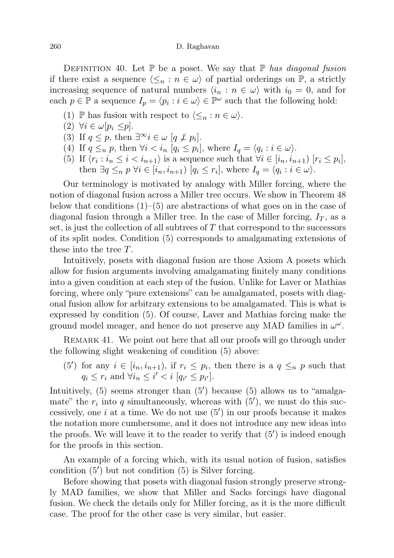DEFINITION 40. Let  $\mathbb P$  be a poset. We say that  $\mathbb P$  has diagonal fusion if there exist a sequence  $\langle \leq_n : n \in \omega \rangle$  of partial orderings on P, a strictly increasing sequence of natural numbers  $\langle i_n : n \in \omega \rangle$  with  $i_0 = 0$ , and for each  $p \in \mathbb{P}$  a sequence  $I_p = \langle p_i : i \in \omega \rangle \in \mathbb{P}^{\omega}$  such that the following hold:

- (1) P has fusion with respect to  $\langle \leq_n : n \in \omega \rangle$ .
- (2)  $\forall i \in \omega[p_i \leq p].$
- (3) If  $q \leq p$ , then  $\exists^{\infty} i \in \omega$   $[q \not\perp p_i]$ .
- (4) If  $q \leq_n p$ , then  $\forall i \leq i_n [q_i \leq p_i]$ , where  $I_q = \langle q_i : i \in \omega \rangle$ .
- (5) If  $\langle r_i : i_n \leq i \langle i_{n+1} \rangle$  is a sequence such that  $\forall i \in [i_n, i_{n+1})$   $[r_i \leq p_i],$ then  $\exists q \leq_n p \forall i \in [i_n, i_{n+1}) [q_i \leq r_i],$  where  $I_q = \langle q_i : i \in \omega \rangle$ .

Our terminology is motivated by analogy with Miller forcing, where the notion of diagonal fusion across a Miller tree occurs. We show in Theorem 48 below that conditions  $(1)$ – $(5)$  are abstractions of what goes on in the case of diagonal fusion through a Miller tree. In the case of Miller forcing,  $I_T$ , as a set, is just the collection of all subtrees of  $T$  that correspond to the successors of its split nodes. Condition (5) corresponds to amalgamating extensions of these into the tree T.

Intuitively, posets with diagonal fusion are those Axiom A posets which allow for fusion arguments involving amalgamating finitely many conditions into a given condition at each step of the fusion. Unlike for Laver or Mathias forcing, where only "pure extensions" can be amalgamated, posets with diagonal fusion allow for arbitrary extensions to be amalgamated. This is what is expressed by condition (5). Of course, Laver and Mathias forcing make the ground model meager, and hence do not preserve any MAD families in  $\omega^{\omega}$ .

REMARK 41. We point out here that all our proofs will go through under the following slight weakening of condition (5) above:

(5') for any  $i \in [i_n, i_{n+1}),$  if  $r_i \leq p_i$ , then there is a  $q \leq_n p$  such that  $q_i \leq r_i$  and  $\forall i_n \leq i' < i$  [ $q_{i'} \leq p_{i'}$ ].

Intuitively,  $(5)$  seems stronger than  $(5')$  because  $(5)$  allows us to "amalgamate" the  $r_i$  into q simultaneously, whereas with  $(5')$ , we must do this successively, one  $i$  at a time. We do not use  $(5')$  in our proofs because it makes the notation more cumbersome, and it does not introduce any new ideas into the proofs. We will leave it to the reader to verify that  $(5')$  is indeed enough for the proofs in this section.

An example of a forcing which, with its usual notion of fusion, satisfies condition  $(5')$  but not condition  $(5)$  is Silver forcing.

Before showing that posets with diagonal fusion strongly preserve strongly MAD families, we show that Miller and Sacks forcings have diagonal fusion. We check the details only for Miller forcing, as it is the more difficult case. The proof for the other case is very similar, but easier.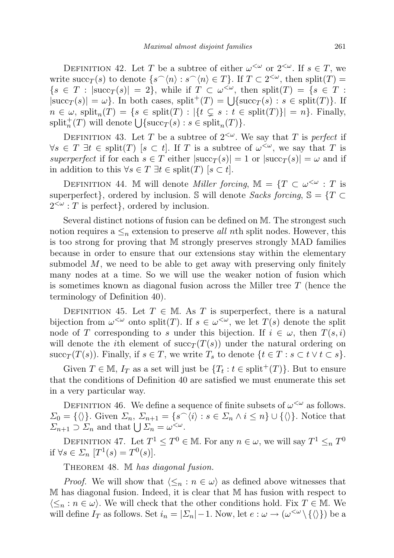DEFINITION 42. Let T be a subtree of either  $\omega^{\langle \omega \rangle}$  or  $2^{\langle \omega \rangle}$ . If  $s \in T$ , we write succ<sub>T</sub>(s) to denote  $\{s^{\frown}\langle n\rangle : s^{\frown}\langle n\rangle \in T\}$ . If  $T \subset 2^{<\omega}$ , then split(T) =  $\{s \in T : |\text{succ}_T(s)| = 2\}$ , while if  $T \subset \omega^{\leq \omega}$ , then  $\text{split}(T) = \{s \in T :$  $|\text{succ}_T(s)| = \omega$ . In both cases,  $\text{split}^+(T) = \bigcup \{ \text{succ}_T(s) : s \in \text{split}(T) \}.$  If  $n \in \omega$ , split $_n(T) = \{s \in \text{split}(T) : |\{t \subsetneq s : t \in \text{split}(T)\}| = n\}.$  Finally,  $split_n^+(T)$  will denote  $\bigcup \{succ_T(s) : s \in \text{split}_n(T) \}.$ 

DEFINITION 43. Let T be a subtree of  $2<sup>{\omega}</sup>$ . We say that T is perfect if  $\forall s \in T \exists t \in \text{split}(T) \; [s \subset t].$  If T is a subtree of  $\omega^{\leq \omega}$ , we say that T is superperfect if for each  $s \in T$  either  $|succ_T(s)| = 1$  or  $|succ_T(s)| = \omega$  and if in addition to this  $\forall s \in T \exists t \in \text{split}(T)$  [ $s \subset t$ ].

DEFINITION 44. M will denote *Miller forcing*, M = { $T \subset \omega^{\leq \omega}$  : T is superperfect}, ordered by inclusion. S will denote Sacks forcing,  $\mathbb{S} = \{T \subset$  $2^{<\omega}$ : T is perfect, ordered by inclusion.

Several distinct notions of fusion can be defined on M. The strongest such notion requires a  $\leq_n$  extension to preserve all nth split nodes. However, this is too strong for proving that M strongly preserves strongly MAD families because in order to ensure that our extensions stay within the elementary submodel  $M$ , we need to be able to get away with preserving only finitely many nodes at a time. So we will use the weaker notion of fusion which is sometimes known as diagonal fusion across the Miller tree T (hence the terminology of Definition 40).

DEFINITION 45. Let  $T \in M$ . As T is superperfect, there is a natural bijection from  $\omega^{\leq \omega}$  onto split(T). If  $s \in \omega^{\leq \omega}$ , we let  $T(s)$  denote the split node of T corresponding to s under this bijection. If  $i \in \omega$ , then  $T(s, i)$ will denote the *i*th element of  $succ_T (T(s))$  under the natural ordering on succ<sub>T</sub> (T(s)). Finally, if  $s \in T$ , we write  $T_s$  to denote  $\{t \in T : s \subset t \vee t \subset s\}.$ 

Given  $T \in \mathbb{M}$ ,  $I_T$  as a set will just be  $\{T_t : t \in \text{split}^+(T)\}$ . But to ensure that the conditions of Definition 40 are satisfied we must enumerate this set in a very particular way.

DEFINITION 46. We define a sequence of finite subsets of  $\omega^{\langle \omega \rangle}$  as follows.  $\Sigma_0 = \{\langle \rangle\}.$  Given  $\Sigma_n$ ,  $\Sigma_{n+1} = \{s^\frown \langle i \rangle : s \in \Sigma_n \land i \leq n\} \cup \{\langle \rangle\}.$  Notice that  $\Sigma_{n+1} \supset \Sigma_n$  and that  $\bigcup \Sigma_n = \omega^{\lt \omega}$ .

DEFINITION 47. Let  $T^1 \leq T^0 \in \mathbb{M}$ . For any  $n \in \omega$ , we will say  $T^1 \leq_n T^0$ if  $\forall s \in \Sigma_n$   $[T^1(s) = T^0(s)].$ 

THEOREM 48. M has diagonal fusion.

*Proof.* We will show that  $\langle \leq_n : n \in \omega \rangle$  as defined above witnesses that M has diagonal fusion. Indeed, it is clear that M has fusion with respect to  $\langle \leq_n : n \in \omega \rangle$ . We will check that the other conditions hold. Fix  $T \in \mathbb{M}$ . We will define  $I_T$  as follows. Set  $i_n = |\Sigma_n| - 1$ . Now, let  $e : \omega \to (\omega^{\leq \omega} \setminus {\{\langle \rangle\}})$  be a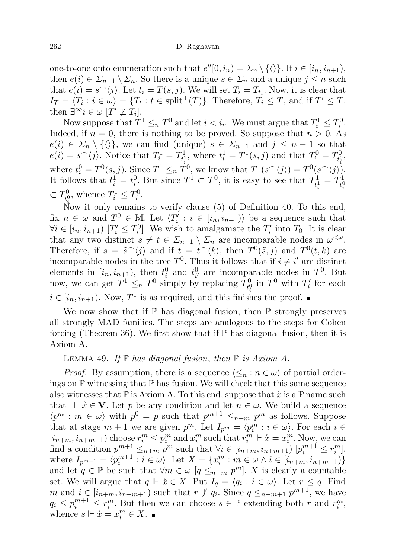one-to-one onto enumeration such that  $e''[0, i_n) = \sum_n \setminus \{\langle\rangle\}.$  If  $i \in [i_n, i_{n+1}),$ then  $e(i) \in \Sigma_{n+1} \setminus \Sigma_n$ . So there is a unique  $s \in \Sigma_n$  and a unique  $j \leq n$  such that  $e(i) = s^{\frown}\langle j \rangle$ . Let  $t_i = T(s, j)$ . We will set  $T_i = T_{t_i}$ . Now, it is clear that  $I_T = \langle T_i : i \in \omega \rangle = \{T_t : t \in \text{split}^+(T)\}.$  Therefore,  $T_i \leq T$ , and if  $T' \leq T$ , then  $\exists^\infty i \in \omega$   $[T' \not\perp T_i]$ .

Now suppose that  $T^1 \leq_n T^0$  and let  $i < i_n$ . We must argue that  $T_i^1 \leq T_i^0$ . Indeed, if  $n = 0$ , there is nothing to be proved. So suppose that  $n > 0$ . As  $e(i) \in \Sigma_n \setminus \{\langle\rangle\},\$ we can find (unique)  $s \in \Sigma_{n-1}$  and  $j \leq n-1$  so that  $e(i) = s^{\frown}\langle j \rangle$ . Notice that  $T_i^1 = T_{t_i^1}^1$  $t_i^1$ , where  $t_i^1 = T^1(s, j)$  and that  $T_i^0 = T^0_{t_i^0}$ where  $t_i^0 = T^0(s, j)$ . Since  $T^1 \leq_n T^0$ , we know that  $T^1(s^-(j)) = T^0(s^-(j))$ . ר $\begin{matrix} 0\ t_i^0 \end{matrix},$ It follows that  $t_i^1 = t_i^0$ . But since  $T^1 \subset T^0$ , it is easy to see that  $T_{t_i^1}^1$  $T^1_{t^1_i} = T^1_{t^0_i}$  $t_i^0$  $\subset T^0_{\rm R}$  $T_i^0$ , whence  $T_i^1 \leq T_i^0$ .

Now it only remains to verify clause (5) of Definition 40. To this end, fix  $n \in \omega$  and  $T^0 \in \mathbb{M}$ . Let  $\langle T'_i : i \in [i_n, i_{n+1}) \rangle$  be a sequence such that  $\forall i \in [i_n, i_{n+1}) \; [T'_i \leq T_i^0]$ . We wish to amalgamate the  $T'_i$  into  $T_0$ . It is clear that any two distinct  $s \neq t \in \Sigma_{n+1} \setminus \Sigma_n$  are incomparable nodes in  $\omega^{\lt \omega}$ . Therefore, if  $s = \tilde{s}^{\frown}\langle j \rangle$  and if  $t = \tilde{t}^{\frown}\langle k \rangle$ , then  $T^0(\tilde{s}, j)$  and  $T^0(\tilde{t}, k)$  are incomparable nodes in the tree  $T^0$ . Thus it follows that if  $i \neq i'$  are distinct elements in  $[i_n, i_{n+1})$ , then  $t_i^0$  and  $t_{i'}^0$  are incomparable nodes in  $T^0$ . But now, we can get  $T^1 \leq_n T^0$  simply by replacing  $T^0_{\mu}$  $T_i^0$  in  $T^0$  with  $T_i'$  for each  $i \in [i_n, i_{n+1})$ . Now,  $T^1$  is as required, and this finishes the proof.

We now show that if  $\mathbb P$  has diagonal fusion, then  $\mathbb P$  strongly preserves all strongly MAD families. The steps are analogous to the steps for Cohen forcing (Theorem 36). We first show that if  $\mathbb P$  has diagonal fusion, then it is Axiom A.

LEMMA 49. If  $\mathbb P$  has diagonal fusion, then  $\mathbb P$  is Axiom A.

*Proof.* By assumption, there is a sequence  $\langle \leq_n : n \in \omega \rangle$  of partial orderings on  $\mathbb P$  witnessing that  $\mathbb P$  has fusion. We will check that this same sequence also witnesses that  $\mathbb P$  is Axiom A. To this end, suppose that  $\mathring{x}$  is a  $\mathbb P$  name such that  $\mathbb{F} \cdot \mathring{x} \in \mathbf{V}$ . Let p be any condition and let  $n \in \omega$ . We build a sequence  $\langle p^m : m \in \omega \rangle$  with  $p^0 = p$  such that  $p^{m+1} \leq_{n+m} p^m$  as follows. Suppose that at stage  $m + 1$  we are given  $p^m$ . Let  $I_{p^m} = \langle p_i^m : i \in \omega \rangle$ . For each  $i \in$  $[i_{n+m}, i_{n+m+1})$  choose  $r_i^m \leq p_i^m$  and  $x_i^m$  such that  $r_i^m \Vdash \mathring{x} = x_i^m$ . Now, we can find a condition  $p^{m+1} \leq_{n+m} p^m$  such that  $\forall i \in [i_{n+m}, i_{n+m+1})$   $[p_i^{m+1} \leq r_i^m]$ , where  $I_{p^{m+1}} = \langle p_i^{m+1} : i \in \omega \rangle$ . Let  $X = \{x_i^m : m \in \omega \land i \in [i_{n+m}, i_{n+m+1})\}$ and let  $q \in \mathbb{P}$  be such that  $\forall m \in \omega \ [q \leq_{n+m} p^m]$ . X is clearly a countable set. We will argue that  $q \Vdash \mathring{x} \in X$ . Put  $I_q = \langle q_i : i \in \omega \rangle$ . Let  $r \leq q$ . Find m and  $i \in [i_{n+m}, i_{n+m+1})$  such that  $r \not\perp q_i$ . Since  $q \leq_{n+m+1} p^{m+1}$ , we have  $q_i \leq p_i^{m+1} \leq r_i^m$ . But then we can choose  $s \in \mathbb{P}$  extending both r and  $r_i^m$ , whence  $s \Vdash \mathring{x} = x_i^m \in X$ .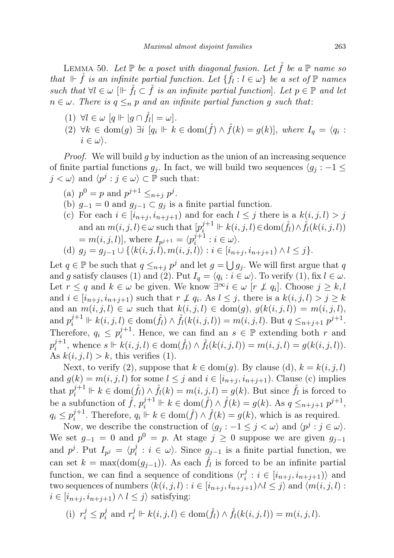LEMMA 50. Let  $\mathbb P$  be a poset with diagonal fusion. Let  $\mathring{f}$  be a  $\mathbb P$  name so that  $\Vdash \mathring{f}$  is an infinite partial function. Let  $\{\mathring{f}_l : l \in \omega\}$  be a set of  $\mathbb P$  names such that  $\forall l \in \omega \; | \mathbb{I} \; \dot{f}$  is an infinite partial function. Let  $p \in \mathbb{P}$  and let  $n \in \omega$ . There is  $q \leq_n p$  and an infinite partial function g such that:

- (1)  $\forall l \in \omega \ [q \Vdash | g \cap \mathring{f}_l | = \omega].$
- (2)  $\forall k \in \text{dom}(g) \exists i \ [q_i \Vdash k \in \text{dom}(\mathring{f}) \land \mathring{f}(k) = g(k)], where I_q = \langle q_i : \mathring{f}(k) = g(k) \rangle$  $i \in \omega$ .

*Proof.* We will build g by induction as the union of an increasing sequence of finite partial functions  $g_j$ . In fact, we will build two sequences  $\langle g_j : -1 \leq \mathcal{E} \rangle$  $j < \omega$  and  $\langle p^j : j \in \omega \rangle \subset \mathbb{P}$  such that:

- (a)  $p^0 = p$  and  $p^{j+1} \leq_{n+j} p^j$ .
- (b)  $g_{-1} = 0$  and  $g_{j-1} \subset g_j$  is a finite partial function.
- (c) For each  $i \in [i_{n+j}, i_{n+j+1})$  and for each  $l \leq j$  there is a  $k(i, j, l) > j$ and an  $m(i, j, l) \in \omega$  such that  $[p_i^{j+1} \Vdash k(i, j, l) \in \text{dom}(\mathring{f}_l) \wedge \mathring{f}_l(k(i, j, l))$  $=[m(i, j, l)],$  where  $I_{p^{j+1}} = \langle p_i^{j+1} \rangle$  $i^{j+1}$  :  $i \in \omega$ .

(d) 
$$
g_j = g_{j-1} \cup \{ \langle k(i,j,l), m(i,j,l) \rangle : i \in [i_{n+j}, i_{n+j+1}) \wedge l \leq j \}.
$$

Let  $q \in \mathbb{P}$  be such that  $q \leq_{n+j} p^j$  and let  $g = \bigcup g_j$ . We will first argue that q and g satisfy clauses (1) and (2). Put  $I_q = \langle q_i : i \in \omega \rangle$ . To verify (1), fix  $l \in \omega$ . Let  $r \leq q$  and  $k \in \omega$  be given. We know  $\exists^{\infty} i \in \omega$  [ $r \not\perp q_i$ ]. Choose  $j \geq k, l$ and  $i \in [i_{n+j}, i_{n+j+1})$  such that  $r \not\perp q_i$ . As  $l \leq j$ , there is a  $k(i, j, l) > j \geq k$ and an  $m(i, j, l) \in \omega$  such that  $k(i, j, l) \in \text{dom}(g)$ ,  $g(k(i, j, l)) = m(i, j, l)$ , and  $p_i^{j+1} \Vdash k(i, j, l) \in \text{dom}(\mathring{f}_l) \wedge \mathring{f}_l(k(i, j, l)) = m(i, j, l)$ . But  $q \leq_{n+j+1} p^{j+1}$ . Therefore,  $q_i \n\t\leq p_i^{j+1}$  $i^{j+1}$ . Hence, we can find an  $s \in \mathbb{P}$  extending both r and  $p_i^{j+1}$  $j_i^{j+1}$ , whence  $s \Vdash k(i, j, l)$  ∈ dom $(\overset{\circ}{f}_l) \wedge \overset{\circ}{f}_l(k(i, j, l)) = m(i, j, l) = g(k(i, j, l)).$ As  $k(i, j, l) > k$ , this verifies (1).

Next, to verify (2), suppose that  $k \in \text{dom}(g)$ . By clause (d),  $k = k(i, j, l)$ and  $g(k) = m(i, j, l)$  for some  $l \leq j$  and  $i \in [i_{n+i}, i_{n+j+1})$ . Clause (c) implies that  $p_i^{j+1} \Vdash k \in \text{dom}(\mathring{f}_l) \wedge \mathring{f}_l(k) = m(i, j, l) = g(k)$ . But since  $\mathring{f}_l$  is forced to be a subfunction of  $\mathring{f}$ ,  $p_i^{j+1} \Vdash k \in \text{dom}(\mathring{f}) \wedge \mathring{f}(k) = g(k)$ . As  $q \leq_{n+j+1} p^{j+1}$ ,  $q_i \leq p_i^{j+1}$  $j_i^{j+1}$ . Therefore,  $q_i \Vdash k \in \text{dom}(\mathring{f}) \land \mathring{f}(k) = g(k)$ , which is as required.

Now, we describe the construction of  $\langle g_j : -1 \leq j < \omega \rangle$  and  $\langle p^j : j \in \omega \rangle$ . We set  $g_{-1} = 0$  and  $p^0 = p$ . At stage  $j \geq 0$  suppose we are given  $g_{j-1}$ and  $p^j$ . Put  $I_{p^j} = \langle p^j_i \rangle$  $i_i^j : i \in \omega$ . Since  $g_{j-1}$  is a finite partial function, we can set  $k = \max(\text{dom}(g_{j-1}))$ . As each  $\mathring{f}_l$  is forced to be an infinite partial function, we can find a sequence of conditions  $\langle r_i^j \rangle$  $i_i^j : i \in [i_{n+j}, i_{n+j+1})\rangle$  and two sequences of numbers  $\langle k(i, j, l) : i \in [i_{n+j}, i_{n+j+1}) \wedge l \leq j \rangle$  and  $\langle m(i, j, l) : j \in [i_{n+j}, i_{n+j+1}] \rangle$  $i \in [i_{n+j}, i_{n+j+1}) \wedge l \leq j$  satisfying:

(i) 
$$
r_i^j \le p_i^j
$$
 and  $r_i^j \Vdash k(i, j, l) \in \text{dom}(\mathring{f}_l) \wedge \mathring{f}_l(k(i, j, l)) = m(i, j, l).$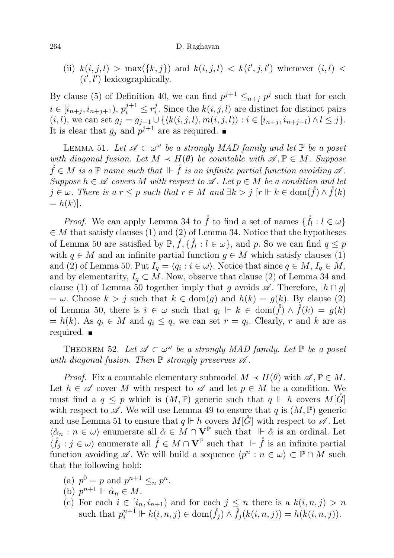#### 264 D. Raghavan

(ii)  $k(i, j, l) > \max({k, j})$  and  $k(i, j, l) < k(i', j, l')$  whenever  $(i, l)$  $(i', l')$  lexicographically.

By clause (5) of Definition 40, we can find  $p^{j+1} \leq_{n+j} p^j$  such that for each  $i \in [i_{n+j}, i_{n+j+1}), p_i^{j+1} \leq r_i^j$ <sup>*i*</sup>. Since the  $k(i, j, l)$  are distinct for distinct pairs  $(i, l)$ , we can set  $g_j = g_{j-1} \cup \{ \langle k(i, j, l), m(i, j, l) \rangle : i \in [i_{n+j}, i_{n+j+l}) \wedge l \leq j \}.$ It is clear that  $g_j$  and  $p^{j+1}$  are as required.

LEMMA 51. Let  $\mathscr{A} \subset \omega^{\omega}$  be a strongly MAD family and let  $\mathbb{P}$  be a poset with diagonal fusion. Let  $M \prec H(\theta)$  be countable with  $\mathscr{A}, \mathbb{P} \in M$ . Suppose  $\mathring{f} \in M$  is a  $\mathbb P$  name such that  $\mathbb F \dot{f}$  is an infinite partial function avoiding  $\mathscr A$ . Suppose  $h \in \mathscr{A}$  covers M with respect to  $\mathscr{A}$ . Let  $p \in M$  be a condition and let  $j \in \omega$ . There is a  $r \leq p$  such that  $r \in M$  and  $\exists k > j$   $[r \Vdash k \in \text{dom}(\check{f}) \wedge \check{f}(k)]$  $= h(k)$ .

*Proof.* We can apply Lemma 34 to  $\mathring{f}$  to find a set of names  $\{\mathring{f}_l : l \in \omega\}$  $\in M$  that satisfy clauses (1) and (2) of Lemma 34. Notice that the hypotheses of Lemma 50 are satisfied by  $\mathbb{P}, \mathring{f}, \{\mathring{f}_l : l \in \omega\}$ , and p. So we can find  $q \leq p$ with  $q \in M$  and an infinite partial function  $q \in M$  which satisfy clauses (1) and (2) of Lemma 50. Put  $I_q = \langle q_i : i \in \omega \rangle$ . Notice that since  $q \in M$ ,  $I_q \in M$ , and by elementarity,  $I_q \subset M$ . Now, observe that clause (2) of Lemma 34 and clause (1) of Lemma 50 together imply that g avoids  $\mathscr A$ . Therefore,  $|h \cap g|$  $=\omega$ . Choose  $k > j$  such that  $k \in \text{dom}(g)$  and  $h(k) = g(k)$ . By clause (2) of Lemma 50, there is  $i \in \omega$  such that  $q_i \Vdash k \in \text{dom}(f) \wedge f(k) = g(k)$  $= h(k)$ . As  $q_i \in M$  and  $q_i \leq q$ , we can set  $r = q_i$ . Clearly, r and k are as required.

THEOREM 52. Let  $\mathscr{A} \subset \omega^{\omega}$  be a strongly MAD family. Let  $\mathbb{P}$  be a poset with diagonal fusion. Then  $\mathbb P$  strongly preserves  $\mathscr A$ .

*Proof.* Fix a countable elementary submodel  $M \prec H(\theta)$  with  $\mathscr{A}, \mathbb{P} \in M$ . Let  $h \in \mathscr{A}$  cover M with respect to  $\mathscr{A}$  and let  $p \in M$  be a condition. We must find a  $q \leq p$  which is  $(M, \mathbb{P})$  generic such that  $q \Vdash h$  covers  $M[G]$ with respect to  $\mathscr A$ . We will use Lemma 49 to ensure that q is  $(M, \mathbb{P})$  generic and use Lemma 51 to ensure that  $q \Vdash h$  covers  $M[\check{G}]$  with respect to  $\mathscr{A}$ . Let  $\langle \alpha_n : n \in \omega \rangle$  enumerate all  $\alpha \in M \cap V^{\mathbb{P}}$  such that  $\|\cdot\|$   $\alpha$  is an ordinal. Let  $\langle \mathring{f}_j : j \in \omega \rangle$  enumerate all  $\mathring{f} \in M \cap V^{\mathbb{P}}$  such that  $\|\vdash \mathring{f}$  is an infinite partial function avoiding  $\mathscr A$ . We will build a sequence  $\langle p^n : n \in \omega \rangle \subset \mathbb P \cap M$  such that the following hold:

- (a)  $p^0 = p$  and  $p^{n+1} \leq_n p^n$ .
- (b)  $p^{n+1} \Vdash \overset{\circ}{\alpha}_n \in M$ .
- (c) For each  $i \in [i_n, i_{n+1})$  and for each  $j \leq n$  there is a  $k(i, n, j) > n$ such that  $p_i^{n+1} \Vdash k(i, n, j) \in \text{dom}(\mathring{f}_j) \land \mathring{f}_j(k(i, n, j)) = h(k(i, n, j)).$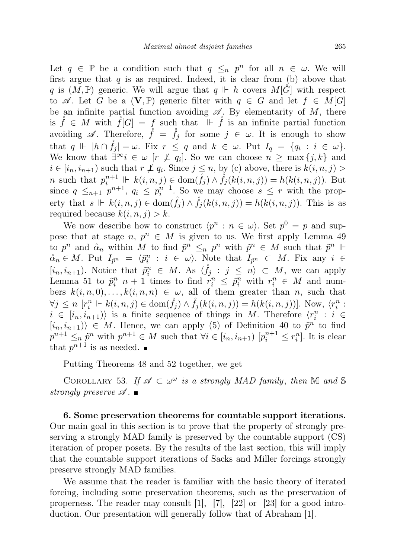Let  $q \in \mathbb{P}$  be a condition such that  $q \leq_n p^n$  for all  $n \in \omega$ . We will first argue that  $q$  is as required. Indeed, it is clear from (b) above that q is  $(M, \mathbb{P})$  generic. We will argue that  $q \Vdash h$  covers  $M[G]$  with respect to  $\mathscr A$ . Let G be a  $(V, \mathbb P)$  generic filter with  $q \in G$  and let  $f \in M[G]$ be an infinite partial function avoiding  $\mathscr A$ . By elementarity of M, there is  $\check{f} \in M$  with  $\check{f}[G] = f$  such that  $\Vdash \check{f}$  is an infinite partial function avoiding  $\mathscr A$ . Therefore,  $\check f = \check f_j$  for some  $j \in \omega$ . It is enough to show that  $q \Vdash |h \cap \mathring{f}_j| = \omega$ . Fix  $r \leq q$  and  $k \in \omega$ . Put  $I_q = \{q_i : i \in \omega\}$ . We know that  $\exists^{\infty} i \in \omega$  [ $r \not\perp q_i$ ]. So we can choose  $n \geq \max\{j,k\}$  and  $i \in [i_n, i_{n+1})$  such that  $r \not\perp q_i$ . Since  $j \leq n$ , by (c) above, there is  $k(i, n, j) >$ n such that  $p_i^{n+1} \Vdash k(i, n, j) \in \text{dom}(\mathring{f}_j) \wedge \mathring{f}_j(k(i, n, j)) = h(k(i, n, j)).$  But since  $q \leq_{n+1} p^{n+1}$ ,  $q_i \leq p_i^{n+1}$ . So we may choose  $s \leq r$  with the property that  $s \Vdash k(i, n, j) \in \text{dom}(\mathring{f}_j) \wedge \mathring{f}_j(k(i, n, j)) = h(k(i, n, j)).$  This is as required because  $k(i, n, j) > k$ .

We now describe how to construct  $\langle p^n : n \in \omega \rangle$ . Set  $p^0 = p$  and suppose that at stage  $n, p^n \in M$  is given to us. We first apply Lemma 49 to  $p^n$  and  $\alpha_n$  within M to find  $\tilde{p}^n \leq_n p^n$  with  $\tilde{p}^n \in M$  such that  $\tilde{p}^n \Vdash$  $\alpha_n \in M$ . Put  $I_{\tilde{p}^n} = \langle \tilde{p}^n_i : i \in \omega \rangle$ . Note that  $I_{\tilde{p}^n} \subset M$ . Fix any  $i \in$  $[i_n, i_{n+1})$ . Notice that  $\tilde{p}_i^n \in M$ . As  $\langle \dot{f}_j : j \leq n \rangle \subset M$ , we can apply Lemma 51 to  $\tilde{p}_i^n$   $n+1$  times to find  $r_i^n \leq \tilde{p}_i^n$  with  $r_i^n \in M$  and numbers  $k(i, n, 0), \ldots, k(i, n, n) \in \omega$ , all of them greater than n, such that  $\forall j \leq n \ [r_i^n \Vdash k(i, n, j) \in \text{dom}(\mathring{f}_j) \land \mathring{f}_j(k(i, n, j)) = h(k(i, n, j))].$  Now,  $\langle r_i^n :$  $i \in [i_n, i_{n+1})$  is a finite sequence of things in M. Therefore  $\langle r_i^n : i \in$  $(i_n, i_{n+1})\rangle \in M$ . Hence, we can apply (5) of Definition 40 to  $\tilde{p}^n$  to find  $p^{n+1} \leq_n \tilde{p}^n$  with  $p^{n+1} \in M$  such that  $\forall i \in [i_n, i_{n+1})$   $[p_i^{n+1} \leq r_i^n]$ . It is clear that  $p^{n+1}$  is as needed.

Putting Theorems 48 and 52 together, we get

COROLLARY 53. If  $\mathscr{A} \subset \omega^\omega$  is a strongly MAD family, then M and S strongly preserve  $\mathscr A$ .

6. Some preservation theorems for countable support iterations. Our main goal in this section is to prove that the property of strongly preserving a strongly MAD family is preserved by the countable support (CS) iteration of proper posets. By the results of the last section, this will imply that the countable support iterations of Sacks and Miller forcings strongly preserve strongly MAD families.

We assume that the reader is familiar with the basic theory of iterated forcing, including some preservation theorems, such as the preservation of properness. The reader may consult [1], [7], [22] or [23] for a good introduction. Our presentation will generally follow that of Abraham [1].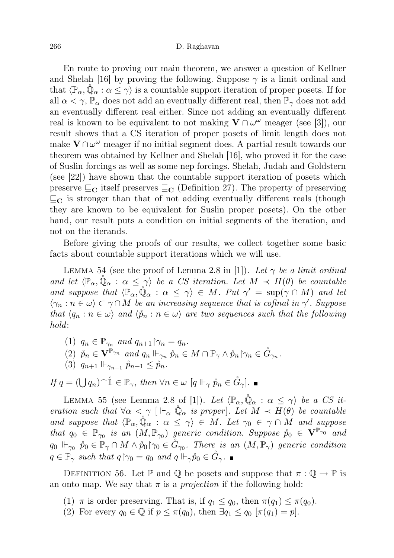En route to proving our main theorem, we answer a question of Kellner and Shelah [16] by proving the following. Suppose  $\gamma$  is a limit ordinal and that  $\langle \mathbb{P}_{\alpha}, \mathbb{Q}_{\alpha} : \alpha \leq \gamma \rangle$  is a countable support iteration of proper posets. If for all  $\alpha < \gamma$ ,  $\mathbb{P}_{\alpha}$  does not add an eventually different real, then  $\mathbb{P}_{\gamma}$  does not add an eventually different real either. Since not adding an eventually different real is known to be equivalent to not making  $V \cap \omega^{\omega}$  meager (see [3]), our result shows that a CS iteration of proper posets of limit length does not make  $\mathbf{V} \cap \omega^{\omega}$  meager if no initial segment does. A partial result towards our theorem was obtained by Kellner and Shelah [16], who proved it for the case of Suslin forcings as well as some nep forcings. Shelah, Judah and Goldstern (see [22]) have shown that the countable support iteration of posets which preserve  $\subseteq_{\mathbf{C}}$  itself preserves  $\subseteq_{\mathbf{C}}$  (Definition 27). The property of preserving  $\sqsubseteq_{\mathbf{C}}$  is stronger than that of not adding eventually different reals (though they are known to be equivalent for Suslin proper posets). On the other hand, our result puts a condition on initial segments of the iteration, and not on the iterands.

Before giving the proofs of our results, we collect together some basic facts about countable support iterations which we will use.

LEMMA 54 (see the proof of Lemma 2.8 in [1]). Let  $\gamma$  be a limit ordinal and let  $\langle \mathbb{P}_{\alpha}, \mathbb{Q}_{\alpha} : \alpha \leq \gamma \rangle$  be a CS iteration. Let  $M \prec H(\theta)$  be countable and suppose that  $\langle \mathbb{P}_{\alpha}, \mathbb{Q}_{\alpha} : \alpha \leq \gamma \rangle \in M$ . Put  $\gamma' = \sup(\gamma \cap M)$  and let  $\langle \gamma_n : n \in \omega \rangle \subset \gamma \cap M$  be an increasing sequence that is cofinal in  $\gamma'$ . Suppose that  $\langle q_n : n \in \omega \rangle$  and  $\langle \hat{p}_n : n \in \omega \rangle$  are two sequences such that the following hold:

- (1)  $q_n \in \mathbb{P}_{\gamma_n}$  and  $q_{n+1} \upharpoonright_{\gamma_n} = q_n$ .
- (2)  $\mathring{p}_n \in V^{\mathbb{P}_{\gamma_n}}$  and  $q_n \Vdash_{\gamma_n} \mathring{p}_n \in M \cap \mathbb{P}_{\gamma} \wedge \mathring{p}_n \upharpoonright_{\gamma_n} \in \mathring{G}_{\gamma_n}$ .
- (3)  $q_{n+1} \Vdash_{\gamma_{n+1}} \hat{p}_{n+1} \leq \hat{p}_n$ .

If  $q = (\bigcup q_n)^\frown \mathring{\mathbb{1}} \in \mathbb{P}_\gamma$ , then  $\forall n \in \omega$   $[q \Vdash_\gamma \mathring{p}_n \in \mathring{G}_\gamma].$ 

LEMMA 55 (see Lemma 2.8 of [1]). Let  $\langle \mathbb{P}_{\alpha}, \check{\mathbb{Q}}_{\alpha} : \alpha \leq \gamma \rangle$  be a CS iteration such that  $\forall \alpha < \gamma$  [ $\Vdash_{\alpha} \mathbb{Q}_{\alpha}$  is proper]. Let  $M \prec H(\theta)$  be countable and suppose that  $\langle \mathbb{P}_{\alpha}, \mathbb{Q}_{\alpha} : \alpha \leq \gamma \rangle \in M$ . Let  $\gamma_0 \in \gamma \cap M$  and suppose that  $q_0 \in \mathbb{P}_{\gamma_0}$  is an  $(M, \mathbb{P}_{\gamma_0})$  generic condition. Suppose  $\mathring{p}_0 \in V^{\mathbb{P}_{\gamma_0}}$  and  $q_0 \Vdash_{\gamma_0} \mathring{p}_0 \in \mathbb{P}_\gamma \cap M \wedge \mathring{p}_0$   $\uparrow \gamma_0 \in \mathring{G}_{\gamma_0}$ . There is an  $(M, \mathbb{P}_\gamma)$  generic condition  $q \in \mathbb{P}_{\gamma}$  such that  $q \upharpoonright_{\gamma} q_0 = q_0$  and  $q \Vdash_{\gamma} \overset{\circ}{p}_0 \in \overset{\circ}{G}_{\gamma}$ .

DEFINITION 56. Let P and Q be posets and suppose that  $\pi : \mathbb{Q} \to \mathbb{P}$  is an onto map. We say that  $\pi$  is a *projection* if the following hold:

- (1)  $\pi$  is order preserving. That is, if  $q_1 \leq q_0$ , then  $\pi(q_1) \leq \pi(q_0)$ .
- (2) For every  $q_0 \in \mathbb{Q}$  if  $p \leq \pi(q_0)$ , then  $\exists q_1 \leq q_0 \; [\pi(q_1) = p]$ .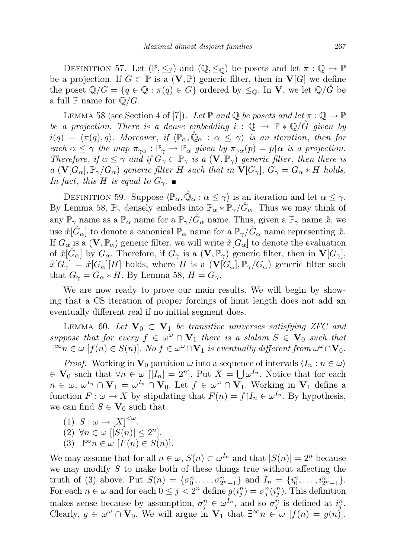DEFINITION 57. Let  $(\mathbb{P}, \leq_{\mathbb{P}})$  and  $(\mathbb{Q}, \leq_{\mathbb{Q}})$  be posets and let  $\pi : \mathbb{Q} \to \mathbb{P}$ be a projection. If  $G \subset \mathbb{P}$  is a  $(\mathbf{V}, \mathbb{P})$  generic filter, then in  $\mathbf{V}[G]$  we define the poset  $\mathbb{Q}/G = \{q \in \mathbb{Q} : \pi(q) \in G\}$  ordered by  $\leq_{\mathbb{Q}}$ . In **V**, we let  $\mathbb{Q}/G$  be a full  $\mathbb P$  name for  $\mathbb Q/G$ .

LEMMA 58 (see Section 4 of [7]). Let  $\mathbb P$  and  $\mathbb Q$  be posets and let  $\pi : \mathbb Q \to \mathbb P$ be a projection. There is a dense embedding  $i : \mathbb{Q} \to \mathbb{P} * \mathbb{Q}/\tilde{G}$  given by  $i(q) = \langle \pi(q), q \rangle$ . Moreover, if  $\langle \mathbb{P}_{\alpha}, \mathbb{Q}_{\alpha} : \alpha \leq \gamma \rangle$  is an iteration, then for each  $\alpha \leq \gamma$  the map  $\pi_{\gamma\alpha} : \mathbb{P}_{\gamma} \to \mathbb{P}_{\alpha}$  given by  $\pi_{\gamma\alpha}(p) = p\upharpoonright \alpha$  is a projection. Therefore, if  $\alpha \leq \gamma$  and if  $G_{\gamma} \subset \mathbb{P}_{\gamma}$  is a  $(\mathbf{V}, \mathbb{P}_{\gamma})$  generic filter, then there is a  $(\mathbf{V}[G_{\alpha}], \mathbb{P}_{\gamma}/G_{\alpha})$  generic filter H such that in  $\mathbf{V}[G_{\gamma}], G_{\gamma} = G_{\alpha} * H$  holds. In fact, this H is equal to  $G_{\gamma}$ .

DEFINITION 59. Suppose  $\langle \mathbb{P}_{\alpha}, \mathbb{Q}_{\alpha} : \alpha \leq \gamma \rangle$  is an iteration and let  $\alpha \leq \gamma$ . By Lemma 58,  $\mathbb{P}_{\gamma}$  densely embeds into  $\mathbb{P}_{\alpha} * \mathbb{P}_{\gamma}/\tilde{G}_{\alpha}$ . Thus we may think of any  $\mathbb{P}_{\gamma}$  name as a  $\mathbb{P}_{\alpha}$  name for a  $\mathbb{P}_{\gamma}/\tilde{G}_{\alpha}$  name. Thus, given a  $\mathbb{P}_{\gamma}$  name  $\tilde{x}$ , we use  $\mathring{x}[\check{G}_{\alpha}]$  to denote a canonical  $\mathbb{P}_{\alpha}$  name for a  $\mathbb{P}_{\gamma}/\check{G}_{\alpha}$  name representing  $\mathring{x}$ . If  $G_{\alpha}$  is a  $(\mathbf{V}, \mathbb{P}_{\alpha})$  generic filter, we will write  $\mathring{x}[G_{\alpha}]$  to denote the evaluation of  $\mathring{x}[\check{G}_{\alpha}]$  by  $G_{\alpha}$ . Therefore, if  $G_{\gamma}$  is a  $(\mathbf{V}, \mathbb{P}_{\gamma})$  generic filter, then in  $\mathbf{V}[G_{\gamma}],$  $\hat{x}[G_{\gamma}] = \hat{x}[G_{\alpha}][H]$  holds, where H is a  $(\mathbf{V}[G_{\alpha}], \mathbb{P}_{\gamma}/G_{\alpha})$  generic filter such that  $G_{\gamma} = G_{\alpha} * H$ . By Lemma 58,  $H = G_{\gamma}$ .

We are now ready to prove our main results. We will begin by showing that a CS iteration of proper forcings of limit length does not add an eventually different real if no initial segment does.

LEMMA 60. Let  $\mathbf{V}_0 \subset \mathbf{V}_1$  be transitive universes satisfying ZFC and suppose that for every  $f \in \omega^{\omega} \cap V_1$  there is a slalom  $S \in V_0$  such that  $\exists^{\infty} n \in \omega \; [f(n) \in S(n)]$ . No  $f \in \omega^{\omega} \cap V_1$  is eventually different from  $\omega^{\omega} \cap V_0$ .

*Proof.* Working in  $\mathbf{V}_0$  partition  $\omega$  into a sequence of intervals  $\langle I_n : n \in \omega \rangle$  $\in V_0$  such that  $\forall n \in \omega$  [| $I_n$ | = 2<sup>n</sup>]. Put  $X = \bigcup \omega^{I_n}$ . Notice that for each  $n \in \omega, \, \omega^{I_n} \cap \mathbf{V}_1 = \omega^{I_n} \cap \mathbf{V}_0$ . Let  $f \in \omega^\omega \cap \mathbf{V}_1$ . Working in  $\mathbf{V}_1$  define a function  $F: \omega \to X$  by stipulating that  $F(n) = f|I_n \in \omega^{I_n}$ . By hypothesis, we can find  $S \in V_0$  such that:

(1)  $S: \omega \to [X]^{<\omega}$ . (2)  $\forall n \in \omega \; | |S(n)| \leq 2^n$ . (3)  $\exists^{\infty} n \in \omega$   $[F(n) \in S(n)]$ .

We may assume that for all  $n \in \omega$ ,  $S(n) \subset \omega^{I_n}$  and that  $|S(n)| = 2^n$  because we may modify  $S$  to make both of these things true without affecting the truth of (3) above. Put  $S(n) = \{\sigma_0^n, \ldots, \sigma_{2^n-1}^n\}$  and  $I_n = \{i_0^n, \ldots, i_{2^n-1}^n\}$ . For each  $n \in \omega$  and for each  $0 \leq j < 2^n$  define  $g(i_j^n) = \sigma_j^n(i_j^n)$ . This definition makes sense because by assumption,  $\sigma_j^n \in \omega^{I_n}$ , and so  $\sigma_j^n$  is defined at  $i_j^n$ . Clearly,  $g \in \omega^{\omega} \cap \mathbf{V}_0$ . We will argue in  $\mathbf{V}_1$  that  $\exists^{\infty} n \in \omega$   $[f(n) = g(n)]$ .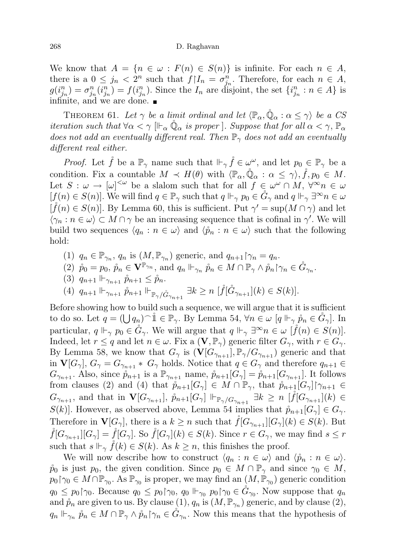We know that  $A = \{n \in \omega : F(n) \in S(n)\}\$ is infinite. For each  $n \in A$ , there is a  $0 \leq j_n < 2^n$  such that  $f|_{n} = \sigma_{j_n}^n$ . Therefore, for each  $n \in A$ ,  $g(i_{j_n}^n) = \sigma_{j_n}^n(i_{j_n}^n) = f(i_{j_n}^n)$ . Since the  $I_n$  are disjoint, the set  $\{i_{j_n}^n : n \in A\}$  is infinite, and we are done.

THEOREM 61. Let  $\gamma$  be a limit ordinal and let  $\langle \mathbb{P}_{\alpha}, \mathbb{Q}_{\alpha} : \alpha \leq \gamma \rangle$  be a CS *iteration such that*  $\forall \alpha < \gamma$   $\|\vdash_{\alpha} \mathbb{Q}_{\alpha}$  *is proper* ]. Suppose that for all  $\alpha < \gamma$ ,  $\mathbb{P}_{\alpha}$ does not add an eventually different real. Then  $\mathbb{P}_{\gamma}$  does not add an eventually different real either.

*Proof.* Let  $\mathring{f}$  be a  $\mathbb{P}_{\gamma}$  name such that  $\mathbb{H}_{\gamma} \mathring{f} \in \omega^{\omega}$ , and let  $p_0 \in \mathbb{P}_{\gamma}$  be a condition. Fix a countable  $M \prec H(\theta)$  with  $\langle \mathbb{P}_{\alpha}, \hat{\mathbb{Q}}_{\alpha} : \alpha \leq \gamma \rangle$ ,  $\mathring{f}, p_0 \in M$ . Let  $S: \omega \to [\omega]^{<\omega}$  be a slalom such that for all  $f \in \omega^{\omega} \cap M$ ,  $\forall^{\infty} n \in \omega$  $[f(n) \in S(n)]$ . We will find  $q \in \mathbb{P}_{\gamma}$  such that  $q \Vdash_{\gamma} p_0 \in \tilde{G}_{\gamma}$  and  $q \Vdash_{\gamma} \exists^{\infty} n \in \omega$  $[\hat{f}(n) \in S(n)]$ . By Lemma 60, this is sufficient. Put  $\gamma' = \sup(M \cap \gamma)$  and let  $\langle \gamma_n : n \in \omega \rangle \subset M \cap \gamma$  be an increasing sequence that is cofinal in  $\gamma'$ . We will build two sequences  $\langle q_n : n \in \omega \rangle$  and  $\langle \hat{p}_n : n \in \omega \rangle$  such that the following hold:

- (1)  $q_n \in \mathbb{P}_{\gamma_n}$ ,  $q_n$  is  $(M, \mathbb{P}_{\gamma_n})$  generic, and  $q_{n+1} \upharpoonright_{\gamma_n} = q_n$ .
- (2)  $\mathring{p}_0 = p_0, \, \mathring{p}_n \in \mathbf{V}^{\mathbb{P}_{\gamma_n}},$  and  $q_n \Vdash_{\gamma_n} \mathring{p}_n \in M \cap \mathbb{P}_{\gamma} \wedge \mathring{p}_n \upharpoonright_{\gamma_n} \in \mathring{G}_{\gamma_n}.$
- (3)  $q_{n+1} \Vdash_{\gamma_{n+1}} \hat{p}_{n+1} \leq \hat{p}_n$ .
- (4)  $q_{n+1} \Vdash_{\gamma_{n+1}} \mathring{p}_{n+1} \Vdash_{\mathbb{P}_\gamma/\mathring{G}_{\gamma_{n+1}}} \exists k \ge n \; [\mathring{f}(\mathring{G}_{\gamma_{n+1}}](k) \in S(k)].$

Before showing how to build such a sequence, we will argue that it is sufficient to do so. Let  $q = (\bigcup q_n)^\frown \mathbb{1} \in \mathbb{P}_\gamma$ . By Lemma 54,  $\forall n \in \omega$   $[q \Vdash_\gamma \mathring{p}_n \in \mathring{G}_\gamma]$ . In particular,  $q \Vdash_{\gamma} p_0 \in \check{G}_{\gamma}$ . We will argue that  $q \Vdash_{\gamma} \exists^{\infty} n \in \omega \; [\check{f}(n) \in S(n)]$ . Indeed, let  $r \leq q$  and let  $n \in \omega$ . Fix a  $(\mathbf{V}, \mathbb{P}_{\gamma})$  generic filter  $G_{\gamma}$ , with  $r \in G_{\gamma}$ . By Lemma 58, we know that  $G_{\gamma}$  is  $(\mathbf{V}[G_{\gamma_{n+1}}], \mathbb{P}_{\gamma}/G_{\gamma_{n+1}})$  generic and that in  $\mathbf{V}[G_{\gamma}], G_{\gamma} = G_{\gamma_{n+1}} * G_{\gamma}$  holds. Notice that  $q \in G_{\gamma}$  and therefore  $q_{n+1} \in$  $G_{\gamma_{n+1}}$ . Also, since  $\mathring{p}_{n+1}$  is a  $\mathbb{P}_{\gamma_{n+1}}$  name,  $\mathring{p}_{n+1}[G_{\gamma}] = \mathring{p}_{n+1}[G_{\gamma_{n+1}}]$ . It follows from clauses (2) and (4) that  $\mathring{p}_{n+1}[G_{\gamma}] \in M \cap \mathbb{P}_{\gamma}$ , that  $\mathring{p}_{n+1}[G_{\gamma}] \upharpoonright_{\gamma_{n+1}} \in$  $G_{\gamma_{n+1}}$ , and that in  $\mathbf{V}[G_{\gamma_{n+1}}]$ ,  $\mathring{p}_{n+1}[G_{\gamma}] \Vdash_{\mathbb{P}_{\gamma}/G_{\gamma_{n+1}}} \exists k \geq n \; [\mathring{f}[G_{\gamma_{n+1}}](k) \in$  $S(k)$ . However, as observed above, Lemma 54 implies that  $\mathring{p}_{n+1}[G_{\gamma}] \in G_{\gamma}$ . Therefore in  $\mathbf{V}[G_{\gamma}],$  there is a  $k \geq n$  such that  $\check{f}[G_{\gamma_{n+1}}][G_{\gamma}](k) \in S(k)$ . But  $\check{f}[G_{\gamma_{n+1}}][G_{\gamma}] = \check{f}[G_{\gamma}].$  So  $\check{f}[G_{\gamma}](k) \in S(k)$ . Since  $r \in G_{\gamma}$ , we may find  $s \leq r$ such that  $s \Vdash_{\gamma} \check{f}(k) \in S(k)$ . As  $k \geq n$ , this finishes the proof.

We will now describe how to construct  $\langle q_n : n \in \omega \rangle$  and  $\langle \mathring{p}_n : n \in \omega \rangle$ .  $\hat{p}_0$  is just  $p_0$ , the given condition. Since  $p_0 \in M \cap \mathbb{P}_{\gamma}$  and since  $\gamma_0 \in M$ ,  $p_0 \upharpoonright \gamma_0 \in M \cap \mathbb{P}_{\gamma_0}$ . As  $\mathbb{P}_{\gamma_0}$  is proper, we may find an  $(M, \mathbb{P}_{\gamma_0})$  generic condition  $q_0 \leq p_0 \upharpoonright_{\gamma_0}$ . Because  $q_0 \leq p_0 \upharpoonright_{\gamma_0} q_0 \Vdash_{\gamma_0} p_0 \upharpoonright_{\gamma_0} \in \mathring{G}_{\gamma_0}$ . Now suppose that  $q_n$ and  $\mathring{p}_n$  are given to us. By clause  $(1)$ ,  $q_n$  is  $(M, \mathbb{P}_{\gamma_n})$  generic, and by clause  $(2)$ ,  $q_n \Vdash_{\gamma_n} \hat{p}_n \in M \cap \mathbb{P}_\gamma \wedge \hat{p}_n \upharpoonright_{\gamma_n} \in \mathring{G}_{\gamma_n}$ . Now this means that the hypothesis of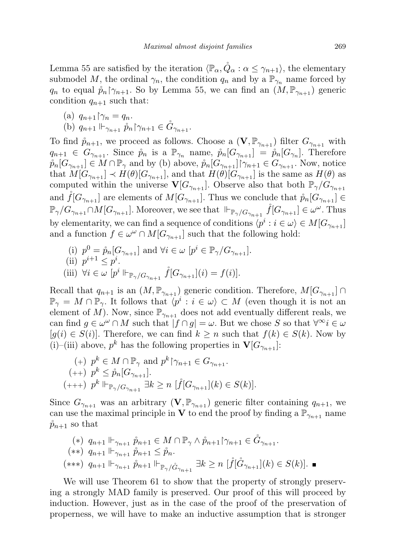Lemma 55 are satisfied by the iteration  $\langle \mathbb{P}_{\alpha}, Q_{\alpha} : \alpha \leq \gamma_{n+1} \rangle$ , the elementary submodel M, the ordinal  $\gamma_n$ , the condition  $q_n$  and by a  $\mathbb{P}_{\gamma_n}$  name forced by  $q_n$  to equal  $\hat{p}_n \upharpoonright_{\gamma_{n+1}}$ . So by Lemma 55, we can find an  $(M, \mathbb{P}_{\gamma_{n+1}})$  generic condition  $q_{n+1}$  such that:

(a) 
$$
q_{n+1} \upharpoonright \gamma_n = q_n
$$
.

(b)  $q_{n+1}$   $\Vdash_{\gamma_{n+1}} \hat{p}_n \upharpoonright_{\gamma_{n+1}} \in \mathring{G}_{\gamma_{n+1}}.$ 

To find  $\mathring{p}_{n+1}$ , we proceed as follows. Choose a  $(\mathbf{V}, \mathbb{P}_{\gamma_{n+1}})$  filter  $G_{\gamma_{n+1}}$  with  $q_{n+1} \in G_{\gamma_{n+1}}$ . Since  $\mathring{p}_n$  is a  $\mathbb{P}_{\gamma_n}$  name,  $\mathring{p}_n[G_{\gamma_{n+1}}] = \mathring{p}_n[G_{\gamma_n}]$ . Therefore  $\hat{p}_n[G_{\gamma_{n+1}}] \in M \cap \mathbb{P}_{\gamma}$  and by (b) above,  $\hat{p}_n[G_{\gamma_{n+1}}] \cap \gamma_{n+1} \in G_{\gamma_{n+1}}$ . Now, notice that  $M[G_{\gamma_{n+1}}] \prec H(\theta)[G_{\gamma_{n+1}}]$ , and that  $H(\theta)[G_{\gamma_{n+1}}]$  is the same as  $H(\theta)$  as computed within the universe  $\mathbf{V}[G_{\gamma_{n+1}}]$ . Observe also that both  $\mathbb{P}_{\gamma}/G_{\gamma_{n+1}}$ and  $\check{f}[G_{\gamma_{n+1}}]$  are elements of  $M[G_{\gamma_{n+1}}]$ . Thus we conclude that  $\mathring{p}_n[G_{\gamma_{n+1}}] \in$  $\mathbb{P}_{\gamma}/G_{\gamma_{n+1}} \cap M[G_{\gamma_{n+1}}]$ . Moreover, we see that  $\Vdash_{\mathbb{P}_{\gamma}/G_{\gamma_{n+1}}} \mathring{f}[G_{\gamma_{n+1}}] \in \omega^{\omega}$ . Thus by elementarity, we can find a sequence of conditions  $\langle p^i : i \in \omega \rangle \in M[G_{\gamma_{n+1}}]$ and a function  $f \in \omega^{\omega} \cap M[G_{\gamma_{n+1}}]$  such that the following hold:

(i) 
$$
p^0 = \mathring{p}_n[G_{\gamma_{n+1}}]
$$
 and  $\forall i \in \omega$   $[p^i \in \mathbb{P}_{\gamma}/G_{\gamma_{n+1}}]$ .  
\n(ii)  $p^{i+1} \leq p^i$ .  
\n(iii)  $\forall i \in \omega$   $[p^i \Vdash_{\mathbb{P}_{\gamma}/G_{\gamma_{n+1}}}\mathring{f}[G_{\gamma_{n+1}}](i) = f(i)].$ 

Recall that  $q_{n+1}$  is an  $(M, \mathbb{P}_{\gamma_{n+1}})$  generic condition. Therefore,  $M[G_{\gamma_{n+1}}] \cap$  $\mathbb{P}_{\gamma} = M \cap \mathbb{P}_{\gamma}$ . It follows that  $\langle p^i : i \in \omega \rangle \subset M$  (even though it is not an element of M). Now, since  $\mathbb{P}_{\gamma_{n+1}}$  does not add eventually different reals, we can find  $g \in \omega^{\omega} \cap M$  such that  $|f \cap g| = \omega$ . But we chose S so that  $\forall^{\infty} i \in \omega$  $[g(i) \in S(i)]$ . Therefore, we can find  $k \geq n$  such that  $f(k) \in S(k)$ . Now by (i)–(iii) above,  $p^k$  has the following properties in  $\mathbf{V}[G_{\gamma_{n+1}}]$ :

$$
\begin{aligned} (+) \quad & p^k \in M \cap \mathbb{P}_\gamma \text{ and } p^k \upharpoonright_{\gamma_{n+1}} \in G_{\gamma_{n+1}}. \\ (++) \quad & p^k \le \mathring{p}_n[G_{\gamma_{n+1}}]. \\ (+++) \quad & p^k \Vdash_{\mathbb{P}_\gamma/G_{\gamma_{n+1}}} \exists k \ge n \; [\mathring{f}[G_{\gamma_{n+1}}](k) \in S(k)]. \end{aligned}
$$

Since  $G_{\gamma_{n+1}}$  was an arbitrary  $(V, \mathbb{P}_{\gamma_{n+1}})$  generic filter containing  $q_{n+1}$ , we can use the maximal principle in **V** to end the proof by finding a  $\mathbb{P}_{\gamma_{n+1}}$  name  $\check{p}_{n+1}$  so that

$$
(*)\ q_{n+1} \Vdash_{\gamma_{n+1}} \mathring{p}_{n+1} \in M \cap \mathbb{P}_{\gamma} \land \mathring{p}_{n+1} \upharpoonright_{\gamma_{n+1}} \in \mathring{G}_{\gamma_{n+1}}.
$$
  
\n
$$
(**)\ q_{n+1} \Vdash_{\gamma_{n+1}} \mathring{p}_{n+1} \leq \mathring{p}_n.
$$
  
\n
$$
(***)\ q_{n+1} \Vdash_{\gamma_{n+1}} \mathring{p}_{n+1} \Vdash_{\mathbb{P}_{\gamma}/\mathring{G}_{\gamma_{n+1}}} \exists k \geq n \; [\mathring{f}[\mathring{G}_{\gamma_{n+1}}](k) \in S(k)].
$$
 ■

We will use Theorem 61 to show that the property of strongly preserving a strongly MAD family is preserved. Our proof of this will proceed by induction. However, just as in the case of the proof of the preservation of properness, we will have to make an inductive assumption that is stronger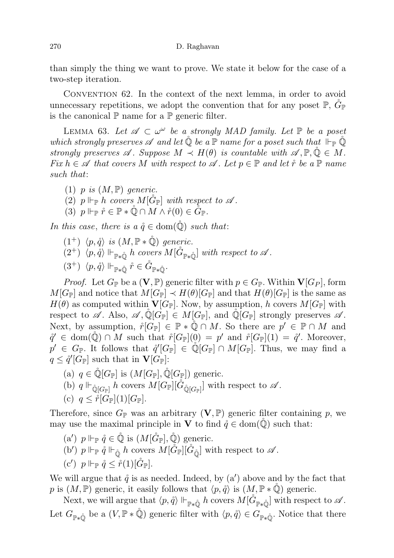than simply the thing we want to prove. We state it below for the case of a two-step iteration.

Convention 62. In the context of the next lemma, in order to avoid unnecessary repetitions, we adopt the convention that for any poset  $\mathbb{P}, G_{\mathbb{P}}$ is the canonical  $\mathbb P$  name for a  $\mathbb P$  generic filter.

LEMMA 63. Let  $\mathscr A \subset \omega^\omega$  be a strongly MAD family. Let  $\mathbb P$  be a poset which strongly preserves  $\mathscr A$  and let  $\mathbb Q$  be a  $\mathbb P$  name for a poset such that  $\Vdash_{\mathbb P} \mathbb Q$ strongly preserves  $\mathscr A$ . Suppose  $M \prec H(\theta)$  is countable with  $\mathscr A, \mathbb P, \mathbb Q \in M$ .  $Fix h \in \mathscr{A}$  that covers M with respect to  $\mathscr{A}$ . Let  $p \in \mathbb{P}$  and let  $\mathring{r}$  be a  $\mathbb{P}$  name such that:

- (1) p is  $(M, \mathbb{P})$  generic.
- (2)  $p \Vdash_{\mathbb{P}} h$  covers  $M[\tilde{G}_{\mathbb{P}}]$  with respect to  $\mathscr A$ .
- (3)  $p \Vdash_{\mathbb{P}} \mathring{r} \in \mathbb{P} \ast \mathbb{Q} \cap M \wedge \mathring{r}(0) \in \check{G}_{\mathbb{P}}$ .

In this case, there is a  $\mathring{q} \in \text{dom}(\mathring{Q})$  such that:

 $(1^+)$   $\langle p, \mathring{q} \rangle$  is  $(M, \mathbb{P} * \mathring{\mathbb{Q}})$  generic.  $(2^+)$   $\langle p,\tilde{q} \rangle \Vdash_{\mathbb{P} * \mathbb{Q}} h$  covers  $M[\mathring{G}_{\mathbb{P} * \mathbb{Q}}]$  with respect to  $\mathscr{A}$ .  $(3^+) \langle p,\mathring{q}\rangle \Vdash_{\mathbb{P} * \mathring{\mathbb{Q}}} \mathring{r} \in \mathring{G}_{\mathbb{P} * \mathring{\mathbb{Q}}}.$ 

*Proof.* Let  $G_{\mathbb{P}}$  be a  $(\mathbf{V}, \mathbb{P})$  generic filter with  $p \in G_{\mathbb{P}}$ . Within  $\mathbf{V}[G_P]$ , form  $M[G_{\mathbb{P}}]$  and notice that  $M[G_{\mathbb{P}}] \prec H(\theta)[G_{\mathbb{P}}]$  and that  $H(\theta)[G_{\mathbb{P}}]$  is the same as  $H(\theta)$  as computed within  $\mathbf{V}[G_{\mathbb{P}}]$ . Now, by assumption, h covers  $M[G_{\mathbb{P}}]$  with respect to  $\mathscr A$ . Also,  $\mathscr A$ ,  $\mathbb Q[G_{\mathbb P}] \in M[G_{\mathbb P}]$ , and  $\mathbb Q[G_{\mathbb P}]$  strongly preserves  $\mathscr A$ . Next, by assumption,  $\mathring{r}[G_{\mathbb{P}}] \in \mathbb{P} * \mathring{\mathbb{Q}} \cap M$ . So there are  $p' \in \mathbb{P} \cap M$  and  $\mathring{q}' \in \text{dom}(\mathring{Q}) \cap M$  such that  $\mathring{r}[G_{\mathbb{P}}](0) = p'$  and  $\mathring{r}[G_{\mathbb{P}}](1) = \mathring{q}'$ . Moreover,  $p' \in G_{\mathbb{P}}$ . It follows that  $\hat{q}'[G_{\mathbb{P}}] \in \mathbb{Q}[G_{\mathbb{P}}] \cap M[G_{\mathbb{P}}]$ . Thus, we may find a  $q \leq \frac{\partial}{\partial} |G_{\mathbb{P}}|$  such that in  $\mathbf{V}[G_{\mathbb{P}}]$ :

- (a)  $q \in \mathbb{Q}[G_{\mathbb{P}}]$  is  $(M[G_{\mathbb{P}}], \mathbb{Q}[G_{\mathbb{P}}])$  generic.
- (b)  $q \Vdash_{\hat{\mathbb{Q}}[G_{\mathbb{P}}]} h$  covers  $M[G_{\mathbb{P}}][\hat{G}_{\hat{\mathbb{Q}}[G_{\mathbb{P}}]}]$  with respect to  $\mathscr{A}$ .
- (c)  $q \leq \r{r}[G_{\mathbb{P}}](1)[G_{\mathbb{P}}].$

Therefore, since  $G_{\mathbb{P}}$  was an arbitrary  $(V, \mathbb{P})$  generic filter containing p, we may use the maximal principle in V to find  $\hat{q} \in \text{dom}(\mathbb{Q})$  such that:

(a')  $p \Vdash_{\mathbb{P}} \mathring{q} \in \mathring{\mathbb{Q}}$  is  $(M[\mathring{G}_{\mathbb{P}}], \mathring{\mathbb{Q}})$  generic. (b')  $p \Vdash_{\mathbb{P}} \mathring{q} \Vdash_{\mathring{\mathbb{O}}} h$  covers  $M[\mathring{G}_{\mathbb{P}}][\mathring{G}_{\mathring{\mathbb{O}}}]\$  with respect to  $\mathscr{A}$ . (c')  $p \Vdash_{\mathbb{P}} \hat{q} \leq \hat{r}(1)[\hat{G}_{\mathbb{P}}].$ 

We will argue that  $\hat{q}$  is as needed. Indeed, by  $(a')$  above and by the fact that p is  $(M, \mathbb{P})$  generic, it easily follows that  $\langle p, \mathring{q} \rangle$  is  $(M, \mathbb{P} * \mathbb{Q})$  generic.

Next, we will argue that  $\langle p, \mathring{q} \rangle \Vdash_{\mathbb{P} * \mathring{\mathbb{Q}}} h$  covers  $M[\mathring{G}_{\mathbb{P} * \mathring{\mathbb{Q}}}]$  with respect to  $\mathscr{A}$ . Let  $G_{\mathbb{P} * \hat{\mathbb{Q}}}$  be a  $(V, \mathbb{P} * \hat{\mathbb{Q}})$  generic filter with  $\langle p, \hat{q} \rangle \in G_{\mathbb{P} * \hat{\mathbb{Q}}}$ . Notice that there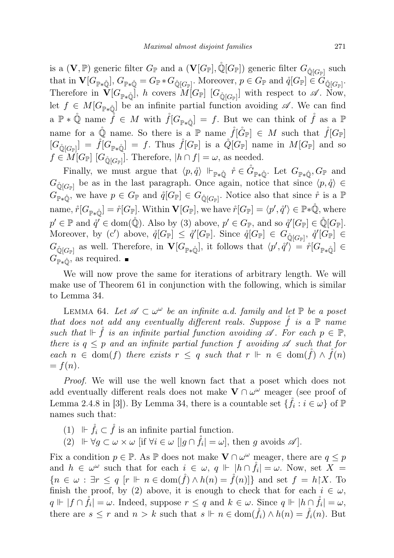is a  $(\mathbf V, \mathbb P)$  generic filter  $G_{\mathbb P}$  and a  $(\mathbf V[G_{\mathbb P}], \mathbb Q[G_{\mathbb P}])$  generic filter  $G_{\mathbb Q[G_{\mathbb P}]}$  such that in  $\mathbf{V}[G_{\mathbb{P}\ast\hat{\mathbb{Q}}}], G_{\mathbb{P}\ast\hat{\mathbb{Q}}} = G_{\mathbb{P}} * G_{\hat{\mathbb{Q}}[G_{\mathbb{P}}]}$ . Moreover,  $p \in G_{\mathbb{P}}$  and  $\hat{q}[G_{\mathbb{P}}] \in G_{\hat{\mathbb{Q}}[G_{\mathbb{P}}]}$ . Therefore in  $\mathbf{V}[G_{\mathbb{P}*\dot{\mathbb{Q}}}]$ , h covers  $M[G_{\mathbb{P}}]$   $[G_{\dot{\mathbb{Q}}[G_{\mathbb{P}}]}]$  with respect to  $\mathscr{A}$ . Now, let  $f \in M[G_{\mathbb{P} * \mathbb{Q}}]$  be an infinite partial function avoiding  $\mathscr{A}$ . We can find  $a \nightharpoonup \ast \mathring{\mathbb{Q}}$  name  $\mathring{f} \in M$  with  $\mathring{f}[G_{\mathbb{P}*\mathring{\mathbb{Q}}}] = f$ . But we can think of  $\mathring{f}$  as a  $\mathbb{P}$ name for a  $\mathbb{Q}$  name. So there is a P name  $\mathring{f}[\mathring{G}_{\mathbb{P}}] \in M$  such that  $\mathring{f}[G_{\mathbb{P}}]$  $[G_{\hat{Q}[G_{\mathbb{P}}]}] = \hat{f}[G_{\mathbb{P} * \hat{Q}}] = f$ . Thus  $\hat{f}[G_{\mathbb{P}}]$  is a  $\hat{Q}[G_{\mathbb{P}}]$  name in  $M[G_{\mathbb{P}}]$  and so  $f \in M[G_{\mathbb{P}}]$  [ $G_{\mathbb{Q}[G_{\mathbb{P}}]}$ ]. Therefore,  $|h \cap f| = \omega$ , as needed.

Finally, we must argue that  $\langle p, \hat{q} \rangle \Vdash_{\mathbb{P} * \hat{\mathbb{Q}}} \hat{r} \in \mathring{G}_{\mathbb{P} * \hat{\mathbb{Q}}}.$  Let  $G_{\mathbb{P} * \hat{\mathbb{Q}}}, G_{\mathbb{P}}$  and  $G_{\mathbb{Q}[G_{\mathbb{P}}]}$  be as in the last paragraph. Once again, notice that since  $\langle p,\mathring{q} \rangle \in$  $G_{\mathbb{P} * \hat{\mathbb{Q}}}^{\mathbb{P}^*}$  we have  $p \in G_{\mathbb{P}}$  and  $\mathring{q}[G_{\mathbb{P}}] \in G_{\hat{\mathbb{Q}}[G_{\mathbb{P}}]}$ . Notice also that since  $\mathring{r}$  is a  $\mathbb{P}$ name,  $\mathring{r}[G_{\mathbb{P} * \hat{\mathbb{Q}}}] = \mathring{r}[G_{\mathbb{P}}]$ . Within  $\mathbf{V}[G_{\mathbb{P}}]$ , we have  $\mathring{r}[G_{\mathbb{P}}] = \langle p', \mathring{q}' \rangle \in \mathbb{P} * \hat{\mathbb{Q}}$ , where  $p' \in \mathbb{P}$  and  $\mathring{q}' \in \text{dom}(\mathring{\mathbb{Q}})$ . Also by (3) above,  $p' \in G_{\mathbb{P}}$ , and so  $\mathring{q}'[G_{\mathbb{P}}] \in \mathring{\mathbb{Q}}[G_{\mathbb{P}}]$ . Moreover, by (c') above,  $\mathring{q}[G_{\mathbb{P}}] \leq \mathring{q}'[G_{\mathbb{P}}]$ . Since  $\mathring{q}[G_{\mathbb{P}}] \in G_{\hat{Q}[G_{\mathbb{P}}]}$ ,  $\mathring{q}'[G_{\mathbb{P}}] \in$  $G_{\mathbb{Q}[G_{\mathbb{P}}]}$  as well. Therefore, in  $\mathbf{V}[G_{\mathbb{P}\ast\mathbb{Q}}]$ , it follows that  $\langle p', \dot{q}' \rangle = \dot{r}[G_{\mathbb{P}\ast\mathbb{Q}}] \in$  $G_{\mathbb{P} * \hat{\mathbb{Q}}},$  as required.

We will now prove the same for iterations of arbitrary length. We will make use of Theorem 61 in conjunction with the following, which is similar to Lemma 34.

LEMMA 64. Let  $\mathscr{A} \subset \omega^{\omega}$  be an infinite a.d. family and let  $\mathbb{P}$  be a poset that does not add any eventually different reals. Suppose f is a  $\mathbb P$  name such that  $\Vdash \check{f}$  is an infinite partial function avoiding  $\mathscr{A}$ . For each  $p \in \mathbb{P}$ , there is  $q \leq p$  and an infinite partial function f avoiding  $\mathscr A$  such that for each  $n \in \text{dom}(f)$  there exists  $r \leq q$  such that  $r \Vdash n \in \text{dom}(\check{f}) \wedge \check{f}(n)$  $= f(n).$ 

Proof. We will use the well known fact that a poset which does not add eventually different reals does not make  $V \cap \omega^{\omega}$  meager (see proof of Lemma 2.4.8 in [3]). By Lemma 34, there is a countable set  $\{\mathring{f}_i : i \in \omega\}$  of  $\mathbb P$ names such that:

- (1)  $\mathbb{F} \dot{f}_i \subset \dot{f}$  is an infinite partial function.
- (2)  $\Vdash \forall g \subset \omega \times \omega$  [if  $\forall i \in \omega$  [ $|g \cap \mathring{f}_i| = \omega$ ], then g avoids  $\mathscr{A}$ ].

Fix a condition  $p \in \mathbb{P}$ . As  $\mathbb{P}$  does not make  $\mathbf{V} \cap \omega^{\omega}$  meager, there are  $q \leq p$ and  $h \in \omega^{\omega}$  such that for each  $i \in \omega$ ,  $q \Vdash |h \cap \mathring{f}_i| = \omega$ . Now, set  $X =$  ${n \in \omega : \exists r \leq q \ [r \Vdash n \in \text{dom}(\mathring{f}) \wedge h(n) = \mathring{f}(n)}$  and set  $f = h \upharpoonright X$ . To finish the proof, by (2) above, it is enough to check that for each  $i \in \omega$ ,  $q \Vdash |f \cap \mathring{f}_i| = \omega$ . Indeed, suppose  $r \leq q$  and  $k \in \omega$ . Since  $q \Vdash |h \cap \mathring{f}_i| = \omega$ , there are  $s \leq r$  and  $n > k$  such that  $s \Vdash n \in \text{dom}(\hat{f}_i) \wedge h(n) = \hat{f}_i(n)$ . But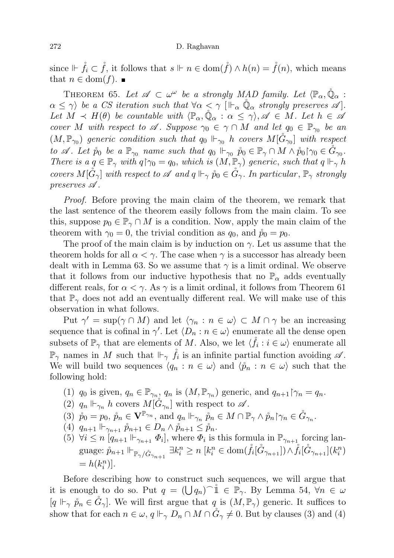since  $\mathbb{F} \dot{f}_i \subset \dot{f}$ , it follows that  $s \Vdash n \in \text{dom}(\dot{f}) \wedge h(n) = \dot{f}(n)$ , which means that  $n \in \text{dom}(f)$ .

THEOREM 65. Let  $\mathscr{A} \subset \omega^\omega$  be a strongly MAD family. Let  $\langle \mathbb{P}_\alpha, \mathring{\mathbb{Q}}_\alpha \rangle$ :  $\alpha \leq \gamma$ ) be a CS iteration such that  $\forall \alpha < \gamma$   $\vert \Vdash_{\alpha} \mathbb{Q}_{\alpha}$  strongly preserves  $\mathscr{A}$ . Let  $M \prec H(\theta)$  be countable with  $\langle \mathbb{P}_{\alpha}, \mathbb{Q}_{\alpha} : \alpha \leq \gamma \rangle$ ,  $\mathscr{A} \in M$ . Let  $h \in \mathscr{A}$ cover M with respect to  $\mathscr A$ . Suppose  $\gamma_0 \in \gamma \cap M$  and let  $q_0 \in \mathbb P_{\gamma_0}$  be an  $(M, \mathbb{P}_{\gamma_0})$  generic condition such that  $q_0 \Vdash_{\gamma_0} h$  covers  $M[\mathring{G}_{\gamma_0}]$  with respect to  $\mathscr A$ . Let  $\mathring{p}_0$  be a  $\mathbb{P}_{\gamma_0}$  name such that  $q_0 \Vdash_{\gamma_0} \mathring{p}_0 \in \mathbb{P}_{\gamma} \cap M \wedge \mathring{p}_0$   $\gamma_0 \in \mathring{G}_{\gamma_0}$ . There is a  $q \in \mathbb{P}_{\gamma}$  with  $q \mid \gamma_0 = q_0$ , which is  $(M, \mathbb{P}_{\gamma})$  generic, such that  $q \Vdash_{\gamma} h$ covers  $M[\tilde{G}_{\gamma}]$  with respect to  $\mathscr A$  and  $q \Vdash_{\gamma} \hat{p}_0 \in \tilde{G}_{\gamma}$ . In particular,  $\mathbb P_{\gamma}$  strongly preserves A .

Proof. Before proving the main claim of the theorem, we remark that the last sentence of the theorem easily follows from the main claim. To see this, suppose  $p_0 \in \mathbb{P}_\gamma \cap M$  is a condition. Now, apply the main claim of the theorem with  $\gamma_0 = 0$ , the trivial condition as  $q_0$ , and  $\mathring{p}_0 = p_0$ .

The proof of the main claim is by induction on  $\gamma$ . Let us assume that the theorem holds for all  $\alpha < \gamma$ . The case when  $\gamma$  is a successor has already been dealt with in Lemma 63. So we assume that  $\gamma$  is a limit ordinal. We observe that it follows from our inductive hypothesis that no  $\mathbb{P}_{\alpha}$  adds eventually different reals, for  $\alpha < \gamma$ . As  $\gamma$  is a limit ordinal, it follows from Theorem 61 that  $\mathbb{P}_{\gamma}$  does not add an eventually different real. We will make use of this observation in what follows.

Put  $\gamma' = \sup(\gamma \cap M)$  and let  $\langle \gamma_n : n \in \omega \rangle \subset M \cap \gamma$  be an increasing sequence that is cofinal in  $\gamma'$ . Let  $\langle D_n : n \in \omega \rangle$  enumerate all the dense open subsets of  $\mathbb{P}_{\gamma}$  that are elements of M. Also, we let  $\langle \mathring{f}_i : i \in \omega \rangle$  enumerate all  $\mathbb{P}_{\gamma}$  names in M such that  $\mathbb{H}_{\gamma}$   $\mathring{f}_i$  is an infinite partial function avoiding  $\mathscr{A}$ . We will build two sequences  $\langle q_n : n \in \omega \rangle$  and  $\langle \hat{p}_n : n \in \omega \rangle$  such that the following hold:

- (1)  $q_0$  is given,  $q_n \in \mathbb{P}_{\gamma_n}$ ,  $q_n$  is  $(M, \mathbb{P}_{\gamma_n})$  generic, and  $q_{n+1} \upharpoonright_{\gamma_n} = q_n$ .
- (2)  $q_n \Vdash_{\gamma_n} h$  covers  $M[\hat{G}_{\gamma_n}]$  with respect to  $\mathscr{A}$ .
- (3)  $\mathring{p}_0 = p_0, \, \mathring{p}_n \in \mathbf{V}^{\mathbb{P}_{\gamma_n}},$  and  $q_n \Vdash_{\gamma_n} \mathring{p}_n \in M \cap \mathbb{P}_{\gamma} \wedge \mathring{p}_n \upharpoonright_{\gamma_n} \in \mathring{G}_{\gamma_n}.$
- (4)  $q_{n+1} \Vdash_{\gamma_{n+1}} \hat{p}_{n+1} \in D_n \wedge \hat{p}_{n+1} \leq \hat{p}_n.$
- (5)  $\forall i \leq n \left[ q_{n+1} \right] \vdash_{\gamma_{n+1}} \Phi_i$ , where  $\Phi_i$  is this formula in  $\mathbb{P}_{\gamma_{n+1}}$  forcing language:  $\mathring{p}_{n+1} \Vdash_{\mathbb{P}_\gamma/\mathring{G}_{\gamma_{n+1}}} \exists k_i^n \geq n \; [k_i^n \in \text{dom}(\mathring{f}_i[\mathring{G}_{\gamma_{n+1}}]) \wedge \mathring{f}_i[\mathring{G}_{\gamma_{n+1}}](k_i^n)$  $= h(k_i^n)$ .

Before describing how to construct such sequences, we will argue that it is enough to do so. Put  $q = (\bigcup q_n)$ <sup>n</sup>  $\in \mathbb{P}_{\gamma}$ . By Lemma 54,  $\forall n \in \omega$  $[q \Vdash_{\gamma} \hat{p}_n \in \check{G}_\gamma]$ . We will first argue that q is  $(M, \mathbb{P}_{\gamma})$  generic. It suffices to show that for each  $n \in \omega$ ,  $q \Vdash_{\gamma} D_n \cap M \cap \check{G}_{\gamma} \neq 0$ . But by clauses (3) and (4)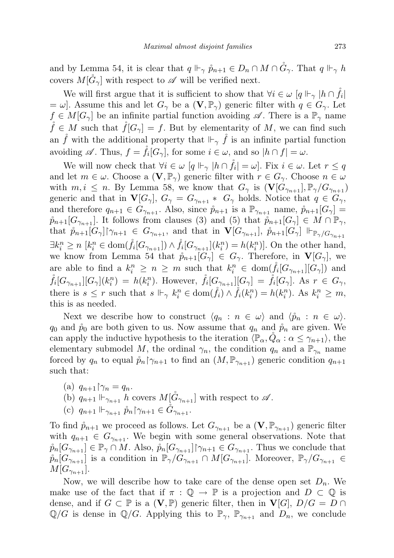and by Lemma 54, it is clear that  $q \Vdash_{\gamma} \hat{p}_{n+1} \in D_n \cap M \cap \tilde{G}_{\gamma}$ . That  $q \Vdash_{\gamma} h$ covers  $M[\tilde{G}_{\gamma}]$  with respect to  $\mathscr A$  will be verified next.

We will first argue that it is sufficient to show that  $\forall i \in \omega \; [q \Vdash_{\gamma} |h \cap \mathring{f}_i|$  $= \omega$ . Assume this and let  $G_{\gamma}$  be a  $(V, \mathbb{P}_{\gamma})$  generic filter with  $q \in G_{\gamma}$ . Let  $f \in M[G_{\gamma}]$  be an infinite partial function avoiding  $\mathscr{A}$ . There is a  $\mathbb{P}_{\gamma}$  name  $\mathring{f} \in M$  such that  $\mathring{f}[G_{\gamma}] = f$ . But by elementarity of M, we can find such an  $\hat{f}$  with the additional property that  $\mathbb{H}_{\gamma}$   $\hat{f}$  is an infinite partial function avoiding  $\mathscr A$ . Thus,  $f = \r{f}_i[G_\gamma]$ , for some  $i \in \omega$ , and so  $|h \cap f| = \omega$ .

We will now check that  $\forall i \in \omega \; [q \Vdash_{\gamma} |h \cap \mathring{f}_i| = \omega]$ . Fix  $i \in \omega$ . Let  $r \leq q$ and let  $m \in \omega$ . Choose a  $(V, \mathbb{P}_{\gamma})$  generic filter with  $r \in G_{\gamma}$ . Choose  $n \in \omega$ with  $m, i \leq n$ . By Lemma 58, we know that  $G_{\gamma}$  is  $(\mathbf{V}[G_{\gamma_{n+1}}], \mathbb{P}_{\gamma}/G_{\gamma_{n+1}})$ generic and that in  $\mathbf{V}[G_{\gamma}], G_{\gamma} = G_{\gamma_{n+1}} * G_{\gamma}$  holds. Notice that  $q \in G_{\gamma}$ , and therefore  $q_{n+1} \in G_{\gamma_{n+1}}$ . Also, since  $\mathring{p}_{n+1}$  is a  $\mathbb{P}_{\gamma_{n+1}}$  name,  $\mathring{p}_{n+1}[G_{\gamma}] =$  $\hat{p}_{n+1}[G_{\gamma_{n+1}}]$ . It follows from clauses (3) and (5) that  $\hat{p}_{n+1}[G_{\gamma}] \in M \cap \mathbb{P}_{\gamma}$ , that  $\mathring{p}_{n+1}[G_{\gamma}] \gamma_{n+1} \in G_{\gamma_{n+1}}$ , and that in  $\mathbf{V}[G_{\gamma_{n+1}}]$ ,  $\mathring{p}_{n+1}[G_{\gamma}] \Vdash_{\mathbb{P}_{\gamma}/G_{\gamma_{n+1}}}$  $\exists k_i^n \geq n \; [k_i^n \in \text{dom}(\mathring{f}_i[G_{\gamma_{n+1}}]) \wedge \mathring{f}_i[G_{\gamma_{n+1}}](k_i^n) = h(k_i^n)].$  On the other hand, we know from Lemma 54 that  $\mathring{p}_{n+1}[G_{\gamma}] \in G_{\gamma}$ . Therefore, in  $\mathbf{V}[G_{\gamma}]$ , we are able to find a  $k_i^n \geq n \geq m$  such that  $k_i^n \in \text{dom}(\mathring{f}_i[G_{\gamma_{n+1}}][G_{\gamma}])$  and  $\mathring{f}_i[G_{\gamma_{n+1}}][G_{\gamma}](k_i^n) = h(k_i^n)$ . However,  $\mathring{f}_i[G_{\gamma_{n+1}}][G_{\gamma}] = \mathring{f}_i[G_{\gamma}]$ . As  $r \in G_{\gamma}$ , there is  $s \leq r$  such that  $s \Vdash_{\gamma} k_i^n \in \text{dom}(\mathring{f}_i) \wedge \mathring{f}_i(k_i^n) = h(k_i^n)$ . As  $k_i^n \geq m$ , this is as needed.

Next we describe how to construct  $\langle q_n : n \in \omega \rangle$  and  $\langle \overset{\circ}{p}_n : n \in \omega \rangle$ .  $q_0$  and  $\hat{p}_0$  are both given to us. Now assume that  $q_n$  and  $\hat{p}_n$  are given. We can apply the inductive hypothesis to the iteration  $\langle \mathbb{P}_{\alpha}, Q_{\alpha} : \alpha \leq \gamma_{n+1} \rangle$ , the elementary submodel M, the ordinal  $\gamma_n$ , the condition  $q_n$  and a  $\mathbb{P}_{\gamma_n}$  name forced by  $q_n$  to equal  $\hat{p}_n \upharpoonright_{\gamma_{n+1}}$  to find an  $(M, \mathbb{P}_{\gamma_{n+1}})$  generic condition  $q_{n+1}$ such that:

- (a)  $q_{n+1} \upharpoonright \gamma_n = q_n$ .
- (b)  $q_{n+1} \Vdash_{\gamma_{n+1}} h$  covers  $M[\hat{G}_{\gamma_{n+1}}]$  with respect to  $\mathscr{A}$ .
- (c)  $q_{n+1} \Vdash_{\gamma_{n+1}} \mathring{p}_n \upharpoonright_{\gamma_{n+1}} \in \tilde{G}_{\gamma_{n+1}}.$

To find  $\hat{p}_{n+1}$  we proceed as follows. Let  $G_{\gamma_{n+1}}$  be a  $(\mathbf{V}, \mathbb{P}_{\gamma_{n+1}})$  generic filter with  $q_{n+1} \in G_{\gamma_{n+1}}$ . We begin with some general observations. Note that  $\mathring{p}_n[G_{\gamma_{n+1}}] \in \mathbb{P}_{\gamma} \cap M$ . Also,  $\mathring{p}_n[G_{\gamma_{n+1}}] \cap \gamma_{n+1} \in G_{\gamma_{n+1}}$ . Thus we conclude that  $\hat{p}_n[G_{\gamma_{n+1}}]$  is a condition in  $\mathbb{P}_{\gamma}/G_{\gamma_{n+1}} \cap M[G_{\gamma_{n+1}}]$ . Moreover,  $\mathbb{P}_{\gamma}/G_{\gamma_{n+1}} \in$  $M[G_{\gamma_{n+1}}].$ 

Now, we will describe how to take care of the dense open set  $D_n$ . We make use of the fact that if  $\pi : \mathbb{Q} \to \mathbb{P}$  is a projection and  $D \subset \mathbb{Q}$  is dense, and if  $G \subset \mathbb{P}$  is a  $(V, \mathbb{P})$  generic filter, then in  $V[G], D/G = D \cap$  $\mathbb{Q}/G$  is dense in  $\mathbb{Q}/G$ . Applying this to  $\mathbb{P}_{\gamma}$ ,  $\mathbb{P}_{\gamma_{n+1}}$  and  $D_n$ , we conclude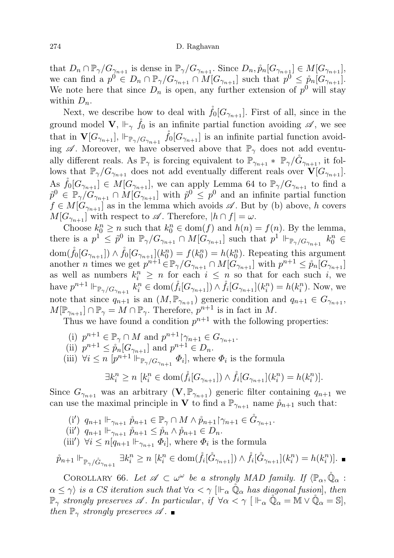# 274 D. Raghavan

that  $D_n \cap \mathbb{P}_{\gamma}/G_{\gamma_{n+1}}$  is dense in  $\mathbb{P}_{\gamma}/G_{\gamma_{n+1}}$ . Since  $D_n, \mathring{p}_n[G_{\gamma_{n+1}}] \in M[G_{\gamma_{n+1}}]$ , we can find a  $p^0 \in D_n \cap \mathbb{P}_\gamma/G_{\gamma_{n+1}} \cap M[G_{\gamma_{n+1}}]$  such that  $p^0 \leq \mathring{p}_n[G_{\gamma_{n+1}}]$ . We note here that since  $D_n$  is open, any further extension of  $p^0$  will stay within  $D_n$ .

Next, we describe how to deal with  $\tilde{f}_0[G_{\gamma_{n+1}}]$ . First of all, since in the ground model  $V$ ,  $\Vdash_{\gamma} \check{f}_0$  is an infinite partial function avoiding  $\mathscr{A}$ , we see that in  $\mathbf{V}[G_{\gamma_{n+1}}], \Vdash_{\mathbb{P}_\gamma/G_{\gamma_{n+1}}} \hat{f}_0[G_{\gamma_{n+1}}]$  is an infinite partial function avoiding  $\mathscr A$ . Moreover, we have observed above that  $\mathbb{P}_{\gamma}$  does not add eventually different reals. As  $\mathbb{P}_{\gamma}$  is forcing equivalent to  $\mathbb{P}_{\gamma_{n+1}} * \mathbb{P}_{\gamma}/\tilde{G}_{\gamma_{n+1}}$ , it follows that  $\mathbb{P}_{\gamma}/G_{\gamma_{n+1}}$  does not add eventually different reals over  $\mathbf{V}[G_{\gamma_{n+1}}]$ . As  $\mathring{f}_0[G_{\gamma_{n+1}}] \in M[G_{\gamma_{n+1}}]$ , we can apply Lemma 64 to  $\mathbb{P}_{\gamma}/G_{\gamma_{n+1}}$  to find a  $\tilde{p}^0 \in \mathbb{P}_\gamma/G_{\gamma_{n+1}} \cap M[G_{\gamma_{n+1}}]$  with  $\tilde{p}^0 \leq p^0$  and an infinite partial function  $f \in M[G_{\gamma_{n+1}}]$  as in the lemma which avoids  $\mathscr A$ . But by (b) above, h covers  $M[G_{\gamma_{n+1}}]$  with respect to  $\mathscr A$ . Therefore,  $|h \cap f| = \omega$ .

Choose  $k_0^n \ge n$  such that  $k_0^n \in \text{dom}(f)$  and  $h(n) = f(n)$ . By the lemma, there is a  $p^1 \leq \tilde{p}^0$  in  $\mathbb{P}_{\gamma}/G_{\gamma_{n+1}} \cap M[G_{\gamma_{n+1}}]$  such that  $p^1 \Vdash_{\mathbb{P}_{\gamma}/G_{\gamma_{n+1}}} k_0^n \in$  $\text{dom}(\mathring{f}_0[G_{\gamma_{n+1}}]) \wedge \mathring{f}_0[G_{\gamma_{n+1}}](k_0^n) = f(k_0^n) = h(k_0^n)$ . Repeating this argument another *n* times we get  $p^{n+1} \in \mathbb{P}_{\gamma}/G_{\gamma_{n+1}} \cap M[G_{\gamma_{n+1}}]$  with  $p^{n+1} \leq p_n[G_{\gamma_{n+1}}]$ as well as numbers  $k_i^n \geq n$  for each  $i \leq n$  so that for each such i, we have  $p^{n+1} \Vdash_{\mathbb{P}_\gamma/G_{\gamma_{n+1}}} k_i^n \in \text{dom}(\mathring{f}_i[G_{\gamma_{n+1}}]) \wedge \mathring{f}_i[G_{\gamma_{n+1}}](k_i^n) = h(k_i^n)$ . Now, we note that since  $q_{n+1}$  is an  $(M, \mathbb{P}_{\gamma_{n+1}})$  generic condition and  $q_{n+1} \in G_{\gamma_{n+1}}$ ,  $M[\mathbb{P}_{\gamma_{n+1}}] \cap \mathbb{P}_{\gamma} = M \cap \mathbb{P}_{\gamma}$ . Therefore,  $p^{n+1}$  is in fact in M.

Thus we have found a condition  $p^{n+1}$  with the following properties:

- (i)  $p^{n+1} \in \mathbb{P}_{\gamma} \cap M$  and  $p^{n+1} \upharpoonright_{\gamma_{n+1}} \in G_{\gamma_{n+1}}$ .
- (ii)  $p^{n+1} \leq \overset{\circ}{p}_n[G_{\gamma_{n+1}}]$  and  $p^{n+1} \in D_n$ .
- (iii)  $\forall i \leq n \ [p^{n+1} \Vdash_{\mathbb{P}_\gamma/G_{\gamma_{n+1}}} \Phi_i],$  where  $\Phi_i$  is the formula

$$
\exists k_i^n \ge n \ [k_i^n \in \text{dom}(\mathring{f}_i[G_{\gamma_{n+1}}]) \wedge \mathring{f}_i[G_{\gamma_{n+1}}](k_i^n) = h(k_i^n)].
$$

Since  $G_{\gamma_{n+1}}$  was an arbitrary  $(V, \mathbb{P}_{\gamma_{n+1}})$  generic filter containing  $q_{n+1}$  we can use the maximal principle in **V** to find a  $\mathbb{P}_{\gamma_{n+1}}$  name  $\hat{p}_{n+1}$  such that:

- (i')  $q_{n+1} \Vdash_{\gamma_{n+1}} \mathring{p}_{n+1} \in \mathbb{P}_{\gamma} \cap M \wedge \mathring{p}_{n+1} \upharpoonright_{\gamma_{n+1}} \in \mathring{G}_{\gamma_{n+1}}.$
- (ii)  $q_{n+1} \Vdash_{\gamma_{n+1}} \mathring{p}_{n+1} \leq \mathring{p}_n \wedge \mathring{p}_{n+1} \in D_n.$
- (iii')  $\forall i \leq n \overline{q_{n+1}} \Vdash_{\gamma_{n+1}} \Phi_i$ , where  $\Phi_i$  is the formula

$$
\mathring{p}_{n+1} \Vdash_{\mathbb{P}_{\gamma}/\mathring{G}_{\gamma_{n+1}}} \exists k_i^n \ge n \ [k_i^n \in \text{dom}(\mathring{f}_i[\mathring{G}_{\gamma_{n+1}}]) \wedge \mathring{f}_i[\mathring{G}_{\gamma_{n+1}}](k_i^n) = h(k_i^n)].
$$

COROLLARY 66. Let  $\mathscr{A} \subset \omega^\omega$  be a strongly MAD family. If  $\langle \mathbb{P}_\alpha, \mathring{\mathbb{Q}}_\alpha$ :  $\alpha \leq \gamma$  is a CS iteration such that  $\forall \alpha < \gamma$   $\vert \Vdash_{\alpha} \mathbb{Q}_{\alpha}$  has diagonal fusion, then  $\mathbb{P}_{\gamma}$  strongly preserves  $\mathscr{A}$ . In particular, if  $\forall \alpha < \gamma \, | \, \mathbb{H}_{\alpha} \mathbb{Q}_{\alpha} = \mathbb{M} \vee \mathbb{Q}_{\alpha} = \mathbb{S}$ , then  $\mathbb{P}_{\gamma}$  strongly preserves  $\mathscr{A}. \blacksquare$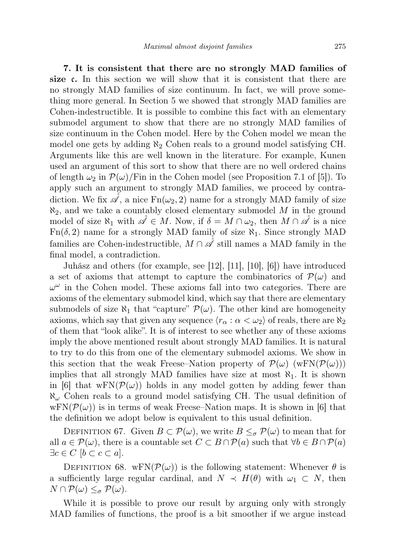7. It is consistent that there are no strongly MAD families of size c. In this section we will show that it is consistent that there are no strongly MAD families of size continuum. In fact, we will prove something more general. In Section 5 we showed that strongly MAD families are Cohen-indestructible. It is possible to combine this fact with an elementary submodel argument to show that there are no strongly MAD families of size continuum in the Cohen model. Here by the Cohen model we mean the model one gets by adding  $\aleph_2$  Cohen reals to a ground model satisfying CH. Arguments like this are well known in the literature. For example, Kunen used an argument of this sort to show that there are no well ordered chains of length  $\omega_2$  in  $\mathcal{P}(\omega)/\text{Fin}$  in the Cohen model (see Proposition 7.1 of [5]). To apply such an argument to strongly MAD families, we proceed by contradiction. We fix  $\mathscr{A}$ , a nice  $Fn(\omega_2, 2)$  name for a strongly MAD family of size  $\aleph_2$ , and we take a countably closed elementary submodel M in the ground model of size  $\aleph_1$  with  $\mathscr{A} \in M$ . Now, if  $\delta = M \cap \omega_2$ , then  $M \cap \mathscr{A}$  is a nice  $Fn(\delta, 2)$  name for a strongly MAD family of size  $\aleph_1$ . Since strongly MAD families are Cohen-indestructible,  $M \cap \mathscr{A}$  still names a MAD family in the final model, a contradiction.

Juhász and others (for example, see [12], [11], [10], [6]) have introduced a set of axioms that attempt to capture the combinatorics of  $\mathcal{P}(\omega)$  and  $\omega^{\omega}$  in the Cohen model. These axioms fall into two categories. There are axioms of the elementary submodel kind, which say that there are elementary submodels of size  $\aleph_1$  that "capture"  $\mathcal{P}(\omega)$ . The other kind are homogeneity axioms, which say that given any sequence  $\langle r_{\alpha} : \alpha < \omega_2 \rangle$  of reals, there are  $\aleph_2$ of them that "look alike". It is of interest to see whether any of these axioms imply the above mentioned result about strongly MAD families. It is natural to try to do this from one of the elementary submodel axioms. We show in this section that the weak Freese–Nation property of  $\mathcal{P}(\omega)$  (wFN( $\mathcal{P}(\omega)$ )) implies that all strongly MAD families have size at most  $\aleph_1$ . It is shown in [6] that  $wFN(\mathcal{P}(\omega))$  holds in any model gotten by adding fewer than  $\aleph_{\omega}$  Cohen reals to a ground model satisfying CH. The usual definition of  $wFN(\mathcal{P}(\omega))$  is in terms of weak Freese–Nation maps. It is shown in [6] that the definition we adopt below is equivalent to this usual definition.

DEFINITION 67. Given  $B \subset \mathcal{P}(\omega)$ , we write  $B \leq_{\sigma} \mathcal{P}(\omega)$  to mean that for all  $a \in \mathcal{P}(\omega)$ , there is a countable set  $C \subset B \cap \mathcal{P}(a)$  such that  $\forall b \in B \cap \mathcal{P}(a)$  $\exists c \in C \; [b \subset c \subset a].$ 

DEFINITION 68. wFN( $\mathcal{P}(\omega)$ ) is the following statement: Whenever  $\theta$  is a sufficiently large regular cardinal, and  $N \prec H(\theta)$  with  $\omega_1 \subset N$ , then  $N \cap \mathcal{P}(\omega) \leq_{\sigma} \mathcal{P}(\omega).$ 

While it is possible to prove our result by arguing only with strongly MAD families of functions, the proof is a bit smoother if we argue instead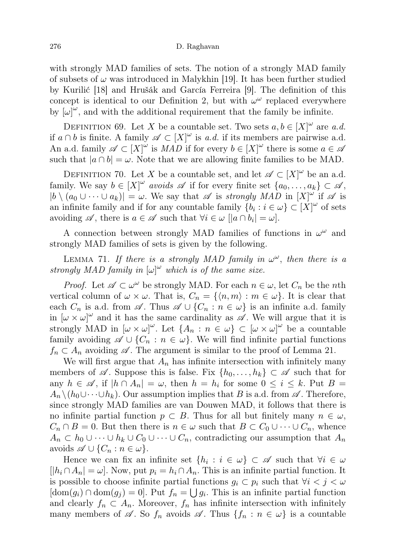with strongly MAD families of sets. The notion of a strongly MAD family of subsets of  $\omega$  was introduced in Malykhin [19]. It has been further studied by Kurilić [18] and Hrušák and García Ferreira [9]. The definition of this concept is identical to our Definition 2, but with  $\omega^{\omega}$  replaced everywhere by  $[\omega]^{\omega}$ , and with the additional requirement that the family be infinite.

DEFINITION 69. Let X be a countable set. Two sets  $a, b \in [X]^{\omega}$  are a.d. if  $a \cap b$  is finite. A family  $\mathscr{A} \subset [X]^{\omega}$  is a.d. if its members are pairwise a.d. An a.d. family  $\mathscr{A} \subset [X]^{\omega}$  is  $MAD$  if for every  $b \in [X]^{\omega}$  there is some  $a \in \mathscr{A}$ such that  $|a \cap b| = \omega$ . Note that we are allowing finite families to be MAD.

DEFINITION 70. Let X be a countable set, and let  $\mathscr{A} \subset [X]^{\omega}$  be an a.d. family. We say  $b \in [X]^{\omega}$  avoids  $\mathscr A$  if for every finite set  $\{a_0, \ldots, a_k\} \subset \mathscr A$ ,  $|b \setminus (a_0 \cup \cdots \cup a_k)| = \omega$ . We say that  $\mathscr A$  is strongly MAD in  $[X]^\omega$  if  $\mathscr A$  is an infinite family and if for any countable family  $\{b_i : i \in \omega\} \subset [X]^\omega$  of sets avoiding  $\mathscr{A}$ , there is  $a \in \mathscr{A}$  such that  $\forall i \in \omega \; |[a \cap b_i] = \omega]$ .

A connection between strongly MAD families of functions in  $\omega^{\omega}$  and strongly MAD families of sets is given by the following.

LEMMA 71. If there is a strongly MAD family in  $\omega^{\omega}$ , then there is a strongly MAD family in  $[\omega]^\omega$  which is of the same size.

*Proof.* Let  $\mathscr{A} \subset \omega^{\omega}$  be strongly MAD. For each  $n \in \omega$ , let  $C_n$  be the *n*th vertical column of  $\omega \times \omega$ . That is,  $C_n = \{ \langle n, m \rangle : m \in \omega \}.$  It is clear that each  $C_n$  is a.d. from  $\mathscr A$ . Thus  $\mathscr A \cup \{C_n : n \in \omega\}$  is an infinite a.d. family in  $[\omega \times \omega]^{\omega}$  and it has the same cardinality as  $\mathscr{A}$ . We will argue that it is strongly MAD in  $[\omega \times \omega]^{\omega}$ . Let  $\{A_n : n \in \omega\} \subset [\omega \times \omega]^{\omega}$  be a countable family avoiding  $\mathscr{A} \cup \{C_n : n \in \omega\}$ . We will find infinite partial functions  $f_n \subset A_n$  avoiding  $\mathscr A$ . The argument is similar to the proof of Lemma 21.

We will first argue that  $A_n$  has infinite intersection with infinitely many members of  $\mathscr A$ . Suppose this is false. Fix  $\{h_0, \ldots, h_k\} \subset \mathscr A$  such that for any  $h \in \mathscr{A}$ , if  $|h \cap A_n| = \omega$ , then  $h = h_i$  for some  $0 \le i \le k$ . Put  $B =$  $A_n \setminus (h_0 \cup \cdots \cup h_k)$ . Our assumption implies that B is a.d. from  $\mathscr{A}$ . Therefore, since strongly MAD families are van Douwen MAD, it follows that there is no infinite partial function  $p \subset B$ . Thus for all but finitely many  $n \in \omega$ ,  $C_n \cap B = 0$ . But then there is  $n \in \omega$  such that  $B \subset C_0 \cup \cdots \cup C_n$ , whence  $A_n \subset h_0 \cup \cdots \cup h_k \cup C_0 \cup \cdots \cup C_n$ , contradicting our assumption that  $A_n$ avoids  $\mathscr{A} \cup \{C_n : n \in \omega\}.$ 

Hence we can fix an infinite set  $\{h_i : i \in \omega\} \subset \mathscr{A}$  such that  $\forall i \in \omega$  $[h_i \cap A_n] = \omega$ . Now, put  $p_i = h_i \cap A_n$ . This is an infinite partial function. It is possible to choose infinite partial functions  $g_i \subset p_i$  such that  $\forall i < j < \omega$  $[\text{dom}(g_i) \cap \text{dom}(g_j) = 0]$ . Put  $f_n = \bigcup g_i$ . This is an infinite partial function and clearly  $f_n \subset A_n$ . Moreover,  $f_n$  has infinite intersection with infinitely many members of  $\mathscr A$ . So  $f_n$  avoids  $\mathscr A$ . Thus  $\{f_n : n \in \omega\}$  is a countable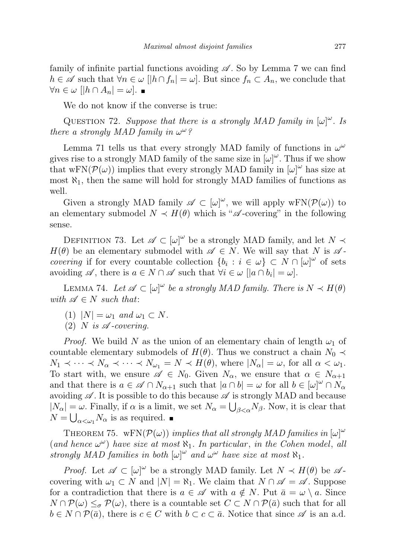family of infinite partial functions avoiding  $\mathscr A$ . So by Lemma 7 we can find  $h \in \mathscr{A}$  such that  $\forall n \in \omega \; | |h \cap f_n| = \omega$ . But since  $f_n \subset A_n$ , we conclude that  $\forall n \in \omega \; [|h \cap A_n| = \omega].$ 

We do not know if the converse is true:

QUESTION 72. Suppose that there is a strongly MAD family in  $[\omega]^\omega$ . Is there a strongly MAD family in  $\omega^{\omega}$ ?

Lemma 71 tells us that every strongly MAD family of functions in  $\omega^{\omega}$ gives rise to a strongly MAD family of the same size in  $[\omega]^\omega$ . Thus if we show that wFN( $\mathcal{P}(\omega)$ ) implies that every strongly MAD family in  $[\omega]^{\omega}$  has size at most  $\aleph_1$ , then the same will hold for strongly MAD families of functions as well.

Given a strongly MAD family  $\mathscr{A} \subset [\omega]^\omega$ , we will apply  $wFN(\mathcal{P}(\omega))$  to an elementary submodel  $N \prec H(\theta)$  which is " $\mathscr{A}$ -covering" in the following sense.

DEFINITION 73. Let  $\mathscr{A} \subset [\omega]^{\omega}$  be a strongly MAD family, and let  $N \prec$  $H(\theta)$  be an elementary submodel with  $\mathscr{A} \in N$ . We will say that N is  $\mathscr{A}$ covering if for every countable collection  $\{b_i : i \in \omega\} \subset N \cap [\omega]^\omega$  of sets avoiding  $\mathscr A$ , there is  $a \in N \cap \mathscr A$  such that  $\forall i \in \omega \; [|a \cap b_i| = \omega]$ .

LEMMA 74. Let  $\mathscr{A} \subset [\omega]^{\omega}$  be a strongly MAD family. There is  $N \prec H(\theta)$ with  $\mathscr{A} \in N$  such that:

- (1)  $|N| = \omega_1$  and  $\omega_1 \subset N$ .
- (2) N is  $\mathscr A$ -covering.

*Proof.* We build N as the union of an elementary chain of length  $\omega_1$  of countable elementary submodels of  $H(\theta)$ . Thus we construct a chain  $N_0 \prec$  $N_1 \prec \cdots \prec N_\alpha \prec \cdots \prec N_{\omega_1} = N \prec H(\theta)$ , where  $|N_\alpha| = \omega$ , for all  $\alpha < \omega_1$ . To start with, we ensure  $\mathscr{A} \in N_0$ . Given  $N_\alpha$ , we ensure that  $\alpha \in N_{\alpha+1}$ and that there is  $a \in \mathscr{A} \cap N_{\alpha+1}$  such that  $|a \cap b| = \omega$  for all  $b \in [\omega]^{\omega} \cap N_{\alpha}$ avoiding  $\mathscr A$ . It is possible to do this because  $\mathscr A$  is strongly MAD and because  $|N_{\alpha}| = \omega$ . Finally, if  $\alpha$  is a limit, we set  $N_{\alpha} = \bigcup_{\beta < \alpha} N_{\beta}$ . Now, it is clear that  $N = \bigcup_{\alpha < \omega_1} N_{\alpha}$  is as required.

THEOREM 75. wFN( $\mathcal{P}(\omega)$ ) implies that all strongly MAD families in  $[\omega]^{\omega}$ (and hence  $\omega^{\omega}$ ) have size at most  $\aleph_1$ . In particular, in the Cohen model, all strongly MAD families in both  $[\omega]^\omega$  and  $\omega^\omega$  have size at most  $\aleph_1$ .

*Proof.* Let  $\mathscr{A} \subset [\omega]^{\omega}$  be a strongly MAD family. Let  $N \prec H(\theta)$  be  $\mathscr{A}$ covering with  $\omega_1 \subset N$  and  $|N| = \aleph_1$ . We claim that  $N \cap \mathscr{A} = \mathscr{A}$ . Suppose for a contradiction that there is  $a \in \mathscr{A}$  with  $a \notin N$ . Put  $\bar{a} = \omega \setminus a$ . Since  $N \cap \mathcal{P}(\omega) \leq_{\sigma} \mathcal{P}(\omega)$ , there is a countable set  $C \subset N \cap \mathcal{P}(\bar{a})$  such that for all  $b \in N \cap \mathcal{P}(\bar{a})$ , there is  $c \in C$  with  $b \subset c \subset \bar{a}$ . Notice that since  $\mathscr A$  is an a.d.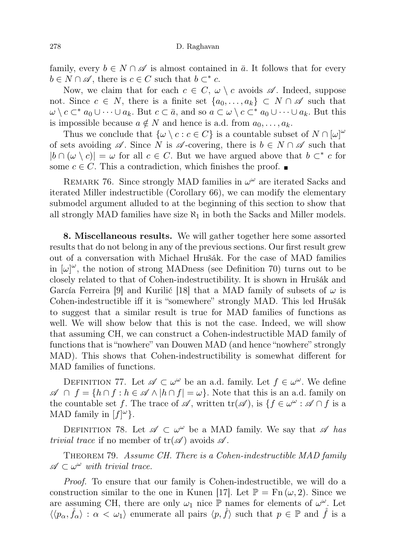family, every  $b \in N \cap \mathscr{A}$  is almost contained in  $\bar{a}$ . It follows that for every  $b \in N \cap \mathscr{A}$ , there is  $c \in C$  such that  $b \subset^* c$ .

Now, we claim that for each  $c \in C$ ,  $\omega \setminus c$  avoids  $\mathscr A$ . Indeed, suppose not. Since  $c \in N$ , there is a finite set  $\{a_0, \ldots, a_k\} \subset N \cap \mathscr{A}$  such that  $\omega \setminus c \subset^* a_0 \cup \cdots \cup a_k$ . But  $c \subset \bar{a}$ , and so  $a \subset \omega \setminus c \subset^* a_0 \cup \cdots \cup a_k$ . But this is impossible because  $a \notin N$  and hence is a.d. from  $a_0, \ldots, a_k$ .

Thus we conclude that  $\{\omega \setminus c : c \in C\}$  is a countable subset of  $N \cap [\omega]^{\omega}$ of sets avoiding  $\mathscr A$ . Since N is  $\mathscr A$ -covering, there is  $b \in N \cap \mathscr A$  such that  $|b \cap (\omega \setminus c)| = \omega$  for all  $c \in C$ . But we have argued above that  $b \subset^* c$  for some  $c \in C$ . This a contradiction, which finishes the proof.  $\blacksquare$ 

REMARK 76. Since strongly MAD families in  $\omega^{\omega}$  are iterated Sacks and iterated Miller indestructible (Corollary 66), we can modify the elementary submodel argument alluded to at the beginning of this section to show that all strongly MAD families have size  $\aleph_1$  in both the Sacks and Miller models.

8. Miscellaneous results. We will gather together here some assorted results that do not belong in any of the previous sections. Our first result grew out of a conversation with Michael Hrušák. For the case of MAD families in  $[\omega]^\omega$ , the notion of strong MADness (see Definition 70) turns out to be closely related to that of Cohen-indestructibility. It is shown in Hrušák and García Ferreira [9] and Kurilić [18] that a MAD family of subsets of  $\omega$  is Cohen-indestructible iff it is "somewhere" strongly MAD. This led Hrušák to suggest that a similar result is true for MAD families of functions as well. We will show below that this is not the case. Indeed, we will show that assuming CH, we can construct a Cohen-indestructible MAD family of functions that is "nowhere" van Douwen MAD (and hence "nowhere" strongly MAD). This shows that Cohen-indestructibility is somewhat different for MAD families of functions.

DEFINITION 77. Let  $\mathscr{A} \subset \omega^{\omega}$  be an a.d. family. Let  $f \in \omega^{\omega}$ . We define  $\mathscr{A} \cap f = \{h \cap f : h \in \mathscr{A} \land |h \cap f| = \omega\}.$  Note that this is an a.d. family on the countable set f. The trace of  $\mathscr A$ , written  $\text{tr}(\mathscr A)$ , is  $\{f \in \omega^\omega : \mathscr A \cap f$  is a MAD family in  $[f]^{\omega}$ .

DEFINITION 78. Let  $\mathscr{A} \subset \omega^\omega$  be a MAD family. We say that  $\mathscr{A}$  has *trivial trace* if no member of  $tr(\mathscr{A})$  avoids  $\mathscr{A}$ .

THEOREM 79. Assume CH. There is a Cohen-indestructible MAD family  $\mathscr{A} \subset \omega^\omega$  with trivial trace.

Proof. To ensure that our family is Cohen-indestructible, we will do a construction similar to the one in Kunen [17]. Let  $\mathbb{P} = \text{Fn}(\omega, 2)$ . Since we are assuming CH, there are only  $\omega_1$  nice  $\mathbb P$  names for elements of  $\omega^{\omega}$ . Let  $\langle\langle p_\alpha, \check{f}_\alpha\rangle : \alpha < \omega_1\rangle$  enumerate all pairs  $\langle p, \check{f}\rangle$  such that  $p \in \mathbb{P}$  and  $\check{f}$  is a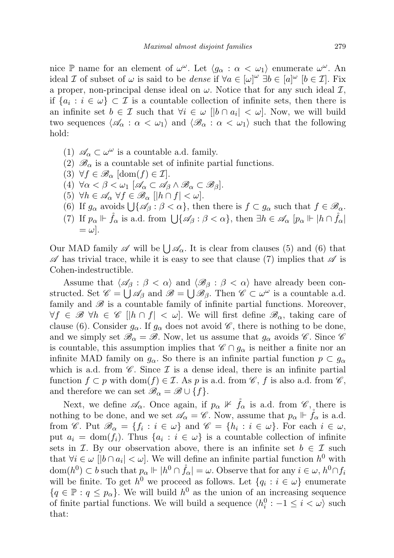nice  $\mathbb P$  name for an element of  $\omega^{\omega}$ . Let  $\langle g_{\alpha} : \alpha < \omega_1 \rangle$  enumerate  $\omega^{\omega}$ . An ideal I of subset of  $\omega$  is said to be *dense* if  $\forall a \in [\omega]^{\omega} \exists b \in [a]^{\omega}$   $[b \in \mathcal{I}]$ . Fix a proper, non-principal dense ideal on  $\omega$ . Notice that for any such ideal  $\mathcal{I}$ , if  $\{a_i : i \in \omega\} \subset \mathcal{I}$  is a countable collection of infinite sets, then there is an infinite set  $b \in \mathcal{I}$  such that  $\forall i \in \omega \; |b \cap a_i| < \omega$ . Now, we will build two sequences  $\langle \mathscr{A}_{\alpha} : \alpha < \omega_1 \rangle$  and  $\langle \mathscr{B}_{\alpha} : \alpha < \omega_1 \rangle$  such that the following hold:

- (1)  $\mathscr{A}_{\alpha} \subset \omega^{\omega}$  is a countable a.d. family.
- (2)  $\mathscr{B}_{\alpha}$  is a countable set of infinite partial functions.
- (3)  $\forall f \in \mathscr{B}_{\alpha}$  [dom(f)  $\in \mathcal{I}$ ].
- (4)  $\forall \alpha < \beta < \omega_1 \ [\mathscr{A}_\alpha \subset \mathscr{A}_\beta \land \mathscr{B}_\alpha \subset \mathscr{B}_\beta].$
- (5)  $\forall h \in \mathscr{A}_{\alpha} \ \forall f \in \mathscr{B}_{\alpha} \ [|h \cap f| < \omega].$
- (6) If  $g_{\alpha}$  avoids  $\bigcup \{\mathscr{A}_{\beta} : \beta < \alpha\}$ , then there is  $f \subset g_{\alpha}$  such that  $f \in \mathscr{B}_{\alpha}$ .
- (7) If  $p_{\alpha} \Vdash \mathring{f}_{\alpha}$  is a.d. from  $\bigcup \{ \mathscr{A}_{\beta} : \beta < \alpha \}$ , then  $\exists h \in \mathscr{A}_{\alpha}$   $[p_{\alpha} \Vdash | h \cap \mathring{f}_{\alpha}]$  $=\omega$ .

Our MAD family  $\mathscr A$  will be  $\bigcup \mathscr A_\alpha$ . It is clear from clauses (5) and (6) that  $\mathscr A$  has trivial trace, while it is easy to see that clause (7) implies that  $\mathscr A$  is Cohen-indestructible.

Assume that  $\langle \mathscr{A}_{\beta} : \beta < \alpha \rangle$  and  $\langle \mathscr{B}_{\beta} : \beta < \alpha \rangle$  have already been constructed. Set  $\mathscr{C} = \bigcup \mathscr{A}_{\beta}$  and  $\mathscr{B} = \bigcup \mathscr{B}_{\beta}$ . Then  $\mathscr{C} \subset \omega^{\omega}$  is a countable a.d. family and  $\mathscr B$  is a countable family of infinite partial functions. Moreover,  $\forall f \in \mathscr{B}$   $\forall h \in \mathscr{C}$   $\vert h \cap f \vert < \omega \vert$ . We will first define  $\mathscr{B}_{\alpha}$ , taking care of clause (6). Consider  $g_{\alpha}$ . If  $g_{\alpha}$  does not avoid  $\mathscr{C}$ , there is nothing to be done, and we simply set  $\mathscr{B}_{\alpha} = \mathscr{B}$ . Now, let us assume that  $g_{\alpha}$  avoids  $\mathscr{C}$ . Since  $\mathscr{C}$ is countable, this assumption implies that  $\mathscr{C} \cap g_{\alpha}$  is neither a finite nor an infinite MAD family on  $g_{\alpha}$ . So there is an infinite partial function  $p \subset g_{\alpha}$ which is a.d. from  $\mathscr C$ . Since  $\mathcal I$  is a dense ideal, there is an infinite partial function  $f \subset p$  with  $dom(f) \in \mathcal{I}$ . As p is a.d. from  $\mathscr{C}$ , f is also a.d. from  $\mathscr{C}$ , and therefore we can set  $\mathscr{B}_{\alpha} = \mathscr{B} \cup \{f\}.$ 

Next, we define  $\mathscr{A}_{\alpha}$ . Once again, if  $p_{\alpha} \not\perp \check{f}_{\alpha}$  is a.d. from  $\mathscr{C}$ , there is nothing to be done, and we set  $\mathscr{A}_{\alpha} = \mathscr{C}$ . Now, assume that  $p_{\alpha} \Vdash \dot{f}_{\alpha}$  is a.d. from *C*. Put  $\mathscr{B}_{\alpha} = \{f_i : i \in \omega\}$  and  $\mathscr{C} = \{h_i : i \in \omega\}$ . For each  $i \in \omega$ , put  $a_i = \text{dom}(f_i)$ . Thus  $\{a_i : i \in \omega\}$  is a countable collection of infinite sets in  $\mathcal{I}$ . By our observation above, there is an infinite set  $b \in \mathcal{I}$  such that  $\forall i \in \omega \; [b \cap a_i] < \omega$ . We will define an infinite partial function  $h^0$  with  $\text{dom}(h^0) \subset b$  such that  $p_\alpha \Vdash |h^0 \cap \mathring{f}_\alpha| = \omega$ . Observe that for any  $i \in \omega, h^0 \cap f_i$ will be finite. To get  $h^0$  we proceed as follows. Let  $\{q_i : i \in \omega\}$  enumerate  ${q \in \mathbb{P} : q \leq p_\alpha}$ . We will build  $h^0$  as the union of an increasing sequence of finite partial functions. We will build a sequence  $\langle h_i^0 : -1 \leq i < \omega \rangle$  such that: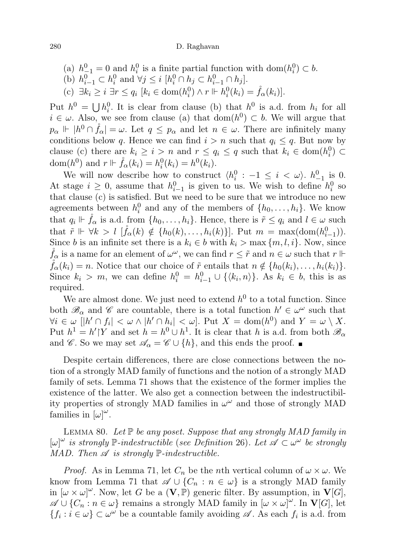- (a)  $h_{-1}^0 = 0$  and  $h_i^0$  is a finite partial function with dom $(h_i^0) \subset b$ .
- (b)  $h_{i-1}^0 \subset h_i^0$  and  $\forall j \leq i \ [h_i^0 \cap h_j \subset h_{i-1}^0 \cap h_j].$
- (c)  $\exists k_i \geq i \; \exists r \leq q_i \; [k_i \in \text{dom}(h_i^0) \land r \Vdash h_i^0(k_i) = \mathring{f}_\alpha(k_i)].$

Put  $h^0 = \bigcup h_i^0$ . It is clear from clause (b) that  $h^0$  is a.d. from  $h_i$  for all  $i \in \omega$ . Also, we see from clause (a) that  $dom(h^0) \subset b$ . We will argue that  $p_{\alpha} \Vdash |h^0 \cap \mathring{f}_{\alpha}| = \omega$ . Let  $q \le p_{\alpha}$  and let  $n \in \omega$ . There are infinitely many conditions below q. Hence we can find  $i > n$  such that  $q_i \leq q$ . But now by clause (c) there are  $k_i \geq i > n$  and  $r \leq q_i \leq q$  such that  $k_i \in \text{dom}(h_i^0) \subset$ dom $(h^0)$  and  $r \Vdash \mathring{f}_{\alpha}(k_i) = h_i^0(k_i) = h^0(k_i)$ .

We will now describe how to construct  $\langle h_i^0 : -1 \leq i \langle \omega \rangle$ .  $h_{-1}^0$  is 0. At stage  $i \geq 0$ , assume that  $h_{i-1}^0$  is given to us. We wish to define  $h_i^0$  so that clause (c) is satisfied. But we need to be sure that we introduce no new agreements between  $h_i^0$  and any of the members of  $\{h_0, \ldots, h_i\}$ . We know that  $q_i \Vdash \mathring{f}_\alpha$  is a.d. from  $\{h_0, \ldots, h_i\}$ . Hence, there is  $\tilde{r} \leq q_i$  and  $l \in \omega$  such that  $\tilde{r} \Vdash \forall k > l \; [\mathring{f}_{\alpha}(k) \notin \{h_0(k), \ldots, h_i(k)\}]$ . Put  $m = \max(\text{dom}(h_{i-1}^0))$ . Since b is an infinite set there is a  $k_i \in b$  with  $k_i > \max\{m, l, i\}$ . Now, since  $\mathring{f}_{\alpha}$  is a name for an element of  $\omega^{\omega}$ , we can find  $r \leq \tilde{r}$  and  $n \in \omega$  such that  $r \Vdash$  $\check{f}_{\alpha}(k_i) = n.$  Notice that our choice of  $\tilde{r}$  entails that  $n \notin \{h_0(k_i), \ldots, h_i(k_i)\}.$ Since  $k_i > m$ , we can define  $h_i^0 = h_{i-1}^0 \cup \{\langle k_i, n \rangle\}$ . As  $k_i \in b$ , this is as required.

We are almost done. We just need to extend  $h^0$  to a total function. Since both  $\mathscr{B}_{\alpha}$  and  $\mathscr{C}$  are countable, there is a total function  $h' \in \omega^{\omega}$  such that  $\forall i \in \omega \; [h' \cap f_i] < \omega \wedge |h' \cap h_i| < \omega$ . Put  $X = \text{dom}(h^0)$  and  $Y = \omega \setminus X$ . Put  $h^1 = h'|Y$  and set  $h = h^0 \cup h^1$ . It is clear that h is a.d. from both  $\mathscr{B}_{\alpha}$ and  $\mathscr{C}$ . So we may set  $\mathscr{A}_{\alpha} = \mathscr{C} \cup \{h\}$ , and this ends the proof.

Despite certain differences, there are close connections between the notion of a strongly MAD family of functions and the notion of a strongly MAD family of sets. Lemma 71 shows that the existence of the former implies the existence of the latter. We also get a connection between the indestructibility properties of strongly MAD families in  $\omega^{\omega}$  and those of strongly MAD families in  $[\omega]^\omega$ .

LEMMA 80. Let  $\mathbb P$  be any poset. Suppose that any strongly MAD family in  $[\omega]^\omega$  is strongly  $\mathbb P$ -indestructible (see Definition 26). Let  $\mathscr A \subset \omega^\omega$  be strongly MAD. Then  $\mathscr A$  is strongly  $\mathbb P$ -indestructible.

*Proof.* As in Lemma 71, let  $C_n$  be the nth vertical column of  $\omega \times \omega$ . We know from Lemma 71 that  $\mathscr{A} \cup \{C_n : n \in \omega\}$  is a strongly MAD family in  $[\omega \times \omega]^{\omega}$ . Now, let G be a  $(V, \mathbb{P})$  generic filter. By assumption, in  $V[G]$ ,  $\mathscr{A}\cup\{C_n:n\in\omega\}$  remains a strongly MAD family in  $[\omega\times\omega]^{\omega}$ . In  $\mathbf{V}[G]$ , let  ${f_i : i \in \omega} \subset \omega^{\omega}$  be a countable family avoiding  $\mathscr A$ . As each  $f_i$  is a.d. from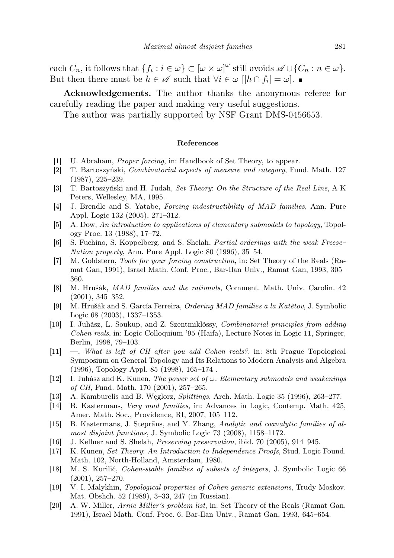each  $C_n$ , it follows that  $\{f_i : i \in \omega\} \subset [\omega \times \omega]^\omega$  still avoids  $\mathscr{A} \cup \{C_n : n \in \omega\}.$ But then there must be  $h \in \mathscr{A}$  such that  $\forall i \in \omega \; [h \cap f_i] = \omega$ .

Acknowledgements. The author thanks the anonymous referee for carefully reading the paper and making very useful suggestions.

The author was partially supported by NSF Grant DMS-0456653.

# References

- [1] U. Abraham, Proper forcing, in: Handbook of Set Theory, to appear.
- [2] T. Bartoszyński, Combinatorial aspects of measure and category, Fund. Math. 127 (1987), 225–239.
- [3] T. Bartoszyński and H. Judah, Set Theory: On the Structure of the Real Line, A K Peters, Wellesley, MA, 1995.
- [4] J. Brendle and S. Yatabe, Forcing indestructibility of MAD families, Ann. Pure Appl. Logic 132 (2005), 271–312.
- [5] A. Dow, An introduction to applications of elementary submodels to topology, Topology Proc. 13 (1988), 17–72.
- [6] S. Fuchino, S. Koppelberg, and S. Shelah, Partial orderings with the weak Freese– Nation property, Ann. Pure Appl. Logic 80 (1996), 35–54.
- [7] M. Goldstern, Tools for your forcing construction, in: Set Theory of the Reals (Ramat Gan, 1991), Israel Math. Conf. Proc., Bar-Ilan Univ., Ramat Gan, 1993, 305– 360.
- [8] M. Hrušák, MAD families and the rationals, Comment. Math. Univ. Carolin. 42 (2001), 345–352.
- [9] M. Hrušák and S. García Ferreira, Ordering MAD families a la Katětov, J. Symbolic Logic 68 (2003), 1337–1353.
- [10] I. Juhász, L. Soukup, and Z. Szentmiklóssy, Combinatorial principles from adding Cohen reals, in: Logic Colloquium '95 (Haifa), Lecture Notes in Logic 11, Springer, Berlin, 1998, 79–103.
- [11] —, What is left of CH after you add Cohen reals?, in: 8th Prague Topological Symposium on General Topology and Its Relations to Modern Analysis and Algebra (1996), Topology Appl. 85 (1998), 165–174 .
- [12] I. Juhász and K. Kunen, The power set of  $\omega$ . Elementary submodels and weakenings of CH, Fund. Math. 170 (2001), 257–265.
- [13] A. Kamburelis and B. Węglorz, Splittings, Arch. Math. Logic 35 (1996), 263–277.
- [14] B. Kastermans, Very mad families, in: Advances in Logic, Contemp. Math. 425, Amer. Math. Soc., Providence, RI, 2007, 105–112.
- [15] B. Kastermans, J. Steprāns, and Y. Zhang, Analytic and coanalytic families of almost disjoint functions, J. Symbolic Logic 73 (2008), 1158–1172.
- [16] J. Kellner and S. Shelah, Preserving preservation, ibid. 70 (2005), 914–945.
- [17] K. Kunen, Set Theory: An Introduction to Independence Proofs, Stud. Logic Found. Math. 102, North-Holland, Amsterdam, 1980.
- [18] M. S. Kurilić, Cohen-stable families of subsets of integers, J. Symbolic Logic 66 (2001), 257–270.
- [19] V. I. Malykhin, Topological properties of Cohen generic extensions, Trudy Moskov. Mat. Obshch. 52 (1989), 3–33, 247 (in Russian).
- [20] A. W. Miller, Arnie Miller's problem list, in: Set Theory of the Reals (Ramat Gan, 1991), Israel Math. Conf. Proc. 6, Bar-Ilan Univ., Ramat Gan, 1993, 645–654.